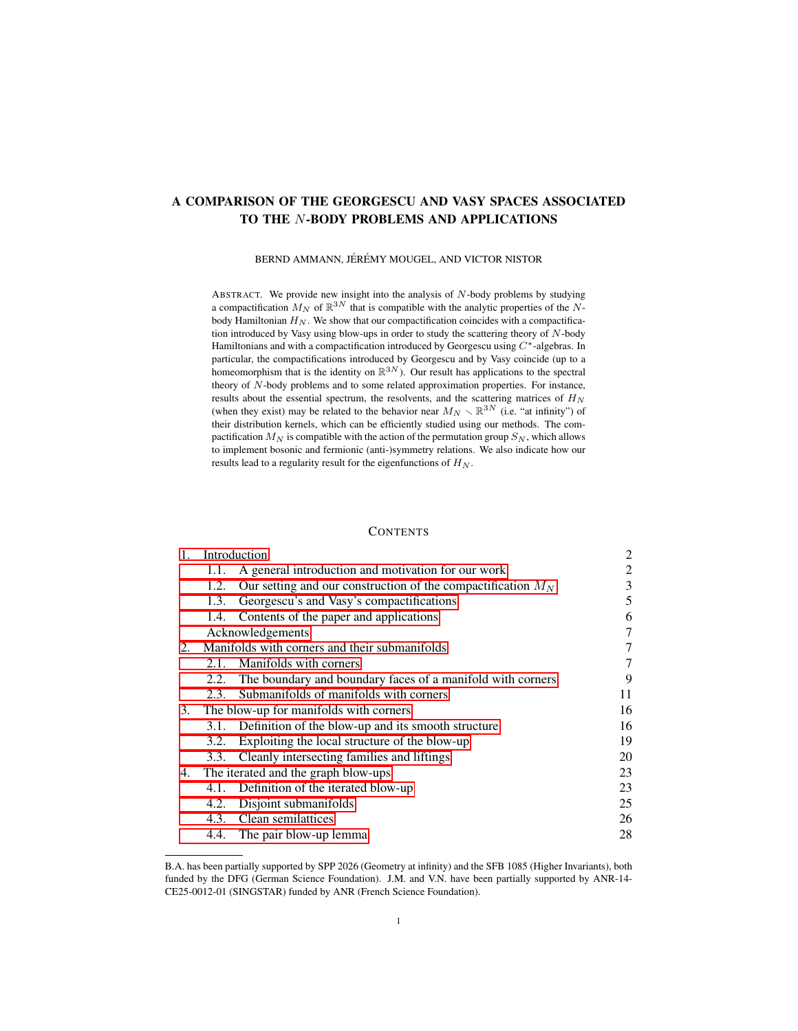# A COMPARISON OF THE GEORGESCU AND VASY SPACES ASSOCIATED TO THE N-BODY PROBLEMS AND APPLICATIONS

BERND AMMANN, JÉRÉMY MOUGEL, AND VICTOR NISTOR

ABSTRACT. We provide new insight into the analysis of N-body problems by studying a compactification  $M_N$  of  $\mathbb{R}^{3N}$  that is compatible with the analytic properties of the Nbody Hamiltonian  $H_N$ . We show that our compactification coincides with a compactification introduced by Vasy using blow-ups in order to study the scattering theory of  $N$ -body Hamiltonians and with a compactification introduced by Georgescu using  $C^*$ -algebras. In particular, the compactifications introduced by Georgescu and by Vasy coincide (up to a homeomorphism that is the identity on  $\mathbb{R}^{3N}$ ). Our result has applications to the spectral theory of N-body problems and to some related approximation properties. For instance, results about the essential spectrum, the resolvents, and the scattering matrices of  $H_N$ (when they exist) may be related to the behavior near  $M_N \setminus \mathbb{R}^{3N}$  (i.e. "at infinity") of their distribution kernels, which can be efficiently studied using our methods. The compactification  $M_N$  is compatible with the action of the permutation group  $S_N$ , which allows to implement bosonic and fermionic (anti-)symmetry relations. We also indicate how our results lead to a regularity result for the eigenfunctions of  $H_N$ .

## **CONTENTS**

| 1. | Introduction                                  |                                                                | 2  |
|----|-----------------------------------------------|----------------------------------------------------------------|----|
|    | 1.1.                                          | A general introduction and motivation for our work             | 2  |
|    | 1.2.                                          | Our setting and our construction of the compactification $M_N$ | 3  |
|    | 1.3.                                          | Georgescu's and Vasy's compactifications                       | 5  |
|    | 1.4.                                          | Contents of the paper and applications                         | 6  |
|    | Acknowledgements                              |                                                                | 7  |
| 2. | Manifolds with corners and their submanifolds |                                                                | 7  |
|    | 2.1.                                          | Manifolds with corners                                         | 7  |
|    | 2.2.                                          | The boundary and boundary faces of a manifold with corners     | 9  |
|    | 2.3.                                          | Submanifolds of manifolds with corners                         | 11 |
| 3. | The blow-up for manifolds with corners        |                                                                | 16 |
|    |                                               | 3.1. Definition of the blow-up and its smooth structure        | 16 |
|    | 3.2.                                          | Exploiting the local structure of the blow-up                  | 19 |
|    | 3.3.                                          | Cleanly intersecting families and liftings                     | 20 |
| 4. | The iterated and the graph blow-ups           |                                                                | 23 |
|    |                                               | 4.1. Definition of the iterated blow-up                        | 23 |
|    | 4.2.                                          | Disjoint submanifolds                                          | 25 |
|    |                                               | 4.3. Clean semilattices                                        | 26 |
|    |                                               | 4.4. The pair blow-up lemma                                    | 28 |

B.A. has been partially supported by SPP 2026 (Geometry at infinity) and the SFB 1085 (Higher Invariants), both funded by the DFG (German Science Foundation). J.M. and V.N. have been partially supported by ANR-14- CE25-0012-01 (SINGSTAR) funded by ANR (French Science Foundation).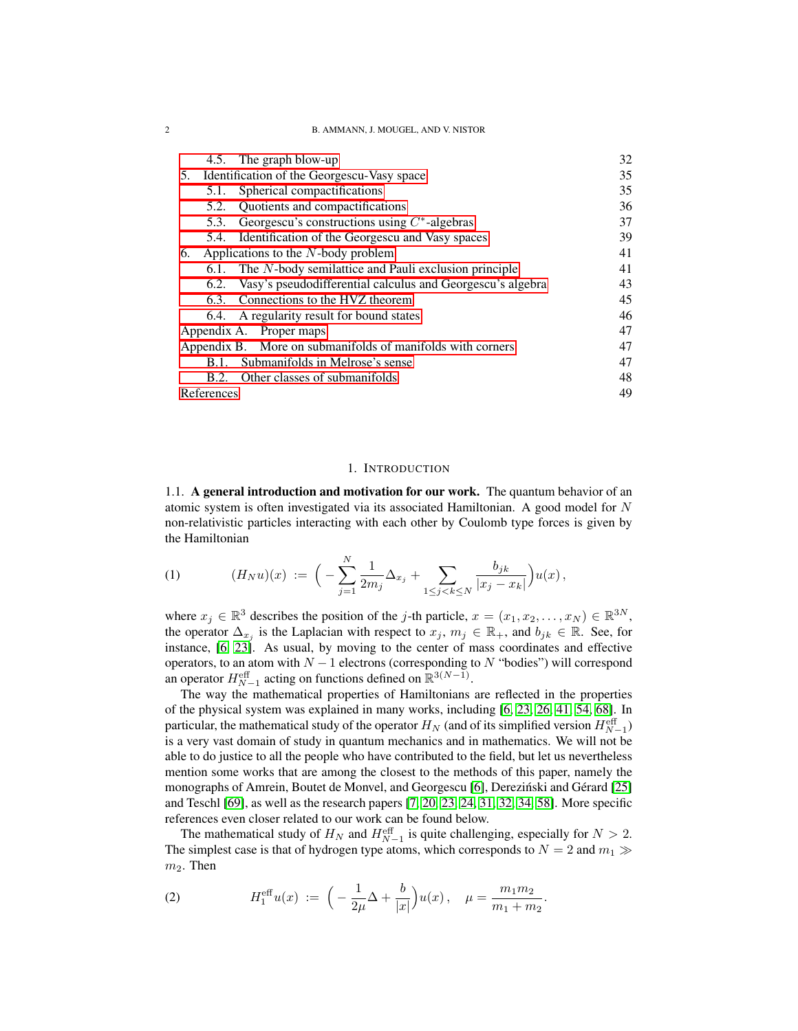#### 2 B. AMMANN, J. MOUGEL, AND V. NISTOR

| 4.5. The graph blow-up                                             | 32 |  |
|--------------------------------------------------------------------|----|--|
| Identification of the Georgescu-Vasy space<br>5.                   | 35 |  |
| Spherical compactifications<br>5.1.                                | 35 |  |
| Quotients and compactifications<br>5.2.                            | 36 |  |
| Georgescu's constructions using $C^*$ -algebras<br>5.3.            | 37 |  |
| 5.4. Identification of the Georgescu and Vasy spaces               | 39 |  |
| Applications to the $N$ -body problem<br>6.                        | 41 |  |
| The N-body semilattice and Pauli exclusion principle<br>6.1.       | 41 |  |
| Vasy's pseudodifferential calculus and Georgescu's algebra<br>6.2. | 43 |  |
| Connections to the HVZ theorem<br>6.3.                             | 45 |  |
| 6.4. A regularity result for bound states                          | 46 |  |
| Appendix A. Proper maps                                            |    |  |
| Appendix B. More on submanifolds of manifolds with corners         |    |  |
| Submanifolds in Melrose's sense<br>B.1.                            | 47 |  |
| B.2. Other classes of submanifolds                                 | 48 |  |
| References                                                         |    |  |

### 1. INTRODUCTION

<span id="page-1-1"></span><span id="page-1-0"></span>1.1. A general introduction and motivation for our work. The quantum behavior of an atomic system is often investigated via its associated Hamiltonian. A good model for  $N$ non-relativistic particles interacting with each other by Coulomb type forces is given by the Hamiltonian

<span id="page-1-2"></span>(1) 
$$
(H_N u)(x) := \Big(-\sum_{j=1}^N \frac{1}{2m_j} \Delta_{x_j} + \sum_{1 \le j < k \le N} \frac{b_{jk}}{|x_j - x_k|} \Big) u(x) \,,
$$

where  $x_j \in \mathbb{R}^3$  describes the position of the *j*-th particle,  $x = (x_1, x_2, \dots, x_N) \in \mathbb{R}^{3N}$ , the operator  $\Delta_{x_j}$  is the Laplacian with respect to  $x_j, m_j \in \mathbb{R}_+$ , and  $b_{jk} \in \mathbb{R}$ . See, for instance, [\[6,](#page-49-0) [23\]](#page-49-1). As usual, by moving to the center of mass coordinates and effective operators, to an atom with  $N - 1$  electrons (corresponding to N "bodies") will correspond an operator  $H_{N-1}^{\text{eff}}$  acting on functions defined on  $\mathbb{R}^{3(N-1)}$ .

The way the mathematical properties of Hamiltonians are reflected in the properties of the physical system was explained in many works, including [\[6,](#page-49-0) [23,](#page-49-1) [26,](#page-49-2) [41,](#page-50-0) [54,](#page-50-1) [68\]](#page-51-0). In particular, the mathematical study of the operator  $H_N$  (and of its simplified version  $H_{N-1}^{\text{eff}}$ ) is a very vast domain of study in quantum mechanics and in mathematics. We will not be able to do justice to all the people who have contributed to the field, but let us nevertheless mention some works that are among the closest to the methods of this paper, namely the monographs of Amrein, Boutet de Monvel, and Georgescu [\[6\]](#page-49-0), Derezinski and Gérard [\[25\]](#page-49-3) and Teschl [\[69\]](#page-51-1), as well as the research papers [\[7,](#page-49-4) [20,](#page-49-5) [23,](#page-49-1) [24,](#page-49-6) [31,](#page-50-2) [32,](#page-50-3) [34,](#page-50-4) [58\]](#page-50-5). More specific references even closer related to our work can be found below.

The mathematical study of  $H_N$  and  $H_{N-1}^{\text{eff}}$  is quite challenging, especially for  $N > 2$ . The simplest case is that of hydrogen type atoms, which corresponds to  $N = 2$  and  $m_1 \gg$  $m_2$ . Then

<span id="page-1-3"></span>(2) 
$$
H_1^{\text{eff}}u(x) := \left(-\frac{1}{2\mu}\Delta + \frac{b}{|x|}\right)u(x), \quad \mu = \frac{m_1 m_2}{m_1 + m_2}.
$$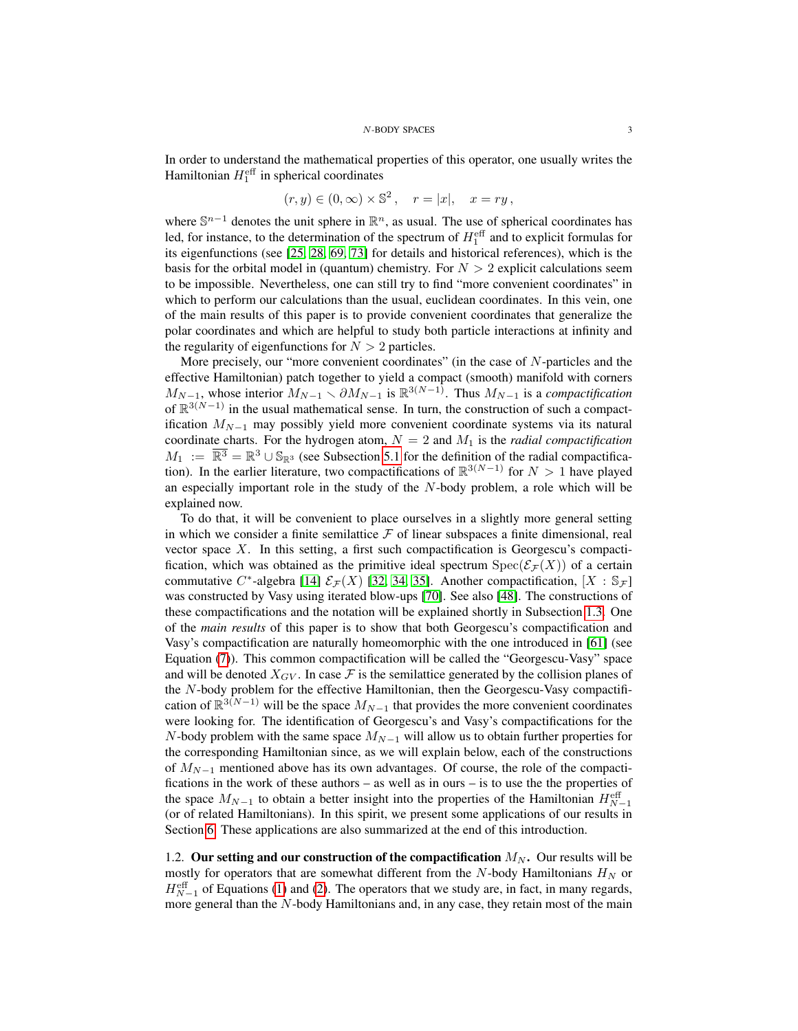In order to understand the mathematical properties of this operator, one usually writes the Hamiltonian  $H_1^{\text{eff}}$  in spherical coordinates

$$
(r, y) \in (0, \infty) \times \mathbb{S}^2, \quad r = |x|, \quad x = ry,
$$

where  $\mathbb{S}^{n-1}$  denotes the unit sphere in  $\mathbb{R}^n$ , as usual. The use of spherical coordinates has led, for instance, to the determination of the spectrum of  $H_1^{\text{eff}}$  and to explicit formulas for its eigenfunctions (see [\[25,](#page-49-3) [28,](#page-49-7) [69,](#page-51-1) [73\]](#page-51-2) for details and historical references), which is the basis for the orbital model in (quantum) chemistry. For  $N > 2$  explicit calculations seem to be impossible. Nevertheless, one can still try to find "more convenient coordinates" in which to perform our calculations than the usual, euclidean coordinates. In this vein, one of the main results of this paper is to provide convenient coordinates that generalize the polar coordinates and which are helpful to study both particle interactions at infinity and the regularity of eigenfunctions for  $N > 2$  particles.

More precisely, our "more convenient coordinates" (in the case of N-particles and the effective Hamiltonian) patch together to yield a compact (smooth) manifold with corners  $M_{N-1}$ , whose interior  $M_{N-1} \setminus \partial M_{N-1}$  is  $\mathbb{R}^{3(N-1)}$ . Thus  $M_{N-1}$  is a *compactification* of  $\mathbb{R}^{3(N-1)}$  in the usual mathematical sense. In turn, the construction of such a compactification  $M_{N-1}$  may possibly yield more convenient coordinate systems via its natural coordinate charts. For the hydrogen atom,  $N = 2$  and  $M_1$  is the *radial compactification*  $M_1 := \overline{\mathbb{R}^3} = \mathbb{R}^3 \cup \mathbb{S}_{\mathbb{R}^3}$  (see Subsection [5.1](#page-34-1) for the definition of the radial compactification). In the earlier literature, two compactifications of  $\mathbb{R}^{3(N-1)}$  for  $N > 1$  have played an especially important role in the study of the  $N$ -body problem, a role which will be explained now.

To do that, it will be convenient to place ourselves in a slightly more general setting in which we consider a finite semilattice  $\mathcal F$  of linear subspaces a finite dimensional, real vector space  $X$ . In this setting, a first such compactification is Georgescu's compactification, which was obtained as the primitive ideal spectrum  $Spec(\mathcal{E}_F(X))$  of a certain commutative C<sup>\*</sup>-algebra [\[14\]](#page-49-8)  $\mathcal{E}_{\mathcal{F}}(X)$  [\[32,](#page-50-3) [34,](#page-50-4) [35\]](#page-50-6). Another compactification,  $[X : \mathbb{S}_{\mathcal{F}}]$ was constructed by Vasy using iterated blow-ups [\[70\]](#page-51-3). See also [\[48\]](#page-50-7). The constructions of these compactifications and the notation will be explained shortly in Subsection [1.3.](#page-4-0) One of the *main results* of this paper is to show that both Georgescu's compactification and Vasy's compactification are naturally homeomorphic with the one introduced in [\[61\]](#page-51-4) (see Equation [\(7\)](#page-4-1)). This common compactification will be called the "Georgescu-Vasy" space and will be denoted  $X_{GV}$ . In case F is the semilattice generated by the collision planes of the N-body problem for the effective Hamiltonian, then the Georgescu-Vasy compactification of  $\mathbb{R}^{3(N-1)}$  will be the space  $M_{N-1}$  that provides the more convenient coordinates were looking for. The identification of Georgescu's and Vasy's compactifications for the N-body problem with the same space  $M_{N-1}$  will allow us to obtain further properties for the corresponding Hamiltonian since, as we will explain below, each of the constructions of  $M_{N-1}$  mentioned above has its own advantages. Of course, the role of the compactifications in the work of these authors – as well as in ours – is to use the the properties of the space  $M_{N-1}$  to obtain a better insight into the properties of the Hamiltonian  $H_{N-1}^{\text{eff}}$ (or of related Hamiltonians). In this spirit, we present some applications of our results in Section [6.](#page-40-0) These applications are also summarized at the end of this introduction.

<span id="page-2-0"></span>1.2. Our setting and our construction of the compactification  $M_N$ . Our results will be mostly for operators that are somewhat different from the  $N$ -body Hamiltonians  $H_N$  or  $H_{N-1}^{\text{eff}}$  of Equations [\(1\)](#page-1-2) and [\(2\)](#page-1-3). The operators that we study are, in fact, in many regards, more general than the N-body Hamiltonians and, in any case, they retain most of the main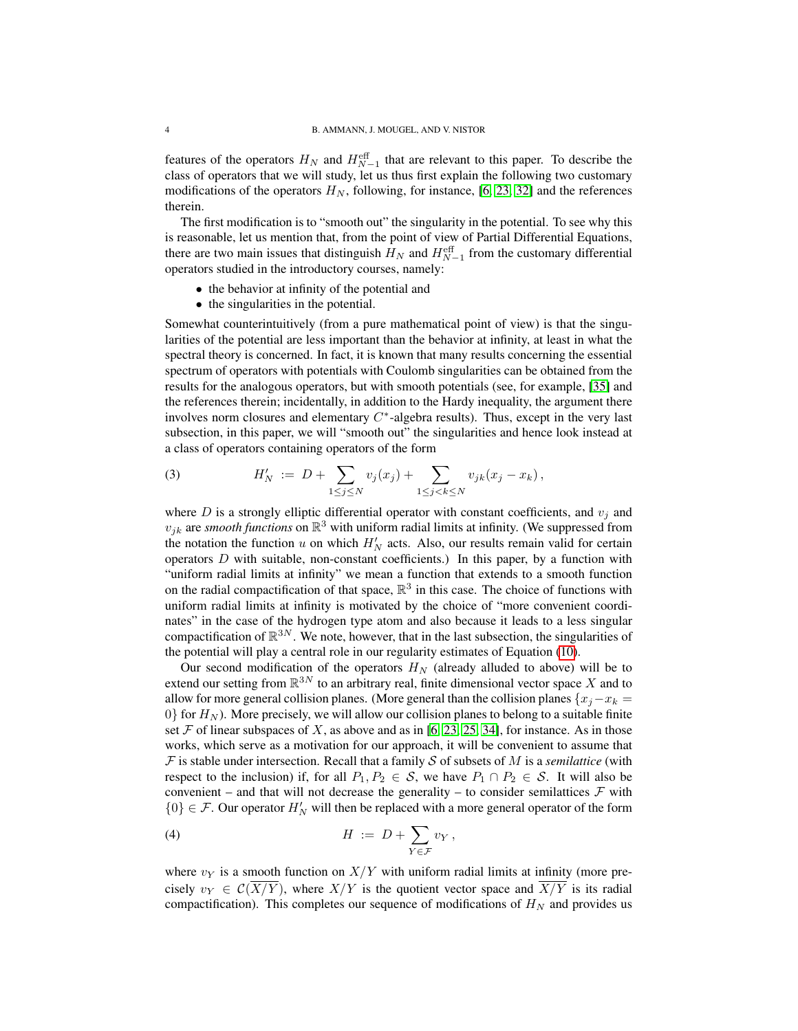features of the operators  $H_N$  and  $H_{N-1}^{\text{eff}}$  that are relevant to this paper. To describe the class of operators that we will study, let us thus first explain the following two customary modifications of the operators  $H_N$ , following, for instance, [\[6,](#page-49-0) [23,](#page-49-1) [32\]](#page-50-3) and the references therein.

The first modification is to "smooth out" the singularity in the potential. To see why this is reasonable, let us mention that, from the point of view of Partial Differential Equations, there are two main issues that distinguish  $H_N$  and  $H_{N-1}^{\text{eff}}$  from the customary differential operators studied in the introductory courses, namely:

- the behavior at infinity of the potential and
- the singularities in the potential.

Somewhat counterintuitively (from a pure mathematical point of view) is that the singularities of the potential are less important than the behavior at infinity, at least in what the spectral theory is concerned. In fact, it is known that many results concerning the essential spectrum of operators with potentials with Coulomb singularities can be obtained from the results for the analogous operators, but with smooth potentials (see, for example, [\[35\]](#page-50-6) and the references therein; incidentally, in addition to the Hardy inequality, the argument there involves norm closures and elementary  $C^*$ -algebra results). Thus, except in the very last subsection, in this paper, we will "smooth out" the singularities and hence look instead at a class of operators containing operators of the form

<span id="page-3-0"></span>(3) 
$$
H'_{N} := D + \sum_{1 \leq j \leq N} v_{j}(x_{j}) + \sum_{1 \leq j < k \leq N} v_{jk}(x_{j} - x_{k}),
$$

where  $D$  is a strongly elliptic differential operator with constant coefficients, and  $v_j$  and  $v_{jk}$  are *smooth functions* on  $\mathbb{R}^3$  with uniform radial limits at infinity. (We suppressed from the notation the function u on which  $H_N$  acts. Also, our results remain valid for certain operators  $D$  with suitable, non-constant coefficients.) In this paper, by a function with "uniform radial limits at infinity" we mean a function that extends to a smooth function on the radial compactification of that space,  $\mathbb{R}^3$  in this case. The choice of functions with uniform radial limits at infinity is motivated by the choice of "more convenient coordinates" in the case of the hydrogen type atom and also because it leads to a less singular compactification of  $\mathbb{R}^{3N}$ . We note, however, that in the last subsection, the singularities of the potential will play a central role in our regularity estimates of Equation [\(10\)](#page-6-3).

Our second modification of the operators  $H<sub>N</sub>$  (already alluded to above) will be to extend our setting from  $\mathbb{R}^{3N}$  to an arbitrary real, finite dimensional vector space X and to allow for more general collision planes. (More general than the collision planes  $\{x_i - x_k =$  $0\}$  for  $H_N$ ). More precisely, we will allow our collision planes to belong to a suitable finite set  $\mathcal F$  of linear subspaces of X, as above and as in [\[6,](#page-49-0) [23,](#page-49-1) [25,](#page-49-3) [34\]](#page-50-4), for instance. As in those works, which serve as a motivation for our approach, it will be convenient to assume that  $F$  is stable under intersection. Recall that a family  $S$  of subsets of M is a *semilattice* (with respect to the inclusion) if, for all  $P_1, P_2 \in S$ , we have  $P_1 \cap P_2 \in S$ . It will also be convenient – and that will not decrease the generality – to consider semilattices  $\mathcal F$  with  ${0} \in \mathcal{F}$ . Our operator  $H_N'$  will then be replaced with a more general operator of the form

(4) H := D + X Y ∈F v<sup>Y</sup> ,

where  $v_Y$  is a smooth function on  $X/Y$  with uniform radial limits at infinity (more precisely  $v_Y \in C(X/Y)$ , where  $X/Y$  is the quotient vector space and  $X/Y$  is its radial compactification). This completes our sequence of modifications of  $H_N$  and provides us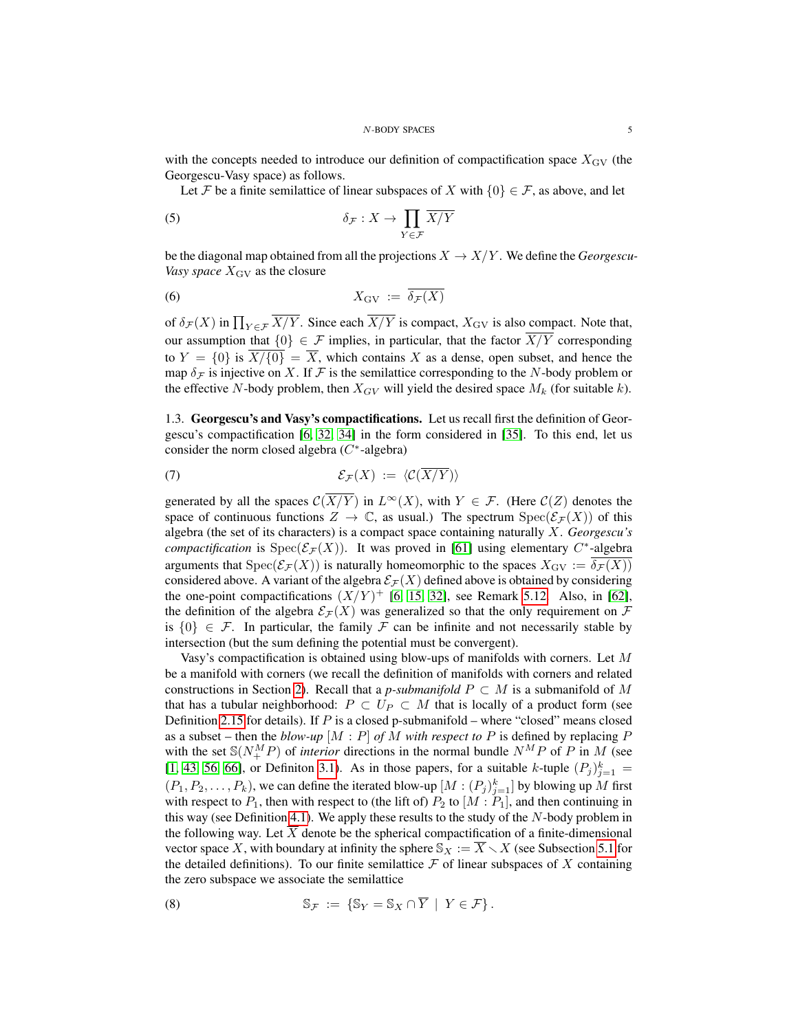with the concepts needed to introduce our definition of compactification space  $X_{\text{GV}}$  (the Georgescu-Vasy space) as follows.

Let F be a finite semilattice of linear subspaces of X with  $\{0\} \in \mathcal{F}$ , as above, and let

(5) 
$$
\delta_{\mathcal{F}} : X \to \prod_{Y \in \mathcal{F}} \overline{X/Y}
$$

be the diagonal map obtained from all the projections  $X \to X/Y$ . We define the *Georgescu*-*Vasy space*  $X_{\text{GV}}$  as the closure

<span id="page-4-2"></span>
$$
X_{\mathrm{GV}} := \delta_{\mathcal{F}}(X)
$$

of  $\delta_{\mathcal{F}}(X)$  in  $\prod_{Y \in \mathcal{F}} X/Y$ . Since each  $X/Y$  is compact,  $X_{\text{GV}}$  is also compact. Note that, our assumption that  $\{0\} \in \mathcal{F}$  implies, in particular, that the factor  $\overline{X/Y}$  corresponding to  $Y = \{0\}$  is  $\overline{X/\{0\}} = \overline{X}$ , which contains X as a dense, open subset, and hence the map  $\delta_F$  is injective on X. If F is the semilattice corresponding to the N-body problem or the effective N-body problem, then  $X_{GV}$  will yield the desired space  $M_k$  (for suitable k).

<span id="page-4-0"></span>1.3. Georgescu's and Vasy's compactifications. Let us recall first the definition of Georgescu's compactification [\[6,](#page-49-0) [32,](#page-50-3) [34\]](#page-50-4) in the form considered in [\[35\]](#page-50-6). To this end, let us consider the norm closed algebra  $(C^*$ -algebra)

<span id="page-4-1"></span>
$$
\mathcal{E}_{\mathcal{F}}(X) := \langle \mathcal{C}(\overline{X/Y}) \rangle
$$

generated by all the spaces  $\mathcal{C}(\overline{X/Y})$  in  $L^{\infty}(X)$ , with  $Y \in \mathcal{F}$ . (Here  $\mathcal{C}(Z)$  denotes the space of continuous functions  $Z \to \mathbb{C}$ , as usual.) The spectrum  $Spec(\mathcal{E}_{\mathcal{F}}(X))$  of this algebra (the set of its characters) is a compact space containing naturally X. *Georgescu's compactification* is  $Spec(\mathcal{E}_{\mathcal{F}}(X))$ . It was proved in [\[61\]](#page-51-4) using elementary C<sup>\*</sup>-algebra arguments that  $Spec(\mathcal{E}_{\mathcal{F}}(X))$  is naturally homeomorphic to the spaces  $X_{\text{GV}} := \overline{\delta_{\mathcal{F}}(X)}$ considered above. A variant of the algebra  $\mathcal{E}_F(X)$  defined above is obtained by considering the one-point compactifications  $(X/Y)^+$  [\[6,](#page-49-0) [15,](#page-49-9) [32\]](#page-50-3), see Remark [5.12.](#page-40-2) Also, in [\[62\]](#page-51-5), the definition of the algebra  $\mathcal{E}_\mathcal{F}(X)$  was generalized so that the only requirement on  $\mathcal F$ is  $\{0\} \in \mathcal{F}$ . In particular, the family  $\mathcal F$  can be infinite and not necessarily stable by intersection (but the sum defining the potential must be convergent).

Vasy's compactification is obtained using blow-ups of manifolds with corners. Let M be a manifold with corners (we recall the definition of manifolds with corners and related constructions in Section [2\)](#page-6-1). Recall that a *p-submanifold*  $P \subset M$  is a submanifold of M that has a tubular neighborhood:  $P \subset U_P \subset M$  that is locally of a product form (see Definition [2.15](#page-13-0) for details). If  $P$  is a closed p-submanifold – where "closed" means closed as a subset – then the *blow-up* [M : P] *of* M *with respect to* P is defined by replacing P with the set  $S(N_{+}^{M}P)$  of *interior* directions in the normal bundle  $N^{M}P$  of P in M (see [\[1,](#page-48-1) [43,](#page-50-8) [56,](#page-50-9) [66\]](#page-51-6), or Definiton [3.1\)](#page-15-2). As in those papers, for a suitable k-tuple  $(P_j)_{j=1}^k =$  $(P_1, P_2, \ldots, P_k)$ , we can define the iterated blow-up  $[M : (P_j)_{j=1}^k]$  by blowing up M first with respect to  $P_1$ , then with respect to (the lift of)  $P_2$  to  $[M : P_1]$ , and then continuing in this way (see Definition [4.1\)](#page-22-2). We apply these results to the study of the  $N$ -body problem in the following way. Let  $\overline{X}$  denote be the spherical compactification of a finite-dimensional vector space X, with boundary at infinity the sphere  $\mathbb{S}_X := \overline{X} \setminus X$  (see Subsection [5.1](#page-34-1) for the detailed definitions). To our finite semilattice  $\mathcal F$  of linear subspaces of X containing the zero subspace we associate the semilattice

<span id="page-4-3"></span>(8) 
$$
\mathbb{S}_{\mathcal{F}} := \{ \mathbb{S}_Y = \mathbb{S}_X \cap \overline{Y} \mid Y \in \mathcal{F} \}.
$$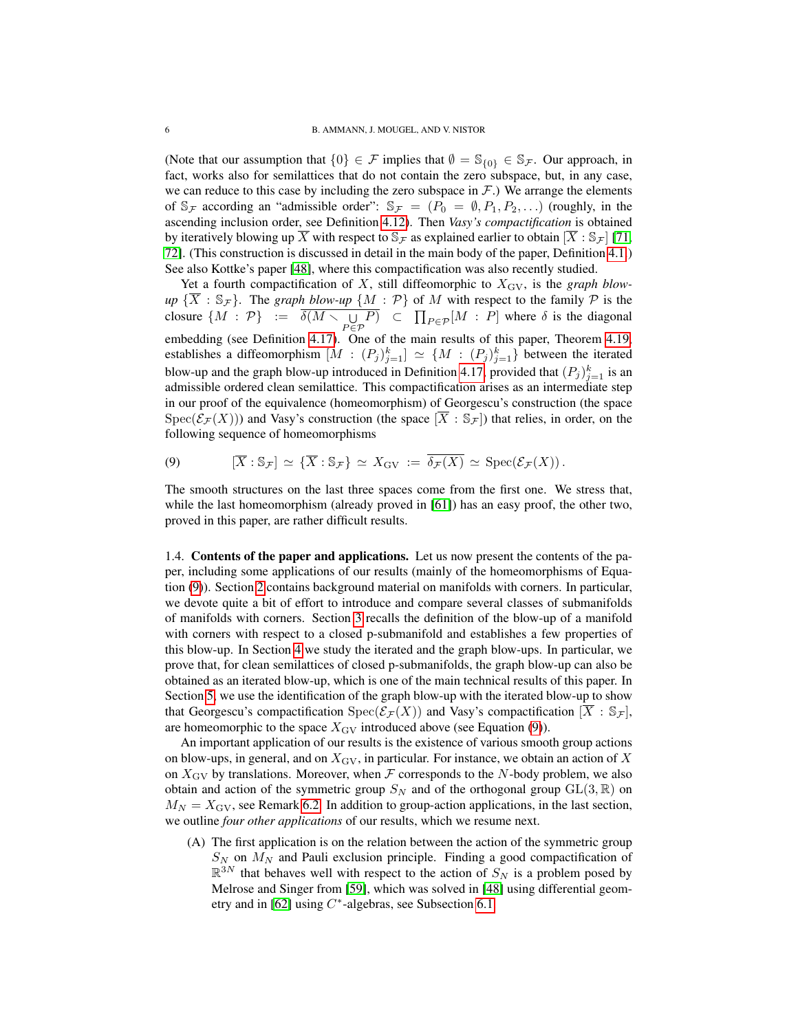(Note that our assumption that  $\{0\} \in \mathcal{F}$  implies that  $\emptyset = \mathbb{S}_{\{0\}} \in \mathbb{S}_{\mathcal{F}}$ . Our approach, in fact, works also for semilattices that do not contain the zero subspace, but, in any case, we can reduce to this case by including the zero subspace in  $F$ .) We arrange the elements of  $\mathbb{S}_{\mathcal{F}}$  according an "admissible order":  $\mathbb{S}_{\mathcal{F}} = (P_0 = \emptyset, P_1, P_2, \ldots)$  (roughly, in the ascending inclusion order, see Definition [4.12\)](#page-26-0). Then *Vasy's compactification* is obtained by iteratively blowing up X with respect to  $\mathcal{S}_{\mathcal{F}}$  as explained earlier to obtain  $[X : \mathcal{S}_{\mathcal{F}}]$  [\[71,](#page-51-7) [72\]](#page-51-8). (This construction is discussed in detail in the main body of the paper, Definition [4.1.](#page-22-2)) See also Kottke's paper [\[48\]](#page-50-7), where this compactification was also recently studied.

Yet a fourth compactification of  $X$ , still diffeomorphic to  $X_{\text{GV}}$ , is the *graph blowup*  $\{\overline{X} : \mathbb{S}_{\mathcal{F}}\}$ . The *graph blow-up*  $\{M : \mathcal{P}\}$  of M with respect to the family  $\mathcal{P}$  is the closure  $\{M : \mathcal{P}\} := \overline{\delta(M \setminus \bigcup_{P \in \mathcal{P}} P)} \subset \prod_{P \in \mathcal{P}} [M : P]$  where  $\delta$  is the diagonal embedding (see Definition [4.17\)](#page-31-1). One of the main results of this paper, Theorem [4.19,](#page-31-2) establishes a diffeomorphism  $[M : (P_j)_{j=1}^k] \simeq \{M : (P_j)_{j=1}^k\}$  between the iterated blow-up and the graph blow-up introduced in Definition [4.17,](#page-31-1) provided that  $(P_j)_{j=1}^k$  is an admissible ordered clean semilattice. This compactification arises as an intermediate step in our proof of the equivalence (homeomorphism) of Georgescu's construction (the space  $Spec(\mathcal{E}_{\mathcal{F}}(X)))$  and Vasy's construction (the space  $[\overline{X}:\mathbb{S}_{\mathcal{F}}]$ ) that relies, in order, on the following sequence of homeomorphisms

<span id="page-5-1"></span>(9) 
$$
[\overline{X} : \mathbb{S}_{\mathcal{F}}] \simeq {\overline{X} : \mathbb{S}_{\mathcal{F}}} \simeq X_{\text{GV}} := {\overline{\delta_{\mathcal{F}}(X)}} \simeq \text{Spec}(\mathcal{E}_{\mathcal{F}}(X)).
$$

The smooth structures on the last three spaces come from the first one. We stress that, while the last homeomorphism (already proved in [\[61\]](#page-51-4)) has an easy proof, the other two, proved in this paper, are rather difficult results.

<span id="page-5-0"></span>1.4. Contents of the paper and applications. Let us now present the contents of the paper, including some applications of our results (mainly of the homeomorphisms of Equation [\(9\)](#page-5-1)). Section [2](#page-6-1) contains background material on manifolds with corners. In particular, we devote quite a bit of effort to introduce and compare several classes of submanifolds of manifolds with corners. Section [3](#page-15-0) recalls the definition of the blow-up of a manifold with corners with respect to a closed p-submanifold and establishes a few properties of this blow-up. In Section [4](#page-22-0) we study the iterated and the graph blow-ups. In particular, we prove that, for clean semilattices of closed p-submanifolds, the graph blow-up can also be obtained as an iterated blow-up, which is one of the main technical results of this paper. In Section [5,](#page-34-0) we use the identification of the graph blow-up with the iterated blow-up to show that Georgescu's compactification  $Spec(\mathcal{E}_{\mathcal{F}}(X))$  and Vasy's compactification  $[X : S_{\mathcal{F}}]$ , are homeomorphic to the space  $X_{\text{GV}}$  introduced above (see Equation [\(9\)](#page-5-1)).

An important application of our results is the existence of various smooth group actions on blow-ups, in general, and on  $X_{\text{GV}}$ , in particular. For instance, we obtain an action of X on  $X_{\text{GV}}$  by translations. Moreover, when  $\mathcal F$  corresponds to the N-body problem, we also obtain and action of the symmetric group  $S_N$  and of the orthogonal group  $GL(3, \mathbb{R})$  on  $M_N = X_{\text{GV}}$ , see Remark [6.2.](#page-41-0) In addition to group-action applications, in the last section, we outline *four other applications* of our results, which we resume next.

(A) The first application is on the relation between the action of the symmetric group  $S_N$  on  $M_N$  and Pauli exclusion principle. Finding a good compactification of  $\mathbb{R}^{3N}$  that behaves well with respect to the action of  $S_N$  is a problem posed by Melrose and Singer from [\[59\]](#page-50-10), which was solved in [\[48\]](#page-50-7) using differential geom-etry and in [\[62\]](#page-51-5) using  $C^*$ -algebras, see Subsection [6.1.](#page-40-1)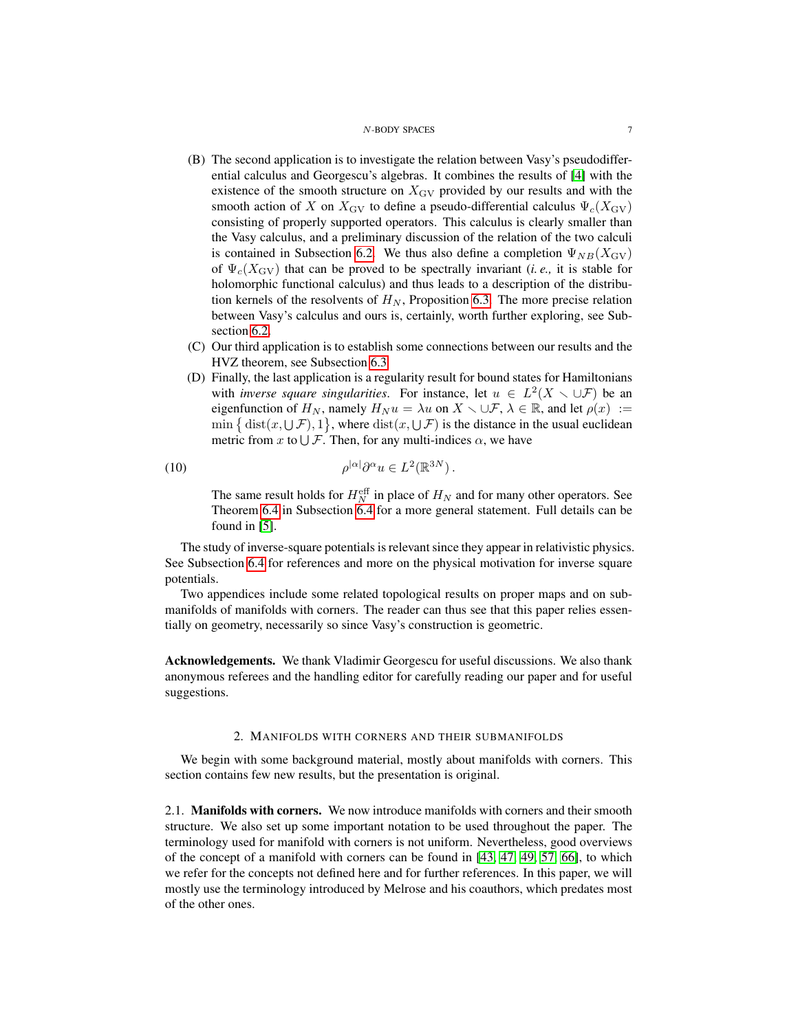- (B) The second application is to investigate the relation between Vasy's pseudodifferential calculus and Georgescu's algebras. It combines the results of [\[4\]](#page-48-2) with the existence of the smooth structure on  $X_{\text{GV}}$  provided by our results and with the smooth action of X on  $X_{\text{GV}}$  to define a pseudo-differential calculus  $\Psi_c(X_{\text{GV}})$ consisting of properly supported operators. This calculus is clearly smaller than the Vasy calculus, and a preliminary discussion of the relation of the two calculi is contained in Subsection [6.2.](#page-42-0) We thus also define a completion  $\Psi_{NB}(X_{\text{GV}})$ of  $\Psi_c(X_{\text{GV}})$  that can be proved to be spectrally invariant (*i.e.*, it is stable for holomorphic functional calculus) and thus leads to a description of the distribution kernels of the resolvents of  $H_N$ , Proposition [6.3.](#page-43-0) The more precise relation between Vasy's calculus and ours is, certainly, worth further exploring, see Subsection [6.2.](#page-42-0)
- (C) Our third application is to establish some connections between our results and the HVZ theorem, see Subsection [6.3](#page-44-0)
- (D) Finally, the last application is a regularity result for bound states for Hamiltonians with *inverse square singularities*. For instance, let  $u \in L^2(X \setminus \cup \mathcal{F})$  be an eigenfunction of  $H_N$ , namely  $H_N u = \lambda u$  on  $X \setminus \cup \mathcal{F}, \lambda \in \mathbb{R}$ , and let  $\rho(x) :=$  $\min \{ \text{ dist}(x, \cup \mathcal{F}), 1 \},\$  where  $\text{dist}(x, \cup \mathcal{F})$  is the distance in the usual euclidean metric from x to  $\bigcup \mathcal{F}$ . Then, for any multi-indices  $\alpha$ , we have

(10) 
$$
\rho^{|\alpha|} \partial^{\alpha} u \in L^2(\mathbb{R}^{3N}).
$$

<span id="page-6-3"></span>The same result holds for  $H_N^{\text{eff}}$  in place of  $H_N$  and for many other operators. See Theorem [6.4](#page-45-1) in Subsection [6.4](#page-45-0) for a more general statement. Full details can be found in [\[5\]](#page-49-10).

The study of inverse-square potentials is relevant since they appear in relativistic physics. See Subsection [6.4](#page-45-0) for references and more on the physical motivation for inverse square potentials.

Two appendices include some related topological results on proper maps and on submanifolds of manifolds with corners. The reader can thus see that this paper relies essentially on geometry, necessarily so since Vasy's construction is geometric.

<span id="page-6-0"></span>Acknowledgements. We thank Vladimir Georgescu for useful discussions. We also thank anonymous referees and the handling editor for carefully reading our paper and for useful suggestions.

## 2. MANIFOLDS WITH CORNERS AND THEIR SUBMANIFOLDS

<span id="page-6-1"></span>We begin with some background material, mostly about manifolds with corners. This section contains few new results, but the presentation is original.

<span id="page-6-2"></span>2.1. Manifolds with corners. We now introduce manifolds with corners and their smooth structure. We also set up some important notation to be used throughout the paper. The terminology used for manifold with corners is not uniform. Nevertheless, good overviews of the concept of a manifold with corners can be found in [\[43,](#page-50-8) [47,](#page-50-11) [49,](#page-50-12) [57,](#page-50-13) [66\]](#page-51-6), to which we refer for the concepts not defined here and for further references. In this paper, we will mostly use the terminology introduced by Melrose and his coauthors, which predates most of the other ones.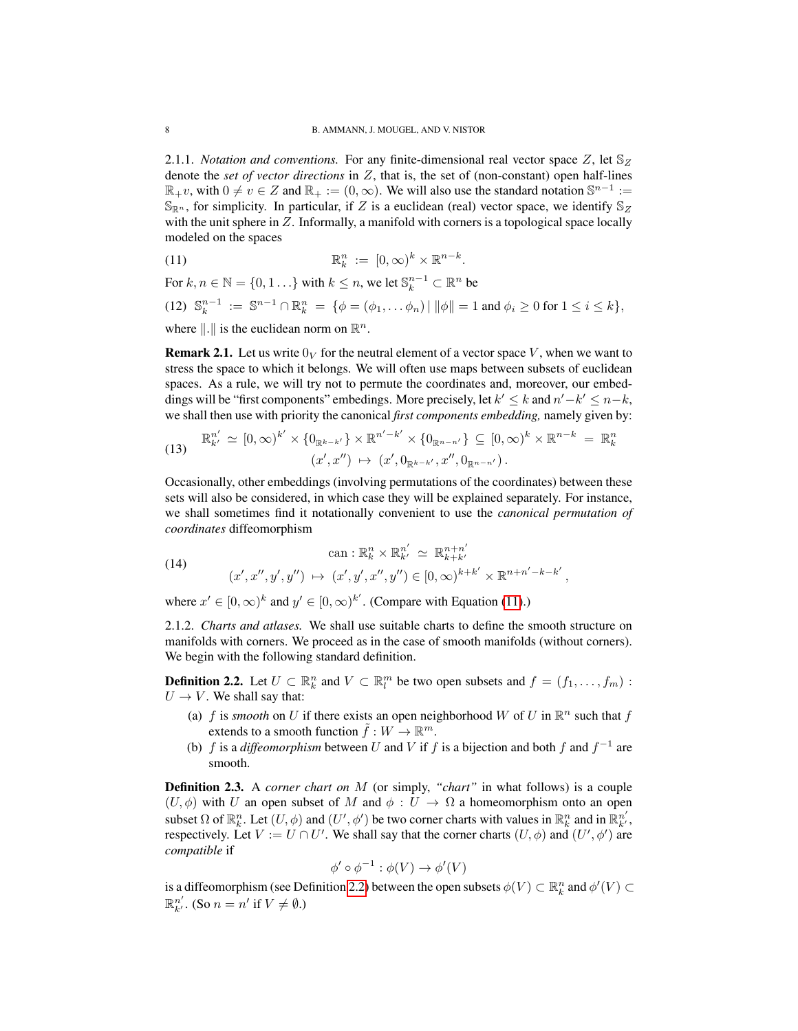<span id="page-7-2"></span>2.1.1. *Notation and conventions.* For any finite-dimensional real vector space  $Z$ , let  $\mathbb{S}_Z$ denote the *set of vector directions* in Z, that is, the set of (non-constant) open half-lines  $\mathbb{R}_+v$ , with  $0 \neq v \in \mathbb{Z}$  and  $\mathbb{R}_+ := (0, \infty)$ . We will also use the standard notation  $\mathbb{S}^{n-1} :=$  $\mathbb{S}_{\mathbb{R}^n}$ , for simplicity. In particular, if Z is a euclidean (real) vector space, we identify  $\mathbb{S}_Z$ with the unit sphere in  $Z$ . Informally, a manifold with corners is a topological space locally modeled on the spaces

<span id="page-7-0"></span>(11) 
$$
\mathbb{R}_k^n := [0,\infty)^k \times \mathbb{R}^{n-k}.
$$

For  $k, n \in \mathbb{N} = \{0, 1, \ldots\}$  with  $k \leq n$ , we let  $\mathbb{S}_k^{n-1} \subset \mathbb{R}^n$  be

<span id="page-7-3"></span>(12)  $\mathbb{S}_k^{n-1} := \mathbb{S}^{n-1} \cap \mathbb{R}_k^n = \{ \phi = (\phi_1, \dots \phi_n) \mid ||\phi|| = 1 \text{ and } \phi_i \ge 0 \text{ for } 1 \le i \le k \},$ 

where  $\Vert . \Vert$  is the euclidean norm on  $\mathbb{R}^n$ .

**Remark 2.1.** Let us write  $0_V$  for the neutral element of a vector space V, when we want to stress the space to which it belongs. We will often use maps between subsets of euclidean spaces. As a rule, we will try not to permute the coordinates and, moreover, our embeddings will be "first components" embedings. More precisely, let  $k' \leq k$  and  $n'-k' \leq n-k$ , we shall then use with priority the canonical *first components embedding,* namely given by:

<span id="page-7-4"></span>(13) 
$$
\mathbb{R}_{k'}^{n'} \simeq [0,\infty)^{k'} \times \{0_{\mathbb{R}^{k-k'}}\} \times \mathbb{R}^{n'-k'} \times \{0_{\mathbb{R}^{n-n'}}\} \subseteq [0,\infty)^k \times \mathbb{R}^{n-k} = \mathbb{R}_k^n
$$

$$
(x',x'') \mapsto (x',0_{\mathbb{R}^{k-k'}},x'',0_{\mathbb{R}^{n-n'}}).
$$

Occasionally, other embeddings (involving permutations of the coordinates) between these sets will also be considered, in which case they will be explained separately. For instance, we shall sometimes find it notationally convenient to use the *canonical permutation of coordinates* diffeomorphism

<span id="page-7-5"></span>(14) 
$$
\operatorname{can}: \mathbb{R}^n_k \times \mathbb{R}^{n'}_{k'} \simeq \mathbb{R}^{n+n'}_{k+k'}
$$

$$
(x', x'', y', y'') \mapsto (x', y', x'', y'') \in [0, \infty)^{k+k'} \times \mathbb{R}^{n+n'-k-k'},
$$

where  $x' \in [0, \infty)^k$  and  $y' \in [0, \infty)^{k'}$ . (Compare with Equation [\(11\)](#page-7-0).)

2.1.2. *Charts and atlases.* We shall use suitable charts to define the smooth structure on manifolds with corners. We proceed as in the case of smooth manifolds (without corners). We begin with the following standard definition.

<span id="page-7-1"></span>**Definition 2.2.** Let  $U \subset \mathbb{R}^n_k$  and  $V \subset \mathbb{R}^m_l$  be two open subsets and  $f = (f_1, \ldots, f_m)$ :  $U \rightarrow V$ . We shall say that:

- (a) f is *smooth* on U if there exists an open neighborhood W of U in  $\mathbb{R}^n$  such that f extends to a smooth function  $\tilde{f}: W \to \mathbb{R}^m$ .
- (b) f is a *diffeomorphism* between U and V if f is a bijection and both f and  $f^{-1}$  are smooth.

Definition 2.3. A *corner chart on* M (or simply, *"chart"* in what follows) is a couple  $(U, \phi)$  with U an open subset of M and  $\phi : U \to \Omega$  a homeomorphism onto an open subset  $\Omega$  of  $\mathbb{R}^n_k$ . Let  $(U, \phi)$  and  $(U', \phi')$  be two corner charts with values in  $\mathbb{R}^n_k$  and in  $\mathbb{R}^{n'}_{k'}$ , respectively. Let  $V := U \cap U'$ . We shall say that the corner charts  $(U, \phi)$  and  $(U', \phi')$  are *compatible* if

$$
\phi' \circ \phi^{-1} : \phi(V) \to \phi'(V)
$$

is a diffeomorphism (see Definition [2.2\)](#page-7-1) between the open subsets  $\phi(V) \subset \mathbb{R}^n_k$  and  $\phi'(V) \subset$  $\mathbb{R}^{n'}_{k'}$ . (So  $n = n'$  if  $V \neq \emptyset$ .)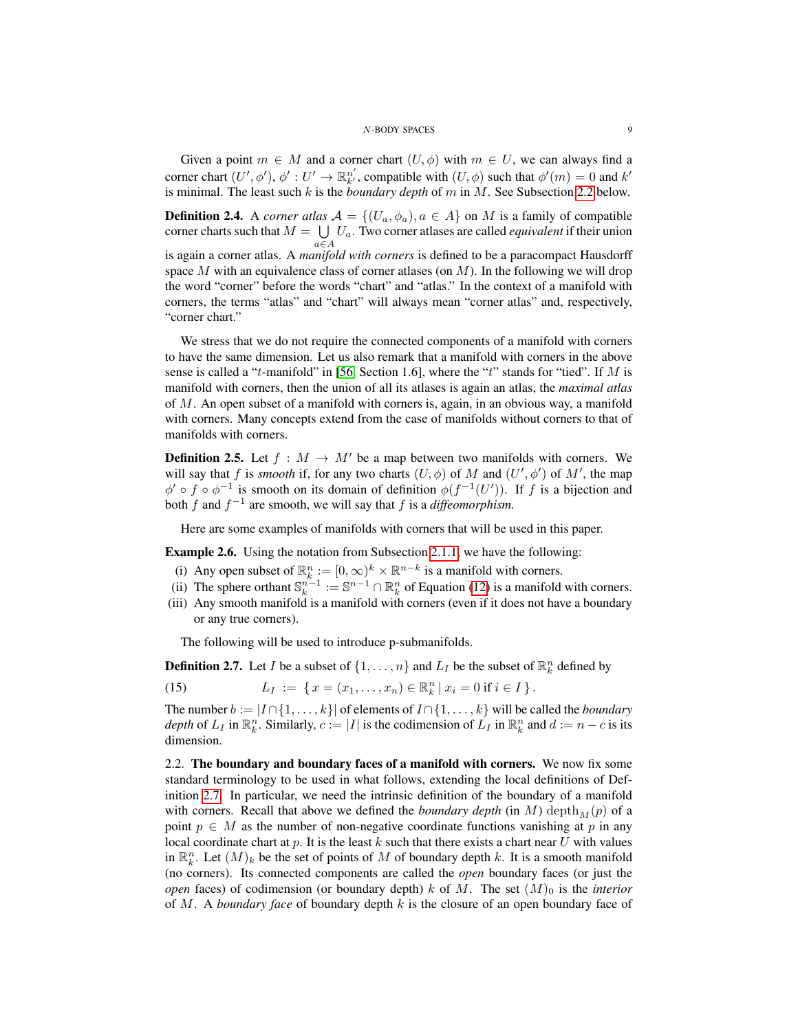Given a point  $m \in M$  and a corner chart  $(U, \phi)$  with  $m \in U$ , we can always find a corner chart  $(U', \phi')$ ,  $\phi' : U' \to \mathbb{R}^{n'}_{k'}$ , compatible with  $(U, \phi)$  such that  $\phi'(m) = 0$  and  $k'$ is minimal. The least such k is the *boundary depth* of m in M. See Subsection [2.2](#page-8-0) below.

<span id="page-8-4"></span>**Definition 2.4.** A *corner atlas*  $A = \{(U_a, \phi_a), a \in A\}$  on M is a family of compatible corner charts such that  $M = \bigcup U_a$ . Two corner atlases are called *equivalent* if their union  $a \in A$ is again a corner atlas. A *manifold with corners* is defined to be a paracompact Hausdorff space M with an equivalence class of corner atlases (on  $M$ ). In the following we will drop the word "corner" before the words "chart" and "atlas." In the context of a manifold with corners, the terms "atlas" and "chart" will always mean "corner atlas" and, respectively, "corner chart."

We stress that we do not require the connected components of a manifold with corners to have the same dimension. Let us also remark that a manifold with corners in the above sense is called a "t-manifold" in [\[56,](#page-50-9) Section 1.6], where the "t" stands for "tied". If M is manifold with corners, then the union of all its atlases is again an atlas, the *maximal atlas* of M. An open subset of a manifold with corners is, again, in an obvious way, a manifold with corners. Many concepts extend from the case of manifolds without corners to that of manifolds with corners.

**Definition 2.5.** Let  $f : M \to M'$  be a map between two manifolds with corners. We will say that f is *smooth* if, for any two charts  $(U, \phi)$  of M and  $(U', \phi')$  of M', the map  $\phi' \circ f \circ \phi^{-1}$  is smooth on its domain of definition  $\phi(f^{-1}(U'))$ . If f is a bijection and both  $f$  and  $f^{-1}$  are smooth, we will say that  $f$  is a *diffeomorphism*.

Here are some examples of manifolds with corners that will be used in this paper.

<span id="page-8-3"></span>Example 2.6. Using the notation from Subsection [2.1.1,](#page-7-2) we have the following:

- (i) Any open subset of  $\mathbb{R}_k^n := [0, \infty)^k \times \mathbb{R}^{n-k}$  is a manifold with corners.
- (ii) The sphere orthant  $\mathbb{S}_k^{n-1} := \mathbb{S}^{n-1} \cap \mathbb{R}_k^n$  of Equation [\(12\)](#page-7-3) is a manifold with corners.
- (iii) Any smooth manifold is a manifold with corners (even if it does not have a boundary or any true corners).

<span id="page-8-2"></span>The following will be used to introduce p-submanifolds.

<span id="page-8-1"></span>**Definition 2.7.** Let *I* be a subset of  $\{1, \ldots, n\}$  and  $L_I$  be the subset of  $\mathbb{R}^n_k$  defined by

(15) 
$$
L_I := \{ x = (x_1, \ldots, x_n) \in \mathbb{R}^n_k \, | \, x_i = 0 \text{ if } i \in I \}.
$$

The number  $b := |I \cap \{1, ..., k\}|$  of elements of  $I \cap \{1, ..., k\}$  will be called the *boundary depth* of  $L_I$  in  $\mathbb{R}_k^n$ . Similarly,  $c := |I|$  is the codimension of  $L_I$  in  $\mathbb{R}_k^n$  and  $d := n - c$  is its dimension.

<span id="page-8-0"></span>2.2. The boundary and boundary faces of a manifold with corners. We now fix some standard terminology to be used in what follows, extending the local definitions of Definition [2.7.](#page-8-1) In particular, we need the intrinsic definition of the boundary of a manifold with corners. Recall that above we defined the *boundary depth* (in M) depth<sub>M</sub> $(p)$  of a point  $p \in M$  as the number of non-negative coordinate functions vanishing at p in any local coordinate chart at p. It is the least k such that there exists a chart near U with values in  $\mathbb{R}_k^n$ . Let  $(M)_k$  be the set of points of M of boundary depth k. It is a smooth manifold (no corners). Its connected components are called the *open* boundary faces (or just the *open* faces) of codimension (or boundary depth) k of M. The set  $(M)$ <sup>0</sup> is the *interior* of M. A *boundary face* of boundary depth k is the closure of an open boundary face of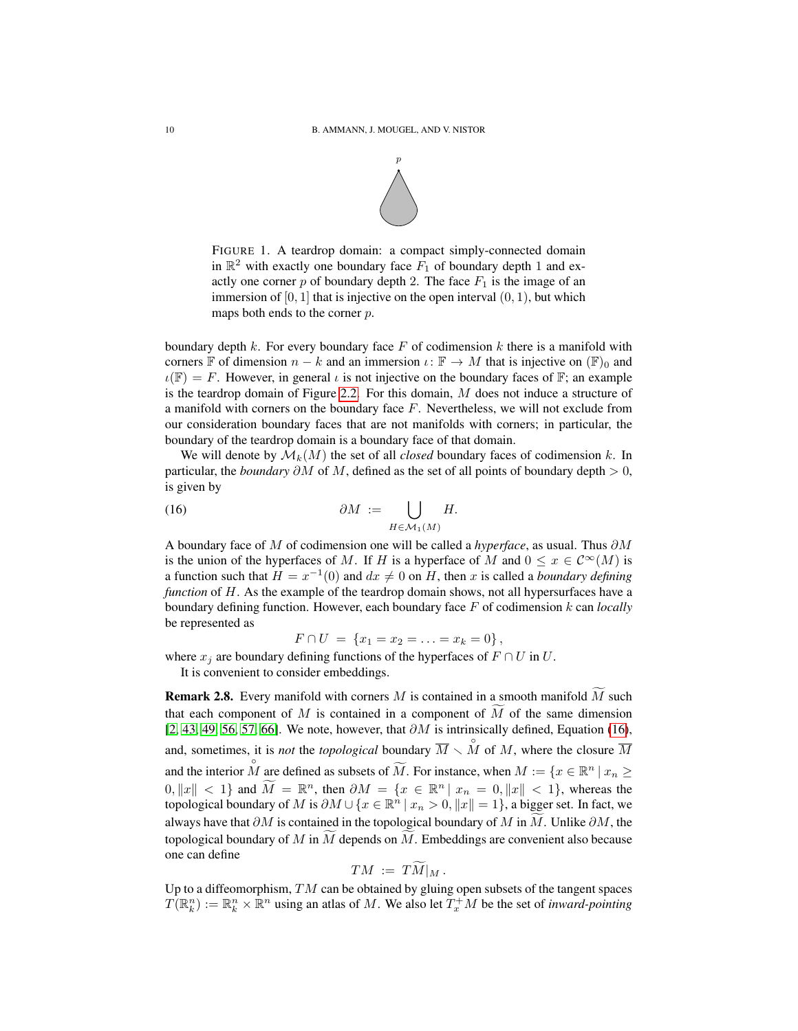

FIGURE 1. A teardrop domain: a compact simply-connected domain in  $\mathbb{R}^2$  with exactly one boundary face  $\overline{F}_1$  of boundary depth 1 and exactly one corner p of boundary depth 2. The face  $F_1$  is the image of an immersion of  $[0, 1]$  that is injective on the open interval  $(0, 1)$ , but which maps both ends to the corner  $p$ .

boundary depth k. For every boundary face F of codimension k there is a manifold with corners F of dimension  $n - k$  and an immersion  $\iota : \mathbb{F} \to M$  that is injective on  $(\mathbb{F})_0$  and  $\iota(\mathbb{F}) = F$ . However, in general  $\iota$  is not injective on the boundary faces of  $\mathbb{F}$ ; an example is the teardrop domain of Figure [2.2.](#page-8-0) For this domain,  $M$  does not induce a structure of a manifold with corners on the boundary face  $F$ . Nevertheless, we will not exclude from our consideration boundary faces that are not manifolds with corners; in particular, the boundary of the teardrop domain is a boundary face of that domain.

We will denote by  $\mathcal{M}_k(M)$  the set of all *closed* boundary faces of codimension k. In particular, the *boundary*  $\partial M$  of M, defined as the set of all points of boundary depth > 0, is given by

(16) 
$$
\partial M := \bigcup_{H \in \mathcal{M}_1(M)} H.
$$

A boundary face of M of codimension one will be called a *hyperface*, as usual. Thus ∂M is the union of the hyperfaces of M. If H is a hyperface of M and  $0 \le x \in C^{\infty}(M)$  is a function such that  $H = x^{-1}(0)$  and  $dx \neq 0$  on H, then x is called a *boundary defining function* of H. As the example of the teardrop domain shows, not all hypersurfaces have a boundary defining function. However, each boundary face F of codimension k can *locally* be represented as

<span id="page-9-0"></span>
$$
F \cap U = \{x_1 = x_2 = \ldots = x_k = 0\},\,
$$

where  $x_j$  are boundary defining functions of the hyperfaces of  $F \cap U$  in  $U$ .

It is convenient to consider embeddings.

<span id="page-9-1"></span>**Remark 2.8.** Every manifold with corners M is contained in a smooth manifold  $\overline{M}$  such that each component of M is contained in a component of  $\overline{M}$  of the same dimension [\[2,](#page-48-3) [43,](#page-50-8) [49,](#page-50-12) [56,](#page-50-9) [57,](#page-50-13) [66\]](#page-51-6). We note, however, that  $\partial M$  is intrinsically defined, Equation [\(16\)](#page-9-0), and, sometimes, it is *not* the *topological* boundary  $\overline{M} \setminus \overset{\circ}{M}$  of M, where the closure  $\overline{M}$ and the interior  $\stackrel{\circ}{M}$  are defined as subsets of  $\widetilde{M}$ . For instance, when  $M := \{x \in \mathbb{R}^n \mid x_n \geq 0\}$  $0, \|x\| < 1$  and  $\widetilde{M} = \mathbb{R}^n$ , then  $\partial M = \{x \in \mathbb{R}^n | x_n = 0, \|x\| < 1\}$ , whereas the topological boundary of M is  $\partial M \cup \{x \in \mathbb{R}^n \mid x_n > 0, \|x\| = 1\}$ , a bigger set. In fact, we always have that  $\partial M$  is contained in the topological boundary of M in M. Unlike  $\partial M$ , the topological boundary of M in M depends on M. Embeddings are convenient also because one can define

$$
TM := TM|_M.
$$

Up to a diffeomorphism,  $TM$  can be obtained by gluing open subsets of the tangent spaces  $T(\mathbb{R}^n_k) := \mathbb{R}^n_k \times \mathbb{R}^n$  using an atlas of M. We also let  $T_x^+M$  be the set of *inward-pointing*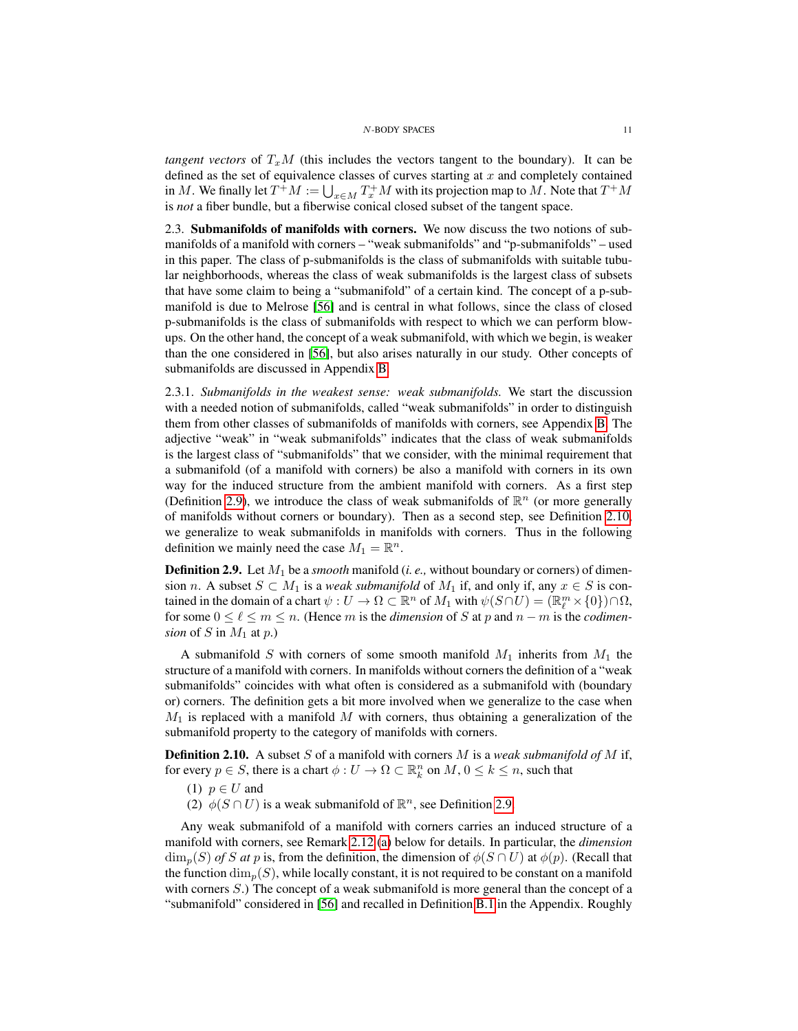*tangent vectors* of  $T_xM$  (this includes the vectors tangent to the boundary). It can be defined as the set of equivalence classes of curves starting at  $x$  and completely contained in M. We finally let  $T^+M:=\bigcup_{x\in M}T^+_xM$  with its projection map to  $M.$  Note that  $T^+M$ is *not* a fiber bundle, but a fiberwise conical closed subset of the tangent space.

<span id="page-10-0"></span>2.3. Submanifolds of manifolds with corners. We now discuss the two notions of submanifolds of a manifold with corners – "weak submanifolds" and "p-submanifolds" – used in this paper. The class of p-submanifolds is the class of submanifolds with suitable tubular neighborhoods, whereas the class of weak submanifolds is the largest class of subsets that have some claim to being a "submanifold" of a certain kind. The concept of a p-submanifold is due to Melrose [\[56\]](#page-50-9) and is central in what follows, since the class of closed p-submanifolds is the class of submanifolds with respect to which we can perform blowups. On the other hand, the concept of a weak submanifold, with which we begin, is weaker than the one considered in [\[56\]](#page-50-9), but also arises naturally in our study. Other concepts of submanifolds are discussed in Appendix [B.](#page-46-1)

2.3.1. *Submanifolds in the weakest sense: weak submanifolds.* We start the discussion with a needed notion of submanifolds, called "weak submanifolds" in order to distinguish them from other classes of submanifolds of manifolds with corners, see Appendix [B.](#page-46-1) The adjective "weak" in "weak submanifolds" indicates that the class of weak submanifolds is the largest class of "submanifolds" that we consider, with the minimal requirement that a submanifold (of a manifold with corners) be also a manifold with corners in its own way for the induced structure from the ambient manifold with corners. As a first step (Definition [2.9\)](#page-10-1), we introduce the class of weak submanifolds of  $\mathbb{R}^n$  (or more generally of manifolds without corners or boundary). Then as a second step, see Definition [2.10,](#page-10-2) we generalize to weak submanifolds in manifolds with corners. Thus in the following definition we mainly need the case  $M_1 = \mathbb{R}^n$ .

<span id="page-10-1"></span>**Definition 2.9.** Let  $M_1$  be a *smooth* manifold (*i. e.*, without boundary or corners) of dimension n. A subset  $S \subset M_1$  is a *weak submanifold* of  $M_1$  if, and only if, any  $x \in S$  is contained in the domain of a chart  $\psi: U \to \Omega \subset \mathbb{R}^n$  of  $M_1$  with  $\psi(S \cap U) = (\mathbb{R}^m_\ell \times \{0\}) \cap \Omega$ , for some  $0 \leq \ell \leq m \leq n$ . (Hence m is the *dimension* of S at p and  $n - m$  is the *codimension* of S in  $M_1$  at p.)

A submanifold S with corners of some smooth manifold  $M_1$  inherits from  $M_1$  the structure of a manifold with corners. In manifolds without corners the definition of a "weak submanifolds" coincides with what often is considered as a submanifold with (boundary or) corners. The definition gets a bit more involved when we generalize to the case when  $M_1$  is replaced with a manifold M with corners, thus obtaining a generalization of the submanifold property to the category of manifolds with corners.

<span id="page-10-2"></span>Definition 2.10. A subset S of a manifold with corners M is a *weak submanifold of* M if, for every  $p \in S$ , there is a chart  $\phi: U \to \Omega \subset \mathbb{R}^n_k$  on  $M, 0 \leq k \leq n$ , such that

- (1)  $p \in U$  and
- <span id="page-10-3"></span>(2)  $\phi(S \cap U)$  is a weak submanifold of  $\mathbb{R}^n$ , see Definition [2.9.](#page-10-1)

Any weak submanifold of a manifold with corners carries an induced structure of a manifold with corners, see Remark [2.12](#page-11-0) [\(a\)](#page-11-1) below for details. In particular, the *dimension*  $\dim_p(S)$  *of* S *at* p is, from the definition, the dimension of  $\phi(S \cap U)$  at  $\phi(p)$ . (Recall that the function  $\dim_p(S)$ , while locally constant, it is not required to be constant on a manifold with corners S.) The concept of a weak submanifold is more general than the concept of a "submanifold" considered in [\[56\]](#page-50-9) and recalled in Definition [B.1](#page-46-3) in the Appendix. Roughly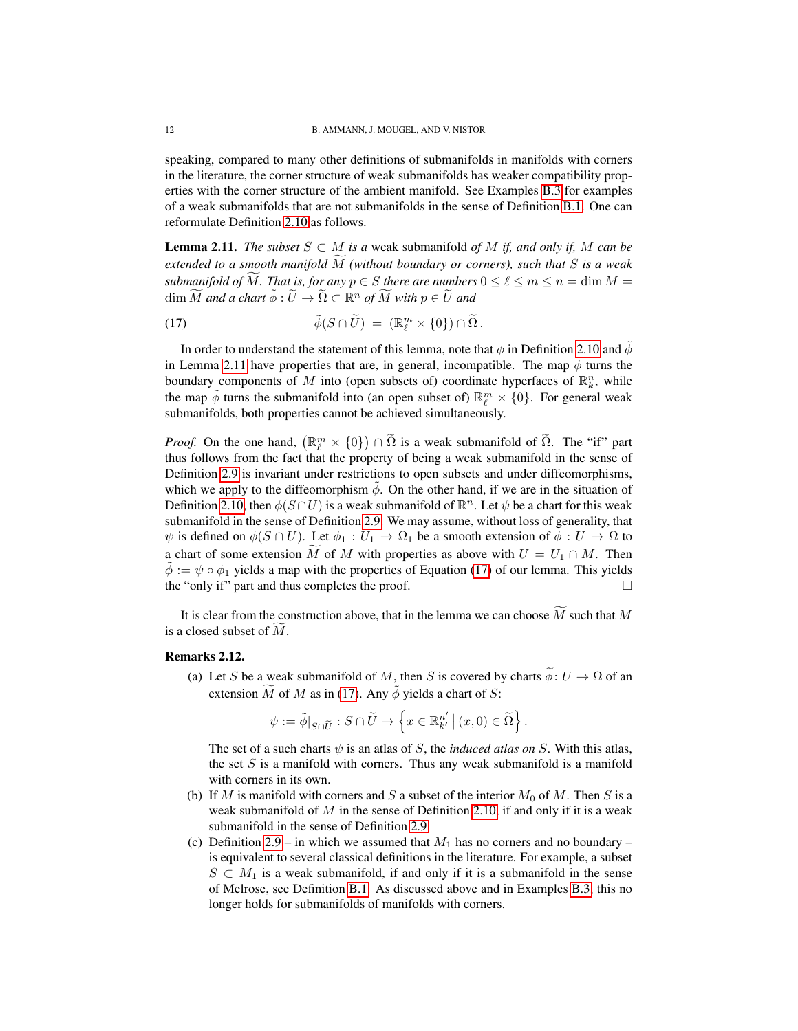speaking, compared to many other definitions of submanifolds in manifolds with corners in the literature, the corner structure of weak submanifolds has weaker compatibility properties with the corner structure of the ambient manifold. See Examples [B.3](#page-47-1) for examples of a weak submanifolds that are not submanifolds in the sense of Definition [B.1.](#page-46-3) One can reformulate Definition [2.10](#page-10-2) as follows.

<span id="page-11-2"></span>**Lemma 2.11.** *The subset*  $S \subset M$  *is a* weak submanifold *of*  $M$  *if, and only if,*  $M$  *can be extended to a smooth manifold* <sup>M</sup><sup>f</sup> *(without boundary or corners), such that* <sup>S</sup> *is a weak submanifold of* M*<i>.* That is, for any  $p \in S$  there are numbers  $0 \leq \ell \leq m \leq n = \dim M$  $\dim \widetilde{M}$  and a chart  $\tilde{\phi}: \widetilde{U} \to \widetilde{\Omega} \subset \mathbb{R}^n$  of  $\widetilde{M}$  with  $p \in \widetilde{U}$  and

<span id="page-11-3"></span>(17) 
$$
\tilde{\phi}(S \cap \tilde{U}) = (\mathbb{R}_{\ell}^{m} \times \{0\}) \cap \tilde{\Omega}.
$$

In order to understand the statement of this lemma, note that  $\phi$  in Definition [2.10](#page-10-2) and  $\ddot{\phi}$ in Lemma [2.11](#page-11-2) have properties that are, in general, incompatible. The map  $\phi$  turns the boundary components of M into (open subsets of) coordinate hyperfaces of  $\mathbb{R}^n_k$ , while the map  $\tilde{\phi}$  turns the submanifold into (an open subset of)  $\mathbb{R}^m_{\ell} \times \{0\}$ . For general weak submanifolds, both properties cannot be achieved simultaneously.

*Proof.* On the one hand,  $(\mathbb{R}_{\ell}^{m} \times \{0\}) \cap \tilde{\Omega}$  is a weak submanifold of  $\tilde{\Omega}$ . The "if" part thus follows from the fact that the property of being a weak submanifold in the sense of Definition [2.9](#page-10-1) is invariant under restrictions to open subsets and under diffeomorphisms, which we apply to the diffeomorphism  $\phi$ . On the other hand, if we are in the situation of Definition [2.10,](#page-10-2) then  $\phi(S \cap U)$  is a weak submanifold of  $\mathbb{R}^n$ . Let  $\psi$  be a chart for this weak submanifold in the sense of Definition [2.9.](#page-10-1) We may assume, without loss of generality, that  $\psi$  is defined on  $\phi(S \cap U)$ . Let  $\phi_1 : U_1 \to \Omega_1$  be a smooth extension of  $\phi : U \to \Omega$  to a chart of some extension M of M with properties as above with  $U = U_1 \cap M$ . Then  $\phi := \psi \circ \phi_1$  yields a map with the properties of Equation [\(17\)](#page-11-3) of our lemma. This yields the "only if" part and thus completes the proof.  $\Box$ 

It is clear from the construction above, that in the lemma we can choose  $\widetilde{M}$  such that  $M$ is a closed subset of  $M$ .

## <span id="page-11-1"></span><span id="page-11-0"></span>Remarks 2.12.

(a) Let S be a weak submanifold of M, then S is covered by charts  $\tilde{\phi}: U \to \Omega$  of an extension M of M as in [\(17\)](#page-11-3). Any  $\phi$  yields a chart of S:

$$
\psi := \tilde{\phi}|_{S \cap \widetilde{U}} : S \cap \widetilde{U} \to \left\{ x \in \mathbb{R}^{n'}_{k'} \, \middle| \, (x,0) \in \widetilde{\Omega} \right\}.
$$

The set of a such charts  $\psi$  is an atlas of S, the *induced atlas on* S. With this atlas, the set  $S$  is a manifold with corners. Thus any weak submanifold is a manifold with corners in its own.

- (b) If M is manifold with corners and S a subset of the interior  $M_0$  of M. Then S is a weak submanifold of  $M$  in the sense of Definition [2.10,](#page-10-2) if and only if it is a weak submanifold in the sense of Definition [2.9.](#page-10-1)
- <span id="page-11-4"></span>(c) Definition [2.9](#page-10-1) – in which we assumed that  $M_1$  has no corners and no boundary – is equivalent to several classical definitions in the literature. For example, a subset  $S \subset M_1$  is a weak submanifold, if and only if it is a submanifold in the sense of Melrose, see Definition [B.1.](#page-46-3) As discussed above and in Examples [B.3,](#page-47-1) this no longer holds for submanifolds of manifolds with corners.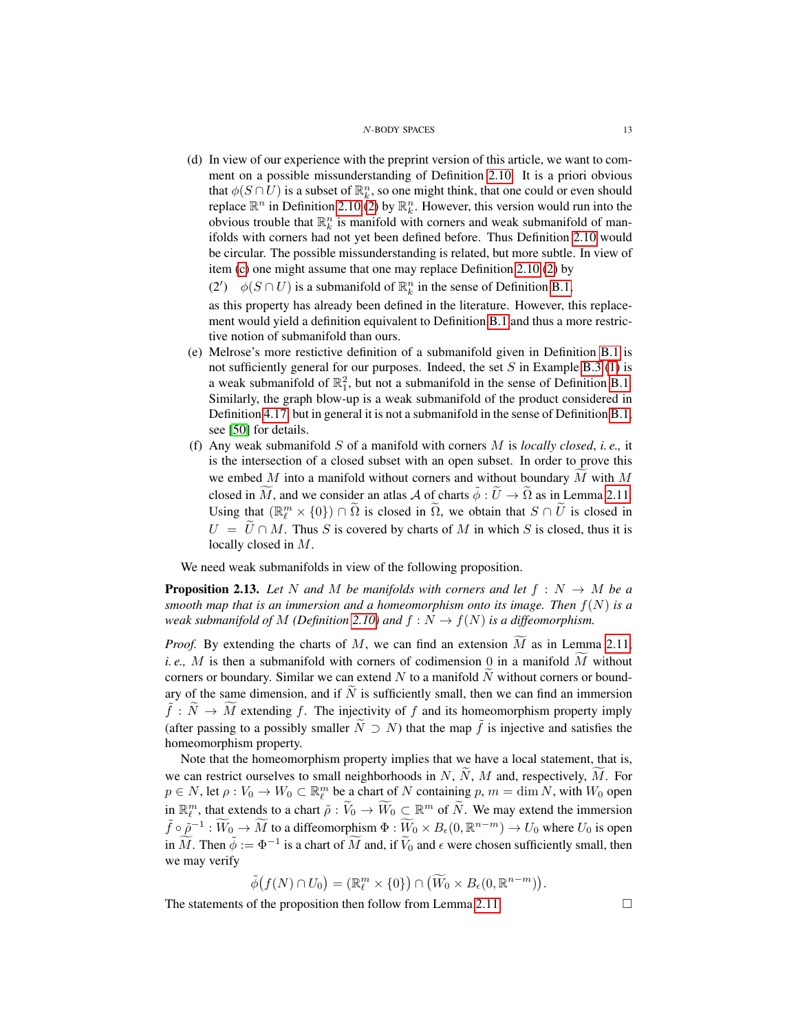(d) In view of our experience with the preprint version of this article, we want to comment on a possible missunderstanding of Definition [2.10.](#page-10-2) It is a priori obvious that  $\phi(S \cap U)$  is a subset of  $\mathbb{R}^n_k$ , so one might think, that one could or even should replace  $\mathbb{R}^n$  in Definition [2.10](#page-10-2) [\(2\)](#page-10-3) by  $\mathbb{R}_k^n$ . However, this version would run into the obvious trouble that  $\mathbb{R}_k^n$  is manifold with corners and weak submanifold of manifolds with corners had not yet been defined before. Thus Definition [2.10](#page-10-2) would be circular. The possible missunderstanding is related, but more subtle. In view of item [\(c\)](#page-11-4) one might assume that one may replace Definition [2.10](#page-10-2) [\(2\)](#page-10-3) by

(2')  $\phi(S \cap U)$  is a submanifold of  $\mathbb{R}^n_k$  in the sense of Definition [B.1,](#page-46-3)

as this property has already been defined in the literature. However, this replacement would yield a definition equivalent to Definition [B.1](#page-46-3) and thus a more restrictive notion of submanifold than ours.

- (e) Melrose's more restictive definition of a submanifold given in Definition [B.1](#page-46-3) is not sufficiently general for our purposes. Indeed, the set S in Example [B.3](#page-47-1) [\(1\)](#page-47-2) is a weak submanifold of  $\mathbb{R}^2_1$ , but not a submanifold in the sense of Definition [B.1.](#page-46-3) Similarly, the graph blow-up is a weak submanifold of the product considered in Definition [4.17,](#page-31-1) but in general it is not a submanifold in the sense of Definition [B.1,](#page-46-3) see [\[50\]](#page-50-14) for details.
- (f) Any weak submanifold S of a manifold with corners M is *locally closed*, *i. e.,* it is the intersection of a closed subset with an open subset. In order to prove this we embed  $M$  into a manifold without corners and without boundary  $M$  with  $M$ closed in M, and we consider an atlas A of charts  $\tilde{\phi} : \tilde{U} \to \tilde{\Omega}$  as in Lemma [2.11.](#page-11-2) Using that  $(\mathbb{R}_{\ell}^m \times \{0\}) \cap \tilde{\Omega}$  is closed in  $\tilde{\Omega}$ , we obtain that  $S \cap \tilde{U}$  is closed in  $U = \widetilde{U} \cap M$ . Thus S is covered by charts of M in which S is closed, thus it is locally closed in M.

We need weak submanifolds in view of the following proposition.

<span id="page-12-0"></span>**Proposition 2.13.** Let N and M be manifolds with corners and let  $f : N \to M$  be a *smooth map that is an immersion and a homeomorphism onto its image. Then* f(N) *is a weak submanifold of*  $M$  *(Definition [2.10\)](#page-10-2)* and  $f : N \to f(N)$  *is a diffeomorphism.* 

*Proof.* By extending the charts of M, we can find an extension  $\widetilde{M}$  as in Lemma [2.11,](#page-11-2) *i. e.,*  $M$  is then a submanifold with corners of codimension 0 in a manifold  $M$  without corners or boundary. Similar we can extend  $N$  to a manifold  $N$  without corners or boundary of the same dimension, and if  $\tilde{N}$  is sufficiently small, then we can find an immersion  $\tilde{f}: \tilde{N} \to \tilde{M}$  extending f. The injectivity of f and its homeomorphism property imply (after passing to a possibly smaller  $\tilde{N} \supseteq N$ ) that the map  $\tilde{f}$  is injective and satisfies the homeomorphism property.

Note that the homeomorphism property implies that we have a local statement, that is, we can restrict ourselves to small neighborhoods in N,  $\widetilde{N}$ , M and, respectively,  $\widetilde{M}$ . For  $p \in N$ , let  $\rho: V_0 \to W_0 \subset \mathbb{R}^m$  be a chart of N containing  $p, m = \dim N$ , with  $W_0$  open in  $\mathbb{R}^m_\ell$ , that extends to a chart  $\tilde{\rho}: \tilde{V}_0 \to \widetilde{W}_0 \subset \mathbb{R}^m$  of  $\tilde{N}$ . We may extend the immersion  $\tilde{f} \circ \tilde{p}^{-1} : \widetilde{W}_0 \to \widetilde{M}$  to a diffeomorphism  $\Phi : \widetilde{W}_0 \times B_{\epsilon}(0, \mathbb{R}^{n-m}) \to U_0$  where  $U_0$  is open in  $\widetilde{M}$ . Then  $\widetilde{\phi} := \Phi^{-1}$  is a chart of  $\widetilde{M}$  and, if  $\widetilde{V}_0$  and  $\epsilon$  were chosen sufficiently small, then we may verify

$$
\tilde{\phi}(f(N) \cap U_0) = (\mathbb{R}^m_{\ell} \times \{0\}) \cap (\widetilde{W}_0 \times B_{\epsilon}(0, \mathbb{R}^{n-m})).
$$

The statements of the proposition then follow from Lemma [2.11.](#page-11-2)  $\Box$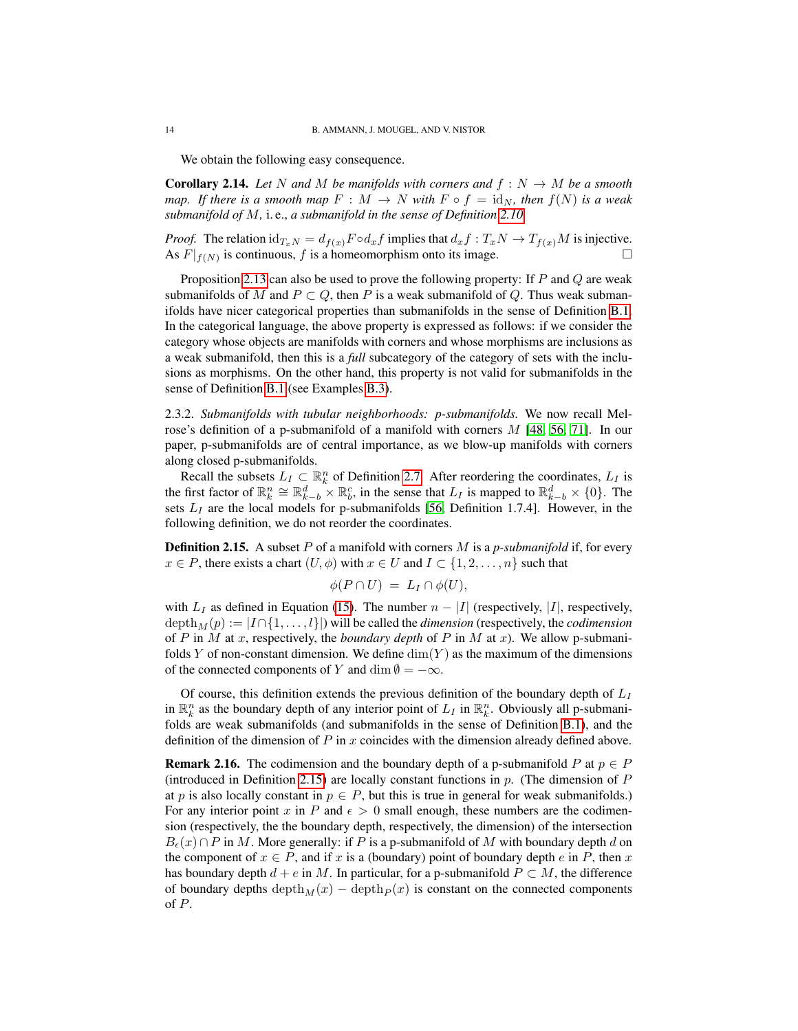We obtain the following easy consequence.

<span id="page-13-1"></span>**Corollary 2.14.** Let N and M be manifolds with corners and  $f : N \to M$  be a smooth *map.* If there is a smooth map  $F : M \to N$  with  $F \circ f = id_N$ , then  $f(N)$  is a weak *submanifold of* M*,* i. e., *a submanifold in the sense of Definition [2.10.](#page-10-2)*

*Proof.* The relation  $id_{T_xN} = d_{f(x)}F \circ d_x f$  implies that  $d_x f : T_xN \to T_{f(x)}M$  is injective. As  $F|_{f(N)}$  is continuous, f is a homeomorphism onto its image.

Proposition [2.13](#page-12-0) can also be used to prove the following property: If  $P$  and  $Q$  are weak submanifolds of M and  $P \subset Q$ , then P is a weak submanifold of Q. Thus weak submanifolds have nicer categorical properties than submanifolds in the sense of Definition [B.1.](#page-46-3) In the categorical language, the above property is expressed as follows: if we consider the category whose objects are manifolds with corners and whose morphisms are inclusions as a weak submanifold, then this is a *full* subcategory of the category of sets with the inclusions as morphisms. On the other hand, this property is not valid for submanifolds in the sense of Definition [B.1](#page-46-3) (see Examples [B.3\)](#page-47-1).

2.3.2. *Submanifolds with tubular neighborhoods: p-submanifolds.* We now recall Melrose's definition of a p-submanifold of a manifold with corners  $M$  [\[48,](#page-50-7) [56,](#page-50-9) [71\]](#page-51-7). In our paper, p-submanifolds are of central importance, as we blow-up manifolds with corners along closed p-submanifolds.

Recall the subsets  $L_I \subset \mathbb{R}^n_k$  of Definition [2.7.](#page-8-1) After reordering the coordinates,  $L_I$  is the first factor of  $\mathbb{R}_k^n \cong \mathbb{R}_{k-b}^d \times \mathbb{R}_b^c$ , in the sense that  $L_I$  is mapped to  $\mathbb{R}_{k-b}^d \times \{0\}$ . The sets  $L_I$  are the local models for p-submanifolds [\[56,](#page-50-9) Definition 1.7.4]. However, in the following definition, we do not reorder the coordinates.

<span id="page-13-0"></span>Definition 2.15. A subset P of a manifold with corners M is a *p-submanifold* if, for every  $x \in P$ , there exists a chart  $(U, \phi)$  with  $x \in U$  and  $I \subset \{1, 2, \ldots, n\}$  such that

$$
\phi(P \cap U) = L_I \cap \phi(U),
$$

with  $L_I$  as defined in Equation [\(15\)](#page-8-2). The number  $n - |I|$  (respectively, |I|, respectively,  $depth_M(p) := |I \cap \{1, \ldots, l\}|$ ) will be called the *dimension* (respectively, the *codimension* of P in M at x, respectively, the *boundary depth* of P in M at x). We allow p-submanifolds Y of non-constant dimension. We define  $\dim(Y)$  as the maximum of the dimensions of the connected components of Y and dim  $\emptyset = -\infty$ .

Of course, this definition extends the previous definition of the boundary depth of  $L_I$ in  $\mathbb{R}^n_k$  as the boundary depth of any interior point of  $L_I$  in  $\mathbb{R}^n_k$ . Obviously all p-submanifolds are weak submanifolds (and submanifolds in the sense of Definition [B.1\)](#page-46-3), and the definition of the dimension of  $P$  in  $x$  coincides with the dimension already defined above.

<span id="page-13-2"></span>**Remark 2.16.** The codimension and the boundary depth of a p-submanifold P at  $p \in P$ (introduced in Definition [2.15\)](#page-13-0) are locally constant functions in  $p$ . (The dimension of  $P$ at p is also locally constant in  $p \in P$ , but this is true in general for weak submanifolds.) For any interior point x in P and  $\epsilon > 0$  small enough, these numbers are the codimension (respectively, the the boundary depth, respectively, the dimension) of the intersection  $B_{\epsilon}(x) \cap P$  in M. More generally: if P is a p-submanifold of M with boundary depth d on the component of  $x \in P$ , and if x is a (boundary) point of boundary depth e in P, then x has boundary depth  $d + e$  in M. In particular, for a p-submanifold  $P \subset M$ , the difference of boundary depths depth $_M(x)$  – depth $_P(x)$  is constant on the connected components of P.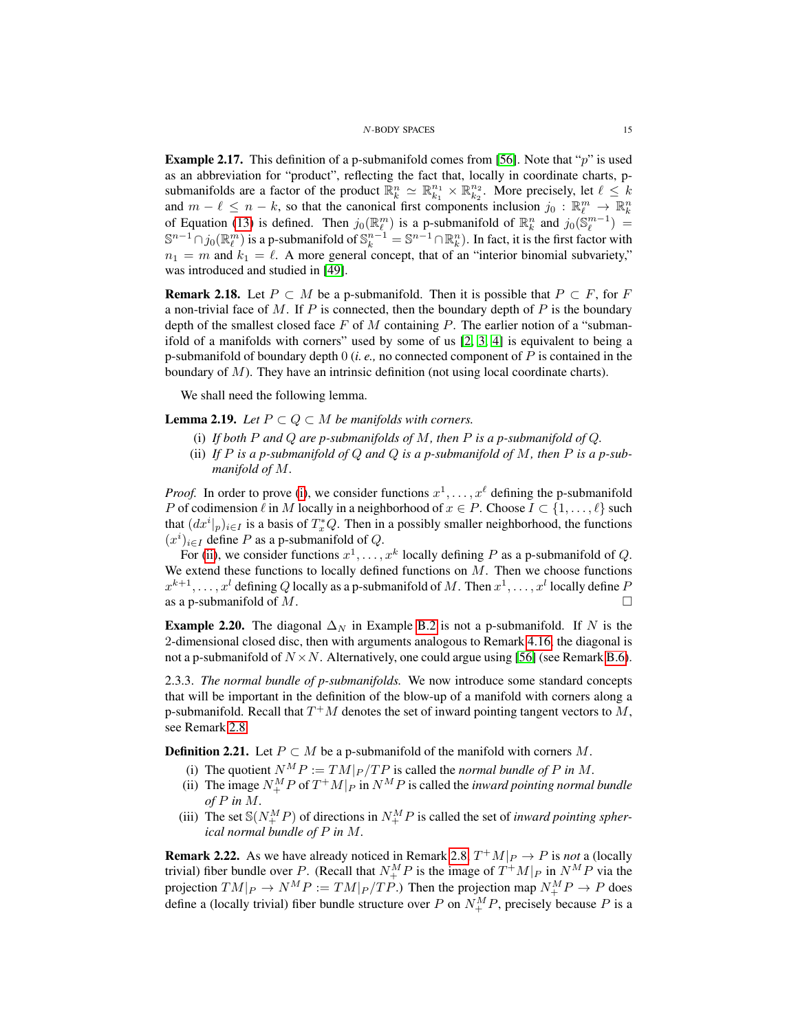<span id="page-14-5"></span>**Example 2.17.** This definition of a p-submanifold comes from [\[56\]](#page-50-9). Note that " $p$ " is used as an abbreviation for "product", reflecting the fact that, locally in coordinate charts, psubmanifolds are a factor of the product  $\mathbb{R}_k^n \simeq \mathbb{R}_{k_1}^{n_1} \times \mathbb{R}_{k_2}^{n_2}$ . More precisely, let  $\ell \leq k$ and  $m - \ell \leq n - k$ , so that the canonical first components inclusion  $j_0 : \mathbb{R}^m_{\ell} \to \mathbb{R}^n_k$ of Equation [\(13\)](#page-7-4) is defined. Then  $j_0(\mathbb{R}_{\ell}^m)$  is a p-submanifold of  $\mathbb{R}_k^n$  and  $j_0(\mathbb{S}_{\ell}^{m-1}) =$  $\mathbb{S}^{n-1}\cap j_0(\mathbb{R}_{\ell}^m)$  is a p-submanifold of  $\mathbb{S}_k^{n-1}=\mathbb{S}^{n-1}\cap \mathbb{R}_k^n$ . In fact, it is the first factor with  $n_1 = m$  and  $k_1 = \ell$ . A more general concept, that of an "interior binomial subvariety," was introduced and studied in [\[49\]](#page-50-12).

**Remark 2.18.** Let  $P \subset M$  be a p-submanifold. Then it is possible that  $P \subset F$ , for F a non-trivial face of M. If P is connected, then the boundary depth of P is the boundary depth of the smallest closed face  $F$  of  $M$  containing  $P$ . The earlier notion of a "submanifold of a manifolds with corners" used by some of us [\[2,](#page-48-3) [3,](#page-48-4) [4\]](#page-48-2) is equivalent to being a p-submanifold of boundary depth 0 (*i. e.,* no connected component of P is contained in the boundary of M). They have an intrinsic definition (not using local coordinate charts).

We shall need the following lemma.

<span id="page-14-4"></span><span id="page-14-0"></span>**Lemma 2.19.** *Let*  $P \subset Q \subset M$  *be manifolds with corners.* 

- (i) *If both* P *and* Q *are p-submanifolds of* M*, then* P *is a p-submanifold of* Q*.*
- <span id="page-14-1"></span>(ii) If  $P$  *is a p-submanifold of*  $Q$  *and*  $Q$  *is a p-submanifold of*  $M$ *, then*  $P$  *is a p-submanifold of* M*.*

*Proof.* In order to prove [\(i\)](#page-14-0), we consider functions  $x^1, \ldots, x^\ell$  defining the p-submanifold P of codimension  $\ell$  in M locally in a neighborhood of  $x \in P$ . Choose  $I \subset \{1, \ldots, \ell\}$  such that  $(dx^{i}|_{p})_{i\in I}$  is a basis of  $T_{x}^{*}Q$ . Then in a possibly smaller neighborhood, the functions  $(x^{i})_{i\in I}$  define P as a p-submanifold of Q.

For [\(ii\)](#page-14-1), we consider functions  $x^1, \ldots, x^k$  locally defining P as a p-submanifold of Q. We extend these functions to locally defined functions on  $M$ . Then we choose functions  $x^{k+1}, \ldots, x^l$  defining  $Q$  locally as a p-submanifold of  $M$  . Then  $x^1, \ldots, x^l$  locally define  $P$ as a p-submanifold of  $M$ .

**Example 2.20.** The diagonal  $\Delta_N$  in Example [B.2](#page-47-3) is not a p-submanifold. If N is the 2-dimensional closed disc, then with arguments analogous to Remark [4.16,](#page-30-0) the diagonal is not a p-submanifold of  $N \times N$ . Alternatively, one could argue using [\[56\]](#page-50-9) (see Remark [B.6\)](#page-48-5).

2.3.3. *The normal bundle of p-submanifolds.* We now introduce some standard concepts that will be important in the definition of the blow-up of a manifold with corners along a p-submanifold. Recall that  $T^+M$  denotes the set of inward pointing tangent vectors to M, see Remark [2.8.](#page-9-1)

<span id="page-14-2"></span>**Definition 2.21.** Let  $P \subset M$  be a p-submanifold of the manifold with corners M.

- (i) The quotient  $N^M P := TM|_P / TP$  is called the *normal bundle of* P in M.
- (ii) The image  $N_{+}^{M}P$  of  $T^{+}M|_{P}$  in  $N^{M}P$  is called the *inward pointing normal bundle of* P *in* M*.*
- (iii) The set  $\mathcal{S}(N_{+}^{M}P)$  of directions in  $N_{+}^{M}P$  is called the set of *inward pointing spherical normal bundle of* P *in* M*.*

<span id="page-14-3"></span>**Remark 2.22.** As we have already noticed in Remark [2.8,](#page-9-1)  $T^+M|_P \to P$  is *not* a (locally trivial) fiber bundle over P. (Recall that  $N_{+}^{M}P$  is the image of  $T^{+}M|_{P}$  in  $N^{M}P$  via the projection  $TM|_P \to N^M P := TM|_P / TP$ .) Then the projection map  $N^M_+ P \to P$  does define a (locally trivial) fiber bundle structure over P on  $N_{+}^{M}P$ , precisely because P is a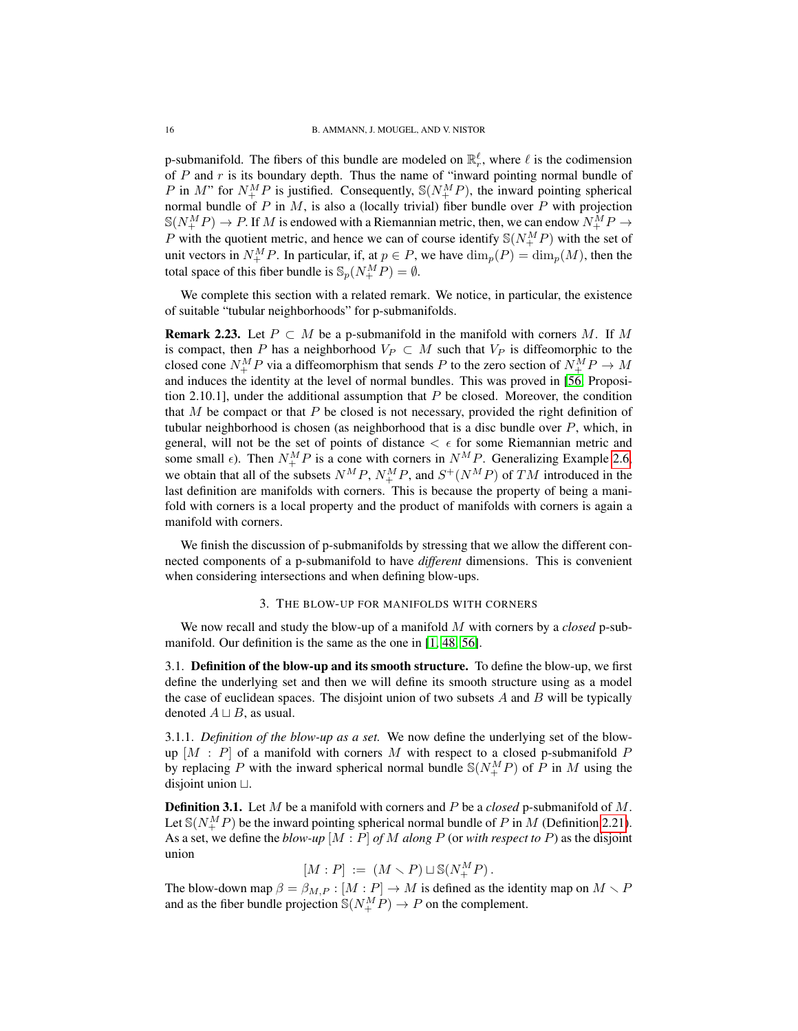p-submanifold. The fibers of this bundle are modeled on  $\mathbb{R}^{\ell}_{r}$ , where  $\ell$  is the codimension of  $P$  and  $r$  is its boundary depth. Thus the name of "inward pointing normal bundle of P in M" for  $N_{+}^{M}P$  is justified. Consequently,  $\mathcal{S}(N_{+}^{M}P)$ , the inward pointing spherical normal bundle of P in  $M$ , is also a (locally trivial) fiber bundle over P with projection  $\mathbb{S}(N_{+}^{M}P) \to P$ . If  $M$  is endowed with a Riemannian metric, then, we can endow  $N_{+}^{M}P \to$ P with the quotient metric, and hence we can of course identify  $\mathcal{S}(N_{+}^{M}P)$  with the set of unit vectors in  $N_{+}^{M}P$ . In particular, if, at  $p \in P$ , we have  $\dim_{p}(P) = \dim_{p}(M)$ , then the total space of this fiber bundle is  $\mathcal{S}_p(N^M_+P)=\emptyset$ .

We complete this section with a related remark. We notice, in particular, the existence of suitable "tubular neighborhoods" for p-submanifolds.

**Remark 2.23.** Let  $P \subset M$  be a p-submanifold in the manifold with corners M. If M is compact, then P has a neighborhood  $V_P \subset M$  such that  $V_P$  is diffeomorphic to the closed cone  $N_{+}^{M}P$  via a diffeomorphism that sends P to the zero section of  $N_{+}^{M}P \rightarrow M$ and induces the identity at the level of normal bundles. This was proved in [\[56,](#page-50-9) Proposition 2.10.1], under the additional assumption that  $P$  be closed. Moreover, the condition that M be compact or that P be closed is not necessary, provided the right definition of tubular neighborhood is chosen (as neighborhood that is a disc bundle over  $P$ , which, in general, will not be the set of points of distance  $\langle \epsilon \rangle$  for some Riemannian metric and some small  $\epsilon$ ). Then  $N_{+}^{M}P$  is a cone with corners in  $N_{-}^{M}P$ . Generalizing Example [2.6,](#page-8-3) we obtain that all of the subsets  $N^M P$ ,  $N^M_+ P$ , and  $S^+(N^M P)$  of TM introduced in the last definition are manifolds with corners. This is because the property of being a manifold with corners is a local property and the product of manifolds with corners is again a manifold with corners.

We finish the discussion of p-submanifolds by stressing that we allow the different connected components of a p-submanifold to have *different* dimensions. This is convenient when considering intersections and when defining blow-ups.

### 3. THE BLOW-UP FOR MANIFOLDS WITH CORNERS

<span id="page-15-0"></span>We now recall and study the blow-up of a manifold M with corners by a *closed* p-submanifold. Our definition is the same as the one in [\[1,](#page-48-1) [48,](#page-50-7) [56\]](#page-50-9).

<span id="page-15-1"></span>3.1. Definition of the blow-up and its smooth structure. To define the blow-up, we first define the underlying set and then we will define its smooth structure using as a model the case of euclidean spaces. The disjoint union of two subsets  $A$  and  $B$  will be typically denoted  $A \sqcup B$ , as usual.

3.1.1. *Definition of the blow-up as a set.* We now define the underlying set of the blowup  $[M : P]$  of a manifold with corners M with respect to a closed p-submanifold P by replacing P with the inward spherical normal bundle  $\mathcal{S}(N_{+}^{M}P)$  of P in M using the disjoint union  $\sqcup$ .

<span id="page-15-2"></span>Definition 3.1. Let M be a manifold with corners and P be a *closed* p-submanifold of M. Let  $\mathbb{S}(N_{+}^{M}P)$  be the inward pointing spherical normal bundle of P in M (Definition [2.21\)](#page-14-2). As a set, we define the *blow-up* [M : P] *of* M *along* P (or *with respect to* P) as the disjoint union

$$
[M:P] := (M \smallsetminus P) \sqcup \mathbb{S}(N^M_+ P).
$$

The blow-down map  $\beta = \beta_{M,P} : [M : P] \to M$  is defined as the identity map on  $M \setminus P$ and as the fiber bundle projection  $\mathbb{S}(N_{+}^{M}P) \rightarrow P$  on the complement.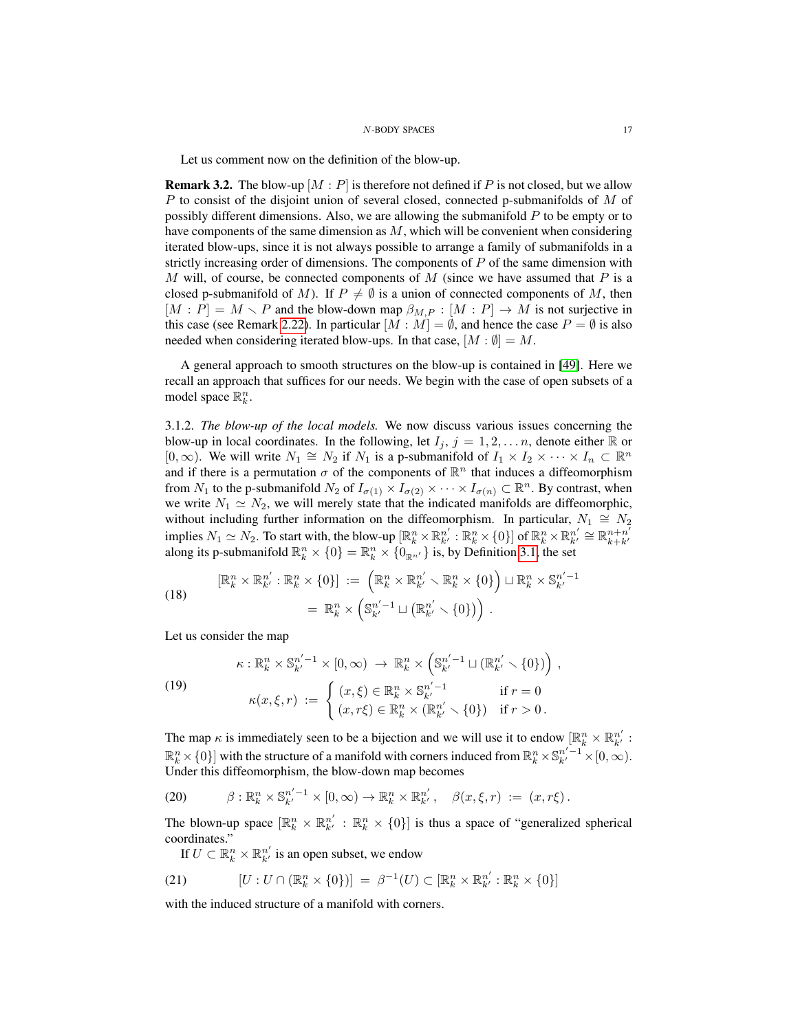Let us comment now on the definition of the blow-up.

**Remark 3.2.** The blow-up  $[M : P]$  is therefore not defined if P is not closed, but we allow  $P$  to consist of the disjoint union of several closed, connected p-submanifolds of  $M$  of possibly different dimensions. Also, we are allowing the submanifold  $P$  to be empty or to have components of the same dimension as  $M$ , which will be convenient when considering iterated blow-ups, since it is not always possible to arrange a family of submanifolds in a strictly increasing order of dimensions. The components of  $P$  of the same dimension with M will, of course, be connected components of M (since we have assumed that P is a closed p-submanifold of M). If  $P \neq \emptyset$  is a union of connected components of M, then  $[M : P] = M \setminus P$  and the blow-down map  $\beta_{M,P} : [M : P] \to M$  is not surjective in this case (see Remark [2.22\)](#page-14-3). In particular  $[M : M] = \emptyset$ , and hence the case  $P = \emptyset$  is also needed when considering iterated blow-ups. In that case,  $[M : \emptyset] = M$ .

A general approach to smooth structures on the blow-up is contained in [\[49\]](#page-50-12). Here we recall an approach that suffices for our needs. We begin with the case of open subsets of a model space  $\mathbb{R}_k^n$ .

3.1.2. *The blow-up of the local models.* We now discuss various issues concerning the blow-up in local coordinates. In the following, let  $I_j$ ,  $j = 1, 2, \ldots n$ , denote either R or  $[0,\infty)$ . We will write  $N_1 \cong N_2$  if  $N_1$  is a p-submanifold of  $I_1 \times I_2 \times \cdots \times I_n \subset \mathbb{R}^n$ and if there is a permutation  $\sigma$  of the components of  $\mathbb{R}^n$  that induces a diffeomorphism from  $N_1$  to the p-submanifold  $N_2$  of  $I_{\sigma(1)} \times I_{\sigma(2)} \times \cdots \times I_{\sigma(n)} \subset \mathbb{R}^n$ . By contrast, when we write  $N_1 \simeq N_2$ , we will merely state that the indicated manifolds are diffeomorphic, without including further information on the diffeomorphism. In particular,  $N_1 \cong N_2$ implies  $N_1 \simeq N_2$ . To start with, the blow-up  $[\mathbb{R}_k^n \times \mathbb{R}_{k'}^{n'} : \mathbb{R}_k^n \times \{0\}]$  of  $\mathbb{R}_k^n \times \mathbb{R}_{k'}^{n'} \cong \mathbb{R}_{k+k'}^{n+n'}$ mipries  $N_1 \equiv N_2$ . To start with, the blow-up  $[\mathbb{R}_k \times \mathbb{R}_{k'} : \mathbb{R}_k \times [0_f]$  or  $\mathbb{R}_k \times \mathbb{R}_{k'} = \mathbb{R}_{k+k'}$ <br>along its p-submanifold  $\mathbb{R}_k^n \times \{0\} = \mathbb{R}_k^n \times \{0_{\mathbb{R}^{n'}}\}$  is, by Definition [3.1,](#page-15-2) the set

(18) 
$$
\begin{aligned} [\mathbb{R}_k^n \times \mathbb{R}_{k'}^{n'} : \mathbb{R}_k^n \times \{0\}] &:= \left( \mathbb{R}_k^n \times \mathbb{R}_{k'}^{n'} \times \mathbb{R}_k^n \times \{0\} \right) \sqcup \mathbb{R}_k^n \times \mathbb{S}_{k'}^{n'-1} \\ &= \mathbb{R}_k^n \times \left( \mathbb{S}_{k'}^{n'-1} \sqcup \left( \mathbb{R}_{k'}^{n'} \smallsetminus \{0\} \right) \right) . \end{aligned}
$$

Let us consider the map

<span id="page-16-2"></span>(19)  
\n
$$
\kappa: \mathbb{R}_k^n \times \mathbb{S}_{k'}^{n'-1} \times [0, \infty) \to \mathbb{R}_k^n \times \left(\mathbb{S}_{k'}^{n'-1} \sqcup (\mathbb{R}_{k'}^{n'} \smallsetminus \{0\})\right),
$$
\n
$$
\kappa(x, \xi, r) := \begin{cases}\n(x, \xi) \in \mathbb{R}_k^n \times \mathbb{S}_{k'}^{n'-1} & \text{if } r = 0 \\
(x, r\xi) \in \mathbb{R}_k^n \times (\mathbb{R}_{k'}^{n'} \smallsetminus \{0\}) & \text{if } r > 0.\n\end{cases}
$$

The map  $\kappa$  is immediately seen to be a bijection and we will use it to endow  $[\mathbb{R}_k^n \times \mathbb{R}_{k'}^{n'}]$ :  $\mathbb{R}^n_k \times \{0\}$  with the structure of a manifold with corners induced from  $\mathbb{R}^n_k \times \mathbb{S}^{n'-1}_{k'} \times [0,\infty)$ . Under this diffeomorphism, the blow-down map becomes

<span id="page-16-1"></span>(20) 
$$
\beta: \mathbb{R}_k^n \times \mathbb{S}_{k'}^{n'-1} \times [0, \infty) \to \mathbb{R}_k^n \times \mathbb{R}_{k'}^{n'}, \quad \beta(x, \xi, r) := (x, r\xi).
$$

The blown-up space  $[\mathbb{R}^n_k \times \mathbb{R}^{n'}_{k'} : \mathbb{R}^n_k \times \{0\}]$  is thus a space of "generalized spherical coordinates."

<span id="page-16-0"></span>If  $U \subset \mathbb{R}^n_k \times \mathbb{R}^{n'}_{k'}$  is an open subset, we endow

(21) 
$$
[U:U \cap (\mathbb{R}_{k}^{n} \times \{0\})] = \beta^{-1}(U) \subset [\mathbb{R}_{k}^{n} \times \mathbb{R}_{k'}^{n'} : \mathbb{R}_{k}^{n} \times \{0\}]
$$

with the induced structure of a manifold with corners.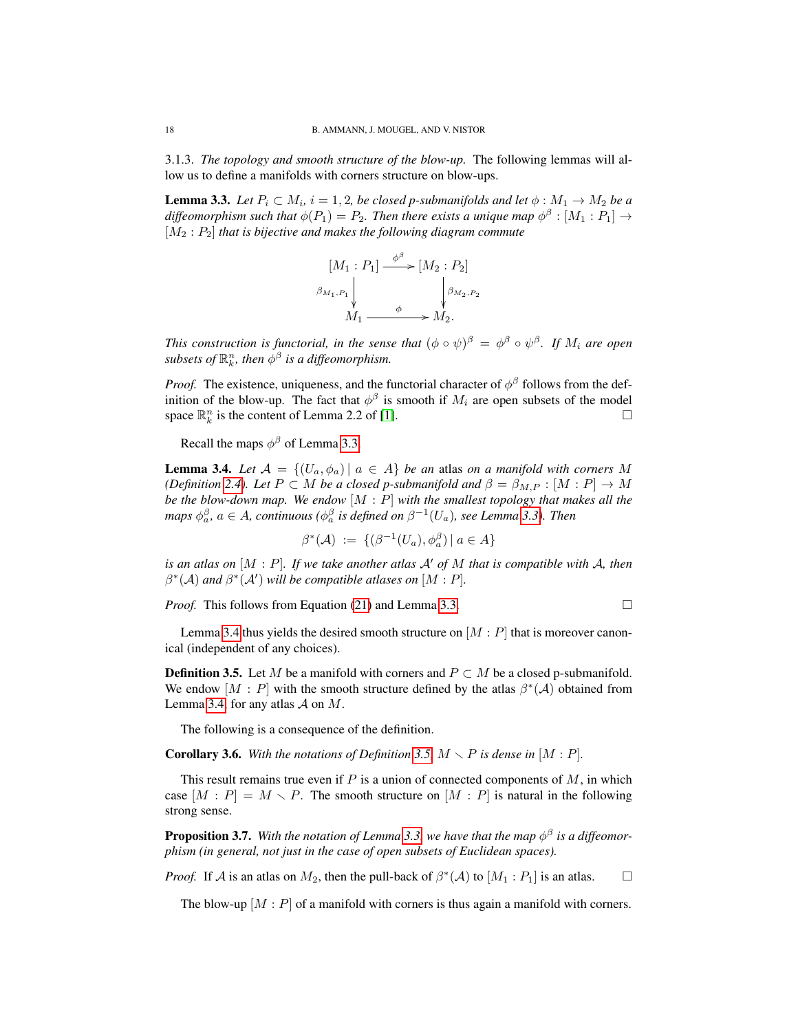3.1.3. *The topology and smooth structure of the blow-up.* The following lemmas will allow us to define a manifolds with corners structure on blow-ups.

<span id="page-17-0"></span>**Lemma 3.3.** Let  $P_i \subset M_i$ ,  $i = 1, 2$ , be closed p-submanifolds and let  $\phi : M_1 \rightarrow M_2$  be a diffeomorphism such that  $\phi(P_1) = P_2$ . Then there exists a unique map  $\phi^{\beta} : [M_1 : P_1] \rightarrow$  $[M_2: P_2]$  *that is bijective and makes the following diagram commute* 

$$
[M_1 : P_1] \xrightarrow{\phi^{\beta}} [M_2 : P_2]
$$
  

$$
\beta_{M_1, P_1} \downarrow \qquad \qquad \downarrow \beta_{M_2, P_2}
$$
  

$$
M_1 \xrightarrow{\phi} M_2.
$$

*This construction is functorial, in the sense that*  $(\phi \circ \psi)^\beta = \phi^\beta \circ \psi^\beta$ . If  $M_i$  are open subsets of  $\mathbb{R}^n_k$ , then  $\phi^\beta$  is a diffeomorphism.

*Proof.* The existence, uniqueness, and the functorial character of  $\phi^{\beta}$  follows from the definition of the blow-up. The fact that  $\phi^{\beta}$  is smooth if  $M_i$  are open subsets of the model space  $\mathbb{R}_k^n$  is the content of Lemma 2.2 of [\[1\]](#page-48-1).

Recall the maps  $\phi^{\beta}$  of Lemma [3.3.](#page-17-0)

<span id="page-17-1"></span>**Lemma 3.4.** *Let*  $A = \{(U_a, \phi_a) | a \in A\}$  *be an atlas on a manifold with corners* M *(Definition [2.4\)](#page-8-4). Let*  $P \subset M$  *be a closed p-submanifold and*  $\beta = \beta_{M,P} : [M : P] \rightarrow M$ *be the blow-down map. We endow* [M : P] *with the smallest topology that makes all the maps*  $\phi_a^{\beta}$ ,  $a \in A$ , continuous ( $\phi_a^{\beta}$  is defined on  $\beta^{-1}(U_a)$ , see Lemma [3.3\)](#page-17-0). Then

$$
\beta^*(\mathcal{A}) \ := \ \{ (\beta^{-1}(U_a), \phi_a^{\beta}) \ | \ a \in A \}
$$

*is an atlas on*  $[M : P]$ *. If we take another atlas*  $A'$  *of* M *that is compatible with* A, *then*  $\beta^*(A)$  and  $\beta^*(A')$  will be compatible atlases on  $[M : P]$ .

*Proof.* This follows from Equation [\(21\)](#page-16-0) and Lemma [3.3.](#page-17-0)

$$
\Box
$$

Lemma [3.4](#page-17-1) thus yields the desired smooth structure on  $[M : P]$  that is moreover canonical (independent of any choices).

<span id="page-17-2"></span>**Definition 3.5.** Let M be a manifold with corners and  $P \subset M$  be a closed p-submanifold. We endow  $[M : P]$  with the smooth structure defined by the atlas  $\beta^*(A)$  obtained from Lemma [3.4,](#page-17-1) for any atlas  $\mathcal A$  on  $M$ .

The following is a consequence of the definition.

<span id="page-17-3"></span>**Corollary 3.6.** With the notations of Definition [3.5,](#page-17-2)  $M \setminus P$  is dense in  $[M : P]$ .

This result remains true even if  $P$  is a union of connected components of  $M$ , in which case  $[M : P] = M \setminus P$ . The smooth structure on  $[M : P]$  is natural in the following strong sense.

**Proposition 3.7.** With the notation of Lemma [3.3,](#page-17-0) we have that the map  $\phi^{\beta}$  is a diffeomor*phism (in general, not just in the case of open subsets of Euclidean spaces).*

*Proof.* If A is an atlas on  $M_2$ , then the pull-back of  $\beta^*(A)$  to  $[M_1 : P_1]$  is an atlas.  $\square$ 

The blow-up  $[M : P]$  of a manifold with corners is thus again a manifold with corners.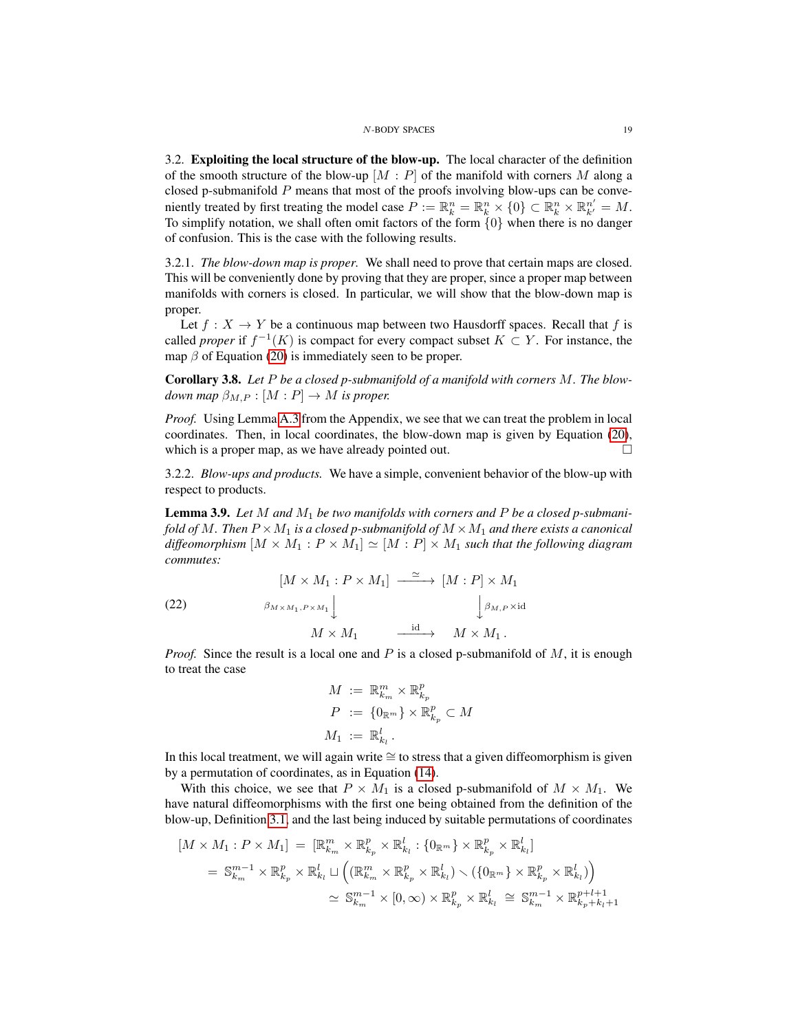<span id="page-18-0"></span>3.2. Exploiting the local structure of the blow-up. The local character of the definition of the smooth structure of the blow-up  $[M : P]$  of the manifold with corners M along a closed p-submanifold P means that most of the proofs involving blow-ups can be conveniently treated by first treating the model case  $P := \mathbb{R}^n_k = \mathbb{R}^n_k \times \{0\} \subset \mathbb{R}^n_k \times \mathbb{R}^{n'}_{k'} = M$ . To simplify notation, we shall often omit factors of the form  $\{0\}$  when there is no danger of confusion. This is the case with the following results.

3.2.1. *The blow-down map is proper.* We shall need to prove that certain maps are closed. This will be conveniently done by proving that they are proper, since a proper map between manifolds with corners is closed. In particular, we will show that the blow-down map is proper.

Let  $f : X \to Y$  be a continuous map between two Hausdorff spaces. Recall that f is called *proper* if  $f^{-1}(K)$  is compact for every compact subset  $K \subset Y$ . For instance, the map  $\beta$  of Equation [\(20\)](#page-16-1) is immediately seen to be proper.

<span id="page-18-2"></span>Corollary 3.8. *Let* P *be a closed p-submanifold of a manifold with corners* M*. The blowdown map*  $\beta_{M,P} : [M : P] \to M$  *is proper.* 

*Proof.* Using Lemma [A.3](#page-46-4) from the Appendix, we see that we can treat the problem in local coordinates. Then, in local coordinates, the blow-down map is given by Equation [\(20\)](#page-16-1), which is a proper map, as we have already pointed out.  $\Box$ 

3.2.2. *Blow-ups and products.* We have a simple, convenient behavior of the blow-up with respect to products.

<span id="page-18-1"></span>Lemma 3.9. *Let* M *and* M<sup>1</sup> *be two manifolds with corners and* P *be a closed p-submanifold of* M. Then  $P \times M_1$  *is a closed p-submanifold of*  $M \times M_1$  *and there exists a canonical diffeomorphism*  $[M \times M_1 : P \times M_1] \simeq [M : P] \times M_1$  *such that the following diagram commutes:*

(22) 
$$
\begin{aligned}\n[M \times M_1 : P \times M_1] &\xrightarrow{\simeq} [M : P] \times M_1 \\
\beta_{M \times M_1, P \times M_1} \downarrow &\qquad \qquad \downarrow \beta_{M, P \times \text{id}} \\
M \times M_1 &\xrightarrow{\text{id}} M \times M_1.\n\end{aligned}
$$

*Proof.* Since the result is a local one and P is a closed p-submanifold of  $M$ , it is enough to treat the case

$$
M := \mathbb{R}_{k_m}^m \times \mathbb{R}_{k_p}^p
$$
  
\n
$$
P := \{0_{\mathbb{R}^m}\} \times \mathbb{R}_{k_p}^p \subset M
$$
  
\n
$$
M_1 := \mathbb{R}_{k_l}^l.
$$

In this local treatment, we will again write ≅ to stress that a given diffeomorphism is given by a permutation of coordinates, as in Equation [\(14\)](#page-7-5).

With this choice, we see that  $P \times M_1$  is a closed p-submanifold of  $M \times M_1$ . We have natural diffeomorphisms with the first one being obtained from the definition of the blow-up, Definition [3.1,](#page-15-2) and the last being induced by suitable permutations of coordinates

$$
[M \times M_1 : P \times M_1] = [\mathbb{R}_{k_m}^m \times \mathbb{R}_{k_p}^p \times \mathbb{R}_{k_l}^l : \{0_{\mathbb{R}^m}\} \times \mathbb{R}_{k_p}^p \times \mathbb{R}_{k_l}^l]
$$
  
\n
$$
= \mathbb{S}_{k_m}^{m-1} \times \mathbb{R}_{k_p}^p \times \mathbb{R}_{k_l}^l \sqcup \left( (\mathbb{R}_{k_m}^m \times \mathbb{R}_{k_p}^p \times \mathbb{R}_{k_l}^l) \setminus (\{0_{\mathbb{R}^m}\} \times \mathbb{R}_{k_p}^p \times \mathbb{R}_{k_l}^l) \right)
$$
  
\n
$$
\simeq \mathbb{S}_{k_m}^{m-1} \times [0, \infty) \times \mathbb{R}_{k_p}^p \times \mathbb{R}_{k_l}^l \cong \mathbb{S}_{k_m}^{m-1} \times \mathbb{R}_{k_p+k_l+1}^{p+l+1}
$$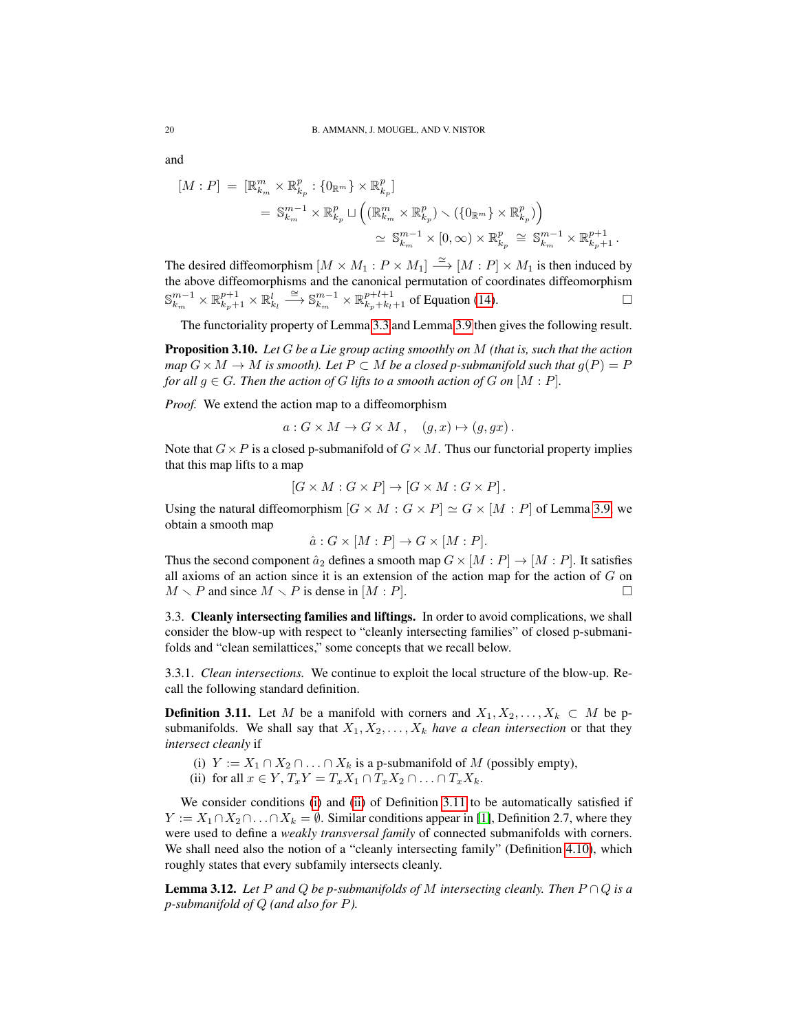and

$$
[M:P] = [\mathbb{R}_{k_m}^m \times \mathbb{R}_{k_p}^p : \{0_{\mathbb{R}^m}\} \times \mathbb{R}_{k_p}^p]
$$
  

$$
= \mathbb{S}_{k_m}^{m-1} \times \mathbb{R}_{k_p}^p \sqcup \left( (\mathbb{R}_{k_m}^m \times \mathbb{R}_{k_p}^p) \smallsetminus (\{0_{\mathbb{R}^m}\} \times \mathbb{R}_{k_p}^p) \right)
$$
  

$$
\simeq \mathbb{S}_{k_m}^{m-1} \times [0, \infty) \times \mathbb{R}_{k_p}^p \cong \mathbb{S}_{k_m}^{m-1} \times \mathbb{R}_{k_p+1}^{p+1} .
$$

The desired diffeomorphism  $[M \times M_1 : P \times M_1] \stackrel{\simeq}{\longrightarrow} [M : P] \times M_1$  is then induced by the above diffeomorphisms and the canonical permutation of coordinates diffeomorphism  $\mathbb{S}_{k_m}^{m-1} \times \mathbb{R}_{k_p+1}^l \times \mathbb{R}_{k_l}^l \stackrel{\cong}{\longrightarrow} \mathbb{S}_{k_m}^{m-1} \times \mathbb{R}_{k_p+k_l+1}^{p+l+1}$  of Equation [\(14\)](#page-7-5).

The functoriality property of Lemma [3.3](#page-17-0) and Lemma [3.9](#page-18-1) then gives the following result.

<span id="page-19-4"></span>Proposition 3.10. *Let* G *be a Lie group acting smoothly on* M *(that is, such that the action map*  $G \times M \rightarrow M$  *is smooth). Let*  $P \subset M$  *be a closed p-submanifold such that*  $g(P) = P$ *for all*  $g \in G$ *. Then the action of* G *lifts to a smooth action of* G *on*  $[M : P]$ *.* 

*Proof.* We extend the action map to a diffeomorphism

$$
a: G \times M \to G \times M, \quad (g, x) \mapsto (g, gx).
$$

Note that  $G \times P$  is a closed p-submanifold of  $G \times M$ . Thus our functorial property implies that this map lifts to a map

$$
[G \times M : G \times P] \to [G \times M : G \times P].
$$

Using the natural diffeomorphism  $[G \times M : G \times P] \simeq G \times [M : P]$  of Lemma [3.9,](#page-18-1) we obtain a smooth map

$$
\hat{a}: G \times [M:P] \to G \times [M:P].
$$

Thus the second component  $\hat{a}_2$  defines a smooth map  $G \times [M : P] \rightarrow [M : P]$ . It satisfies all axioms of an action since it is an extension of the action map for the action of  $G$  on  $M \setminus P$  and since  $M \setminus P$  is dense in  $[M : P]$ .

<span id="page-19-0"></span>3.3. Cleanly intersecting families and liftings. In order to avoid complications, we shall consider the blow-up with respect to "cleanly intersecting families" of closed p-submanifolds and "clean semilattices," some concepts that we recall below.

3.3.1. *Clean intersections.* We continue to exploit the local structure of the blow-up. Recall the following standard definition.

<span id="page-19-3"></span>**Definition 3.11.** Let M be a manifold with corners and  $X_1, X_2, \ldots, X_k \subset M$  be psubmanifolds. We shall say that  $X_1, X_2, \ldots, X_k$  *have a clean intersection* or that they *intersect cleanly* if

<span id="page-19-2"></span><span id="page-19-1"></span>(i)  $Y := X_1 \cap X_2 \cap \ldots \cap X_k$  is a p-submanifold of M (possibly empty), (ii) for all  $x \in Y$ ,  $T_xY = T_xX_1 \cap T_xX_2 \cap \ldots \cap T_xX_k$ .

We consider conditions [\(i\)](#page-19-1) and [\(ii\)](#page-19-2) of Definition [3.11](#page-19-3) to be automatically satisfied if  $Y := X_1 \cap X_2 \cap \ldots \cap X_k = \emptyset$ . Similar conditions appear in [\[1\]](#page-48-1), Definition 2.7, where they were used to define a *weakly transversal family* of connected submanifolds with corners. We shall need also the notion of a "cleanly intersecting family" (Definition [4.10\)](#page-25-1), which roughly states that every subfamily intersects cleanly.

**Lemma 3.12.** Let P and Q be p-submanifolds of M intersecting cleanly. Then  $P \cap Q$  is a *p-submanifold of* Q *(and also for* P*).*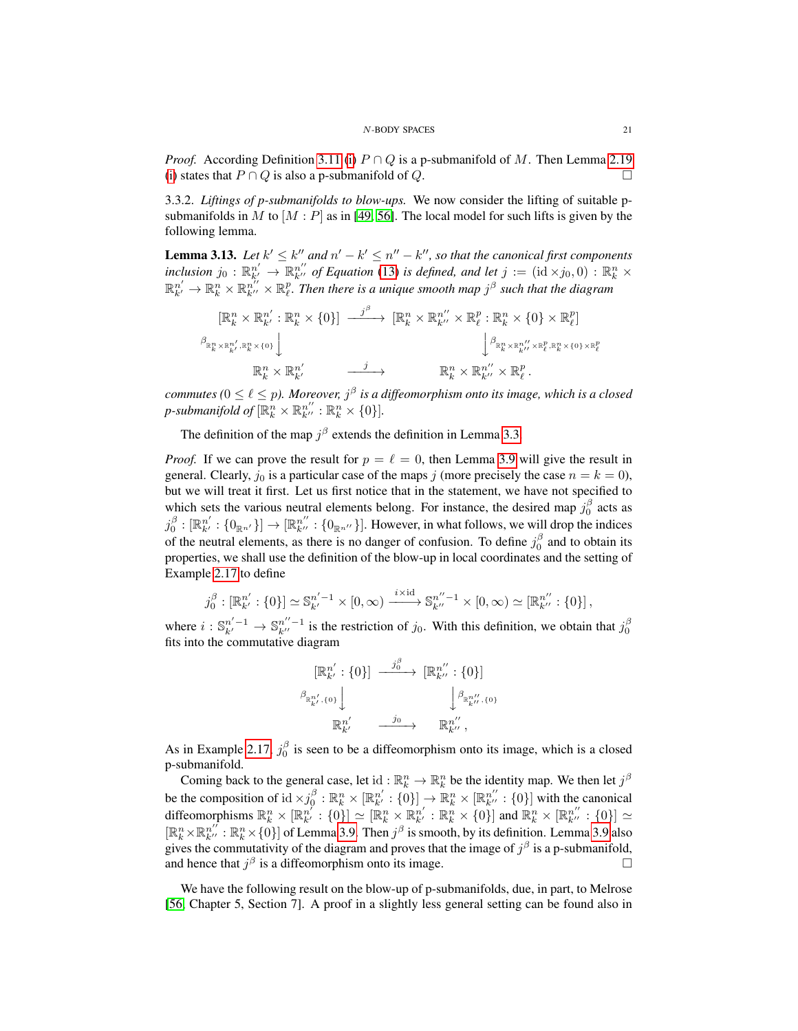*Proof.* According Definition [3.11](#page-19-3) [\(i\)](#page-19-1)  $P \cap Q$  is a p-submanifold of M. Then Lemma [2.19](#page-14-4) [\(i\)](#page-14-0) states that  $P \cap Q$  is also a p-submanifold of Q.

3.3.2. *Liftings of p-submanifolds to blow-ups.* We now consider the lifting of suitable psubmanifolds in M to  $[M : P]$  as in [\[49,](#page-50-12) [56\]](#page-50-9). The local model for such lifts is given by the following lemma.

<span id="page-20-0"></span>**Lemma 3.13.** Let  $k' \leq k''$  and  $n' - k' \leq n'' - k''$ , so that the canonical first components inclusion  $j_0: \mathbb{R}^{n'}_{k'} \to \mathbb{R}^{n''}_{k''}$  of Equation [\(13\)](#page-7-4) is defined, and let  $j := (\mathrm{id} \times j_0, 0) : \mathbb{R}^n_k \times$  $\mathbb{R}_{k'}^{n'}\to\mathbb{R}_{k}^{n}\times\mathbb{R}_{k''}^{n'}\times\mathbb{R}_{\ell}^{p}$ . Then there is a unique smooth map  $j^{\beta}$  such that the diagram

$$
\begin{aligned}\n[\mathbb{R}_{k}^{n} \times \mathbb{R}_{k'}^{n'} : \mathbb{R}_{k}^{n} \times \{0\}] & \xrightarrow{j^{\beta}} [\mathbb{R}_{k}^{n} \times \mathbb{R}_{k''}^{n''} \times \mathbb{R}_{\ell}^{p} : \mathbb{R}_{k}^{n} \times \{0\} \times \mathbb{R}_{\ell}^{p}] \\
\downarrow^{\beta_{\mathbb{R}_{k}^{n} \times \mathbb{R}_{k''}^{n'} \times \mathbb{R}_{\ell}^{p}, \mathbb{R}_{k}^{n} \times \{0\} \times \mathbb{R}_{\ell}^{p}} \\
&\xrightarrow{\beta_{\mathbb{R}_{k}^{n} \times \mathbb{R}_{k''}^{n'} \times \mathbb{R}_{\ell}^{p}, \mathbb{R}_{k}^{n} \times \{0\} \times \mathbb{R}_{\ell}^{p}} \\
&\xrightarrow{\beta_{\mathbb{R}_{k}^{n} \times \mathbb{R}_{k''}^{n'} \times \mathbb{R}_{\ell}^{p}, \mathbb{R}_{k}^{n} \times \{0\} \times \mathbb{R}_{\ell}^{p}} \\
&\xrightarrow{j} &\xrightarrow{\mathbb{R}_{k}^{n} \times \mathbb{R}_{k''}^{n''} \times \mathbb{R}_{\ell}^{p}.\n\end{aligned}
$$

*commutes* ( $0 \leq \ell \leq p$ ). Moreover,  $j^{\beta}$  is a diffeomorphism onto its image, which is a closed *p*-submanifold of  $[\mathbb{R}^n_k \times \mathbb{R}^{n''}_{k''} : \mathbb{R}^n_k \times \{0\}]$ .

The definition of the map  $j^{\beta}$  extends the definition in Lemma [3.3.](#page-17-0)

*Proof.* If we can prove the result for  $p = \ell = 0$ , then Lemma [3.9](#page-18-1) will give the result in general. Clearly,  $j_0$  is a particular case of the maps j (more precisely the case  $n = k = 0$ ), but we will treat it first. Let us first notice that in the statement, we have not specified to which sets the various neutral elements belong. For instance, the desired map  $j_0^{\beta}$  acts as  $j_0^\beta : [\mathbb{R}^{n'}_{k'} : \{0_{\mathbb{R}^{n'}}\}] \to [\mathbb{R}^{n''}_{k''} : \{0_{\mathbb{R}^{n''}}\}]$ . However, in what follows, we will drop the indices of the neutral elements, as there is no danger of confusion. To define  $j_0^{\beta}$  and to obtain its properties, we shall use the definition of the blow-up in local coordinates and the setting of Example [2.17](#page-14-5) to define

$$
j_0^{\beta} : [\mathbb{R}^{n'}_{k'} : \{0\}] \simeq \mathbb{S}^{n'-1}_{k'} \times [0, \infty) \xrightarrow{i \times \mathrm{id}} \mathbb{S}^{n''-1}_{k''} \times [0, \infty) \simeq [\mathbb{R}^{n''}_{k''} : \{0\}],
$$

where  $i: \mathbb{S}_{k'}^{n'-1} \to \mathbb{S}_{k''}^{n''-1}$  is the restriction of  $j_0$ . With this definition, we obtain that  $j_0^{\beta}$ fits into the commutative diagram

$$
\begin{aligned}\n[\mathbb{R}_{k'}^{n'}: \{0\}] & \xrightarrow{j_0^{\beta}} [\mathbb{R}_{k''}^{n''}: \{0\}] \\
\beta_{\mathbb{R}_{k'}^{n'}, \{0\}} & \downarrow \beta_{\mathbb{R}_{k''}^{n'}, \{0\}} \\
\mathbb{R}_{k'}^{n'} & \xrightarrow{j_0} \mathbb{R}_{k''}^{n''},\n\end{aligned}
$$

As in Example [2.17,](#page-14-5)  $j_0^{\beta}$  is seen to be a diffeomorphism onto its image, which is a closed p-submanifold.

Coming back to the general case, let id:  $\mathbb{R}_k^n \to \mathbb{R}_k^n$  be the identity map. We then let  $j^{\beta}$ be the composition of  $\mathrm{id} \times j_0^\beta : \mathbb{R}_k^n \times [\mathbb{R}_{k'}^{n'} : \{0\}] \to \mathbb{R}_k^n \times [\mathbb{R}_{k'}^{n''} : \{0\}]$  with the canonical diffeomorphisms  $\mathbb{R}_k^n \times [\mathbb{R}_{k'}^{n'} : \{0\}] \simeq [\mathbb{R}_k^n \times \mathbb{R}_{k'}^{n'} : \mathbb{R}_k^n \times \{0\}]$  and  $\mathbb{R}_k^n \times [\mathbb{R}_{k''}^{n''} : \{0\}] \simeq$  $[\mathbb{R}_k^n \times \mathbb{R}_{k'}^{n''}: \mathbb{R}_k^n \times \{0\}]$  of Lemma [3.9.](#page-18-1) Then  $j^{\beta}$  is smooth, by its definition. Lemma [3.9](#page-18-1) also gives the commutativity of the diagram and proves that the image of  $j^{\beta}$  is a p-submanifold, and hence that  $j^{\beta}$  is a diffeomorphism onto its image.

We have the following result on the blow-up of p-submanifolds, due, in part, to Melrose [\[56,](#page-50-9) Chapter 5, Section 7]. A proof in a slightly less general setting can be found also in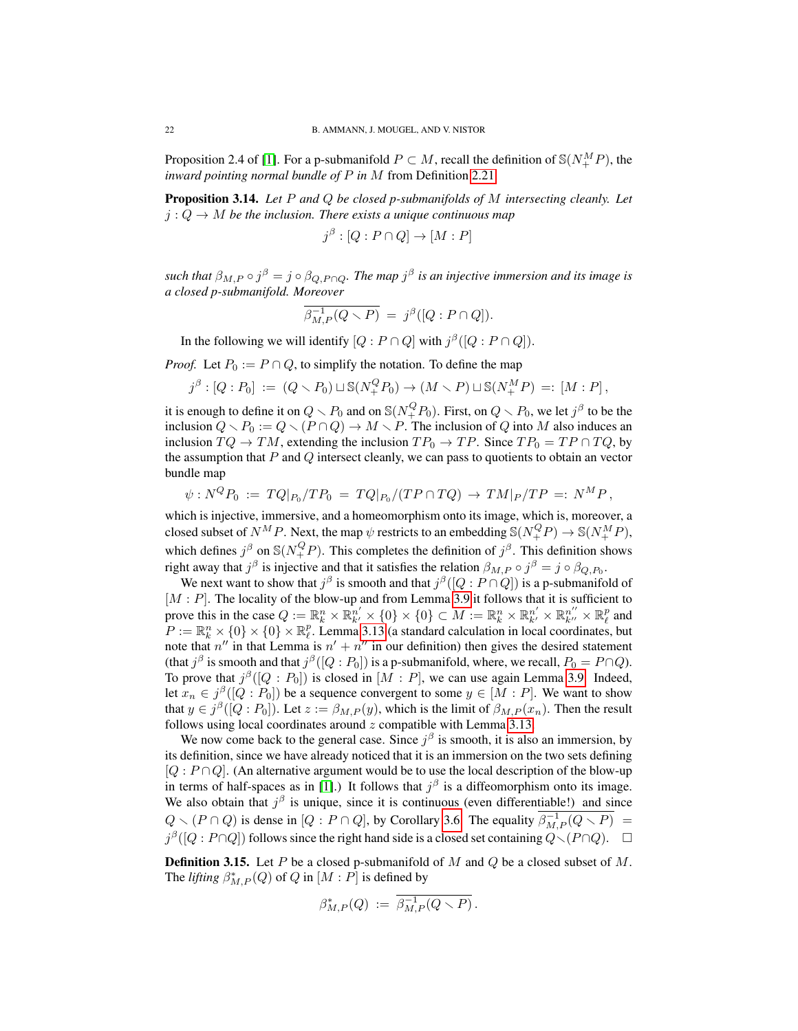Proposition 2.4 of [\[1\]](#page-48-1). For a p-submanifold  $P \subset M$ , recall the definition of  $\mathcal{S}(N_{+}^{M}P)$ , the *inward pointing normal bundle of* P *in* M from Definition [2.21.](#page-14-2)

<span id="page-21-0"></span>Proposition 3.14. *Let* P *and* Q *be closed p-submanifolds of* M *intersecting cleanly. Let*  $j: Q \to M$  be the inclusion. There exists a unique continuous map

$$
j^{\beta} : [Q : P \cap Q] \to [M : P]
$$

such that  $\beta_{M,P} \circ j^{\beta} = j \circ \beta_{Q,P \cap Q}$ . The map  $j^{\beta}$  is an injective immersion and its image is *a closed p-submanifold. Moreover*

$$
\overline{\beta_{M,P}^{-1}(Q \setminus P)} = j^{\beta}([Q : P \cap Q]).
$$

In the following we will identify  $[Q : P \cap Q]$  with  $j^{\beta}([Q : P \cap Q])$ .

*Proof.* Let  $P_0 := P \cap Q$ , to simplify the notation. To define the map

$$
j^{\beta} : [Q : P_0] := (Q \setminus P_0) \sqcup \mathbb{S}(N^Q_+ P_0) \to (M \setminus P) \sqcup \mathbb{S}(N^M_+ P) =: [M : P],
$$

it is enough to define it on  $Q \setminus P_0$  and on  $\mathbb{S}(N_+^QP_0)$ . First, on  $Q \setminus P_0$ , we let  $j^{\beta}$  to be the inclusion  $Q \setminus P_0 := Q \setminus (P \cap Q) \to M \setminus P$ . The inclusion of Q into M also induces an inclusion  $TQ \to TM$ , extending the inclusion  $TP_0 \to TP$ . Since  $TP_0 = TP \cap TQ$ , by the assumption that  $P$  and  $Q$  intersect cleanly, we can pass to quotients to obtain an vector bundle map

$$
\psi : N^QP_0 \; := \; TQ|_{P_0}/TP_0 \; = \; TQ|_{P_0}/(TP \cap TQ) \; \to \; TM|_P/TP \; =: \; N^MP \, ,
$$

which is injective, immersive, and a homeomorphism onto its image, which is, moreover, a closed subset of  $N^M P$ . Next, the map  $\psi$  restricts to an embedding  $\mathbb{S}(N^Q_+ P) \to \mathbb{S}(N^M_+ P)$ , which defines  $j^{\beta}$  on  $\mathbb{S}(N^Q_+ P)$ . This completes the definition of  $j^{\beta}$ . This definition shows right away that  $j^{\beta}$  is injective and that it satisfies the relation  $\beta_{M,P} \circ j^{\beta} = j \circ \beta_{Q,P_0}$ .

We next want to show that  $j^{\beta}$  is smooth and that  $j^{\beta}([Q : P \cap Q])$  is a p-submanifold of  $[M : P]$ . The locality of the blow-up and from Lemma [3.9](#page-18-1) it follows that it is sufficient to prove this in the case  $Q := \mathbb{R}_k^n \times \mathbb{R}_{k'}^{n'} \times \{0\} \times \{0\} \subset M := \mathbb{R}_k^n \times \mathbb{R}_{k'}^{n'} \times \mathbb{R}_{k''}^{n''} \times \mathbb{R}_{\ell}^p$  and  $P := \mathbb{R}_k^n \times \{0\} \times \{0\} \times \mathbb{R}_{\ell}^p$ . Lemma [3.13](#page-20-0) (a standard calculation in local coordinates, but note that  $n''$  in that Lemma is  $n' + n''$  in our definition) then gives the desired statement (that  $j^{\beta}$  is smooth and that  $j^{\beta}([Q:P_0])$  is a p-submanifold, where, we recall,  $P_0 = P \cap Q$ ). To prove that  $j^{\beta}([Q : P_0])$  is closed in  $[M : P]$ , we can use again Lemma [3.9.](#page-18-1) Indeed, let  $x_n \in j^{\beta}([Q : P_0])$  be a sequence convergent to some  $y \in [M : P]$ . We want to show that  $y \in j^{\beta}([Q : P_0])$ . Let  $z := \beta_{M,P}(y)$ , which is the limit of  $\beta_{M,P}(x_n)$ . Then the result follows using local coordinates around  $z$  compatible with Lemma [3.13.](#page-20-0)

We now come back to the general case. Since  $j^{\beta}$  is smooth, it is also an immersion, by its definition, since we have already noticed that it is an immersion on the two sets defining  $[Q : P \cap Q]$ . (An alternative argument would be to use the local description of the blow-up in terms of half-spaces as in [\[1\]](#page-48-1).) It follows that  $j^{\beta}$  is a diffeomorphism onto its image. We also obtain that  $j^{\beta}$  is unique, since it is continuous (even differentiable!) and since  $Q \setminus (P \cap Q)$  is dense in  $[Q : P \cap Q]$ , by Corollary [3.6.](#page-17-3) The equality  $\overline{\beta_{M,P}^{-1}(Q \setminus P)}$  =  $j^{\beta}([Q : P \cap Q])$  follows since the right hand side is a closed set containing  $Q \setminus (P \cap Q)$ .  $\Box$ 

<span id="page-21-1"></span>**Definition 3.15.** Let P be a closed p-submanifold of M and Q be a closed subset of M. The *lifting*  $\beta_{M,P}^*(Q)$  of Q in  $[M:P]$  is defined by

$$
\beta_{M,P}^*(Q) := \overline{\beta_{M,P}^{-1}(Q \setminus P)}.
$$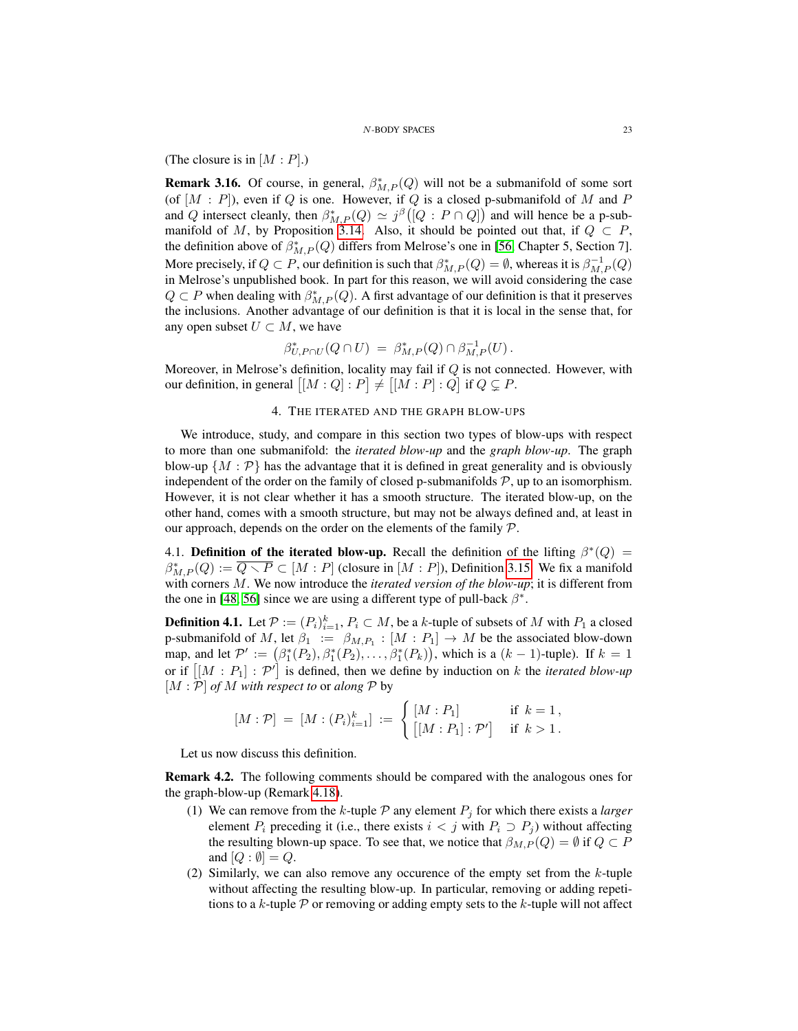(The closure is in  $[M : P]$ .)

**Remark 3.16.** Of course, in general,  $\beta_{M,P}^*(Q)$  will not be a submanifold of some sort (of  $[M : P]$ ), even if Q is one. However, if Q is a closed p-submanifold of M and P and Q intersect cleanly, then  $\beta_{M,P}^*(Q) \simeq j^{\beta}([Q : P \cap Q])$  and will hence be a p-sub-manifold of M, by Proposition [3.14.](#page-21-0) Also, it should be pointed out that, if  $Q \subset P$ , the definition above of  $\beta_{M,P}^*(Q)$  differs from Melrose's one in [\[56,](#page-50-9) Chapter 5, Section 7]. More precisely, if  $Q \subset P$ , our definition is such that  $\beta_{M,P}^*(Q) = \emptyset$ , whereas it is  $\beta_{M,P}^{-1}(Q)$ in Melrose's unpublished book. In part for this reason, we will avoid considering the case  $Q \subset P$  when dealing with  $\beta_{M,P}^*(Q)$ . A first advantage of our definition is that it preserves the inclusions. Another advantage of our definition is that it is local in the sense that, for any open subset  $U \subset M$ , we have

$$
\beta^*_{U,P\cap U}(Q\cap U) \ = \ \beta^*_{M,P}(Q) \cap \beta^{-1}_{M,P}(U) \, .
$$

Moreover, in Melrose's definition, locality may fail if  $Q$  is not connected. However, with our definition, in general  $[[M:Q]:P] \neq [[M:P]:Q]$  if  $Q \subsetneq P$ .

## 4. THE ITERATED AND THE GRAPH BLOW-UPS

<span id="page-22-0"></span>We introduce, study, and compare in this section two types of blow-ups with respect to more than one submanifold: the *iterated blow-up* and the *graph blow-up*. The graph blow-up  $\{M : \mathcal{P}\}\$  has the advantage that it is defined in great generality and is obviously independent of the order on the family of closed p-submanifolds  $P$ , up to an isomorphism. However, it is not clear whether it has a smooth structure. The iterated blow-up, on the other hand, comes with a smooth structure, but may not be always defined and, at least in our approach, depends on the order on the elements of the family  $P$ .

<span id="page-22-1"></span>4.1. Definition of the iterated blow-up. Recall the definition of the lifting  $\beta^*(Q)$  =  $\beta_{M,P}^*(Q) := \overline{Q \setminus P} \subset [M : P]$  (closure in  $[M : P]$ ), Definition [3.15.](#page-21-1) We fix a manifold with corners M. We now introduce the *iterated version of the blow-up*; it is different from the one in [\[48,](#page-50-7) [56\]](#page-50-9) since we are using a different type of pull-back  $\beta^*$ .

<span id="page-22-2"></span>**Definition 4.1.** Let  $P := (P_i)_{i=1}^k$ ,  $P_i \subset M$ , be a k-tuple of subsets of M with  $P_1$  a closed p-submanifold of M, let  $\beta_1 := \beta_{M,P_1} : [M : P_1] \to M$  be the associated blow-down map, and let  $\mathcal{P}' := (\beta_1^*(P_2), \beta_1^*(P_2), \dots, \beta_1^*(P_k))$ , which is a  $(k-1)$ -tuple). If  $k = 1$ or if  $[[M : P_1] : \mathcal{P}']$  is defined, then we define by induction on k the *iterated blow-up*  $[M : \mathcal{P}]$  *of M* with respect to or *along*  $\mathcal{P}$  by

$$
[M : \mathcal{P}] = [M : (P_i)_{i=1}^k] := \begin{cases} [M : P_1] & \text{if } k = 1, \\ [[M : P_1] : \mathcal{P}'] & \text{if } k > 1. \end{cases}
$$

Let us now discuss this definition.

<span id="page-22-3"></span>Remark 4.2. The following comments should be compared with the analogous ones for the graph-blow-up (Remark [4.18\)](#page-31-3).

- (1) We can remove from the k-tuple  $P$  any element  $P_j$  for which there exists a *larger* element  $P_i$  preceding it (i.e., there exists  $i < j$  with  $P_i \supset P_j$ ) without affecting the resulting blown-up space. To see that, we notice that  $\beta_{M,P}(Q) = \emptyset$  if  $Q \subset P$ and  $[Q : \emptyset] = Q$ .
- (2) Similarly, we can also remove any occurence of the empty set from the  $k$ -tuple without affecting the resulting blow-up. In particular, removing or adding repetitions to a k-tuple  $P$  or removing or adding empty sets to the k-tuple will not affect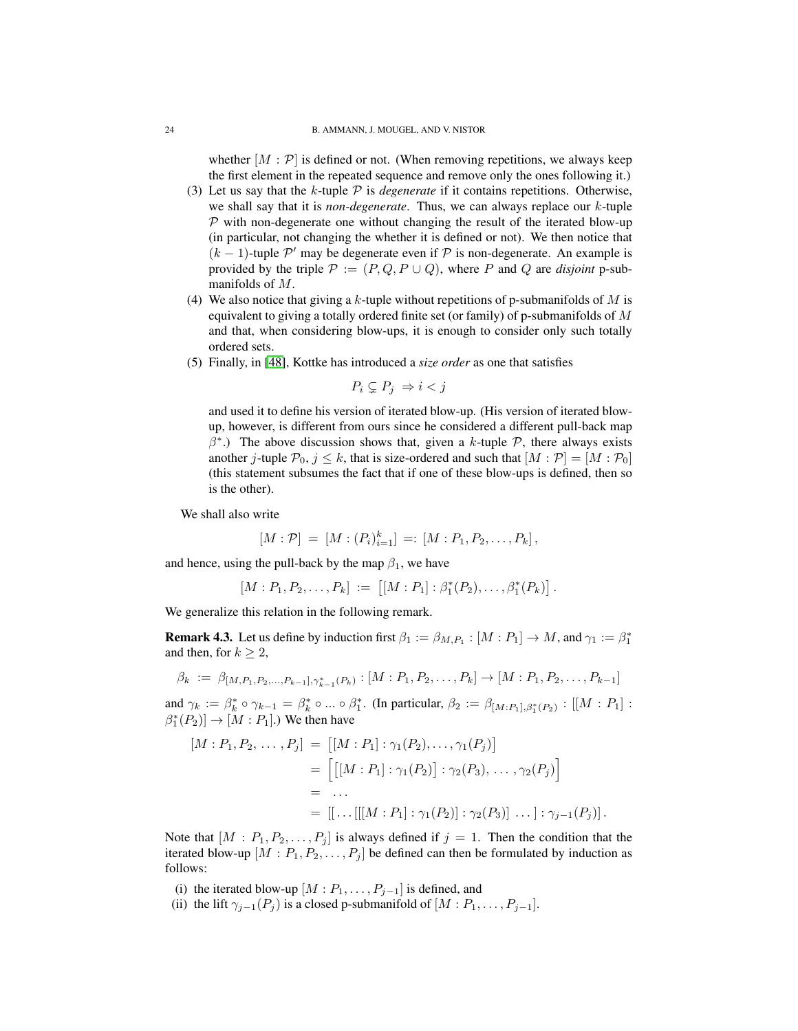whether  $[M : \mathcal{P}]$  is defined or not. (When removing repetitions, we always keep the first element in the repeated sequence and remove only the ones following it.)

- (3) Let us say that the  $k$ -tuple  $\mathcal P$  is *degenerate* if it contains repetitions. Otherwise, we shall say that it is *non-degenerate*. Thus, we can always replace our k-tuple  $P$  with non-degenerate one without changing the result of the iterated blow-up (in particular, not changing the whether it is defined or not). We then notice that  $(k-1)$ -tuple  $\mathcal{P}'$  may be degenerate even if  $\mathcal P$  is non-degenerate. An example is provided by the triple  $P := (P, Q, P \cup Q)$ , where P and Q are *disjoint* p-submanifolds of M.
- (4) We also notice that giving a k-tuple without repetitions of p-submanifolds of  $M$  is equivalent to giving a totally ordered finite set (or family) of p-submanifolds of M and that, when considering blow-ups, it is enough to consider only such totally ordered sets.
- (5) Finally, in [\[48\]](#page-50-7), Kottke has introduced a *size order* as one that satisfies

$$
P_i \subsetneq P_j \Rightarrow i < j
$$

and used it to define his version of iterated blow-up. (His version of iterated blowup, however, is different from ours since he considered a different pull-back map  $\beta^*$ .) The above discussion shows that, given a k-tuple  $\mathcal{P}$ , there always exists another j-tuple  $P_0$ ,  $j \leq k$ , that is size-ordered and such that  $[M : \mathcal{P}] = [M : \mathcal{P}_0]$ (this statement subsumes the fact that if one of these blow-ups is defined, then so is the other).

We shall also write

$$
[M : \mathcal{P}] = [M : (P_i)_{i=1}^k] =: [M : P_1, P_2, \ldots, P_k],
$$

and hence, using the pull-back by the map  $\beta_1$ , we have

$$
[M:P_1,P_2,\ldots,P_k] := [[M:P_1]:\beta_1^*(P_2),\ldots,\beta_1^*(P_k)].
$$

We generalize this relation in the following remark.

**Remark 4.3.** Let us define by induction first  $\beta_1 := \beta_{M,P_1} : [M : P_1] \to M$ , and  $\gamma_1 := \beta_1^*$ and then, for  $k > 2$ ,

$$
\beta_k := \beta_{[M,P_1,P_2,...,P_{k-1}],\gamma_{k-1}^*(P_k)} : [M : P_1, P_2, \ldots, P_k] \to [M : P_1, P_2, \ldots, P_{k-1}]
$$

and  $\gamma_k := \beta_k^* \circ \gamma_{k-1} = \beta_k^* \circ ... \circ \beta_1^*$ . (In particular,  $\beta_2 := \beta_{[M:P_1],\beta_1^*(P_2)} : [[M : P_1] :$  $\beta_1^*(P_2)] \to [M : P_1].$ ) We then have

$$
[M : P_1, P_2, \dots, P_j] = [[M : P_1] : \gamma_1(P_2), \dots, \gamma_1(P_j)]
$$
  
= 
$$
\left[ [[M : P_1] : \gamma_1(P_2)] : \gamma_2(P_3), \dots, \gamma_2(P_j) \right]
$$
  
= ...  
= 
$$
[[\dots[[[M : P_1] : \gamma_1(P_2)] : \gamma_2(P_3)] \dots] : \gamma_{j-1}(P_j)].
$$

Note that  $[M : P_1, P_2, \ldots, P_j]$  is always defined if  $j = 1$ . Then the condition that the iterated blow-up  $[M : P_1, P_2, \ldots, P_j]$  be defined can then be formulated by induction as follows:

- (i) the iterated blow-up  $[M : P_1, \ldots, P_{j-1}]$  is defined, and
- (ii) the lift  $\gamma_{j-1}(P_j)$  is a closed p-submanifold of  $[M : P_1, \ldots, P_{j-1}]$ .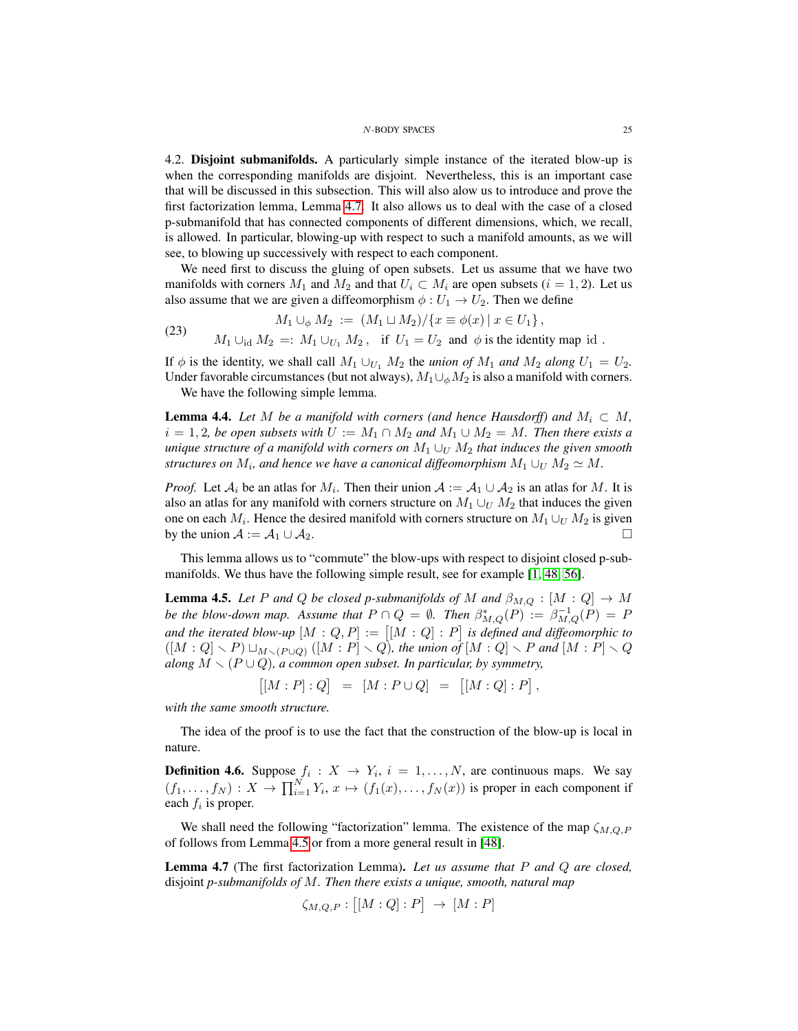<span id="page-24-0"></span>4.2. Disjoint submanifolds. A particularly simple instance of the iterated blow-up is when the corresponding manifolds are disjoint. Nevertheless, this is an important case that will be discussed in this subsection. This will also alow us to introduce and prove the first factorization lemma, Lemma [4.7.](#page-24-1) It also allows us to deal with the case of a closed p-submanifold that has connected components of different dimensions, which, we recall, is allowed. In particular, blowing-up with respect to such a manifold amounts, as we will see, to blowing up successively with respect to each component.

We need first to discuss the gluing of open subsets. Let us assume that we have two manifolds with corners  $M_1$  and  $M_2$  and that  $U_i \subset M_i$  are open subsets  $(i = 1, 2)$ . Let us also assume that we are given a diffeomorphism  $\phi: U_1 \to U_2$ . Then we define

(23) 
$$
M_1 \cup_{\phi} M_2 := (M_1 \cup M_2) / \{x \equiv \phi(x) \mid x \in U_1\},
$$

$$
M_1 \cup_{\text{id}} M_2 =: M_1 \cup_{U_1} M_2, \text{ if } U_1 = U_2 \text{ and } \phi \text{ is the identity map id }.
$$

If  $\phi$  is the identity, we shall call  $M_1 \cup_{U_1} M_2$  the *union of*  $M_1$  *and*  $M_2$  *along*  $U_1 = U_2$ *.* Under favorable circumstances (but not always),  $M_1 \cup_{\phi} M_2$  is also a manifold with corners.

We have the following simple lemma.

**Lemma 4.4.** *Let* M *be a manifold with corners (and hence Hausdorff) and*  $M_i \subset M$ ,  $i = 1, 2$ , be open subsets with  $U := M_1 \cap M_2$  and  $M_1 \cup M_2 = M$ . Then there exists a *unique structure of a manifold with corners on*  $M_1 \cup_U M_2$  *that induces the given smooth structures on*  $M_i$ *, and hence we have a canonical diffeomorphism*  $M_1 \cup_U M_2 \simeq M$ .

*Proof.* Let  $A_i$  be an atlas for  $M_i$ . Then their union  $A := A_1 \cup A_2$  is an atlas for M. It is also an atlas for any manifold with corners structure on  $M_1 \cup_U M_2$  that induces the given one on each  $M_i$ . Hence the desired manifold with corners structure on  $M_1 \cup_{U} M_2$  is given by the union  $A := A_1 \cup A_2$ .

This lemma allows us to "commute" the blow-ups with respect to disjoint closed p-submanifolds. We thus have the following simple result, see for example [\[1,](#page-48-1) [48,](#page-50-7) [56\]](#page-50-9).

<span id="page-24-2"></span>**Lemma 4.5.** *Let* P and Q *be closed p-submanifolds of* M and  $\beta_{M,Q} : [M:Q] \rightarrow M$ *be the blow-down map.* Assume that  $P \cap Q = \emptyset$ . Then  $\beta_{M,Q}^*(P) := \beta_{M,Q}^{-1}(P) = P$ and the iterated blow-up  $[M:Q,P] := [[M:Q]:P]$  is defined and diffeomorphic to  $([M:Q] \setminus P) \sqcup_{M \setminus (P \cup Q)} ([M:P] \setminus Q)$ , the union of  $[M:Q] \setminus P$  and  $[M:P] \setminus Q$ *along*  $M \setminus (P \cup Q)$ *, a common open subset. In particular, by symmetry,* 

$$
\big[ [M : P] : Q \big] \ = \ [M : P \cup Q] \ = \ [ [M : Q] : P \big],
$$

*with the same smooth structure.*

The idea of the proof is to use the fact that the construction of the blow-up is local in nature.

**Definition 4.6.** Suppose  $f_i: X \to Y_i$ ,  $i = 1, ..., N$ , are continuous maps. We say  $(f_1, \ldots, f_N) : X \to \prod_{i=1}^N Y_i, x \mapsto (f_1(x), \ldots, f_N(x))$  is proper in each component if each  $f_i$  is proper.

We shall need the following "factorization" lemma. The existence of the map  $\zeta_{M,Q,P}$ of follows from Lemma [4.5](#page-24-2) or from a more general result in [\[48\]](#page-50-7).

<span id="page-24-1"></span>Lemma 4.7 (The first factorization Lemma). *Let us assume that* P *and* Q *are closed,* disjoint *p-submanifolds of* M*. Then there exists a unique, smooth, natural map*

$$
\zeta_{M,Q,P}: [[M:Q]:P] \rightarrow [M:P]
$$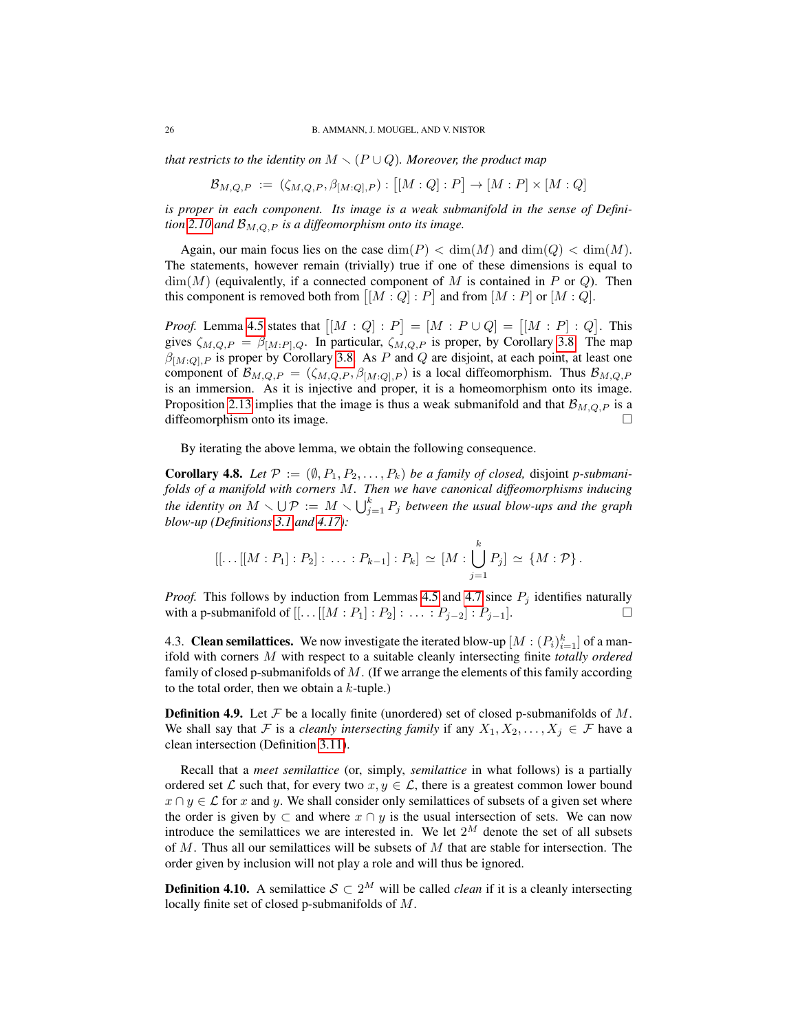*that restricts to the identity on*  $M \setminus (P \cup Q)$ *. Moreover, the product map* 

$$
\mathcal{B}_{M,Q,P} := (\zeta_{M,Q,P}, \beta_{[M:Q],P}) : [[M:Q]:P] \to [M:P] \times [M:Q]
$$

*is proper in each component. Its image is a weak submanifold in the sense of Definition* [2.10](#page-10-2) and  $\mathcal{B}_{M,Q,P}$  *is a diffeomorphism onto its image.* 

Again, our main focus lies on the case  $\dim(P) < \dim(M)$  and  $\dim(Q) < \dim(M)$ . The statements, however remain (trivially) true if one of these dimensions is equal to  $\dim(M)$  (equivalently, if a connected component of M is contained in P or Q). Then this component is removed both from  $[[M:Q]:P]$  and from  $[M:P]$  or  $[M:Q]$ .

*Proof.* Lemma [4.5](#page-24-2) states that  $[[M:Q]:P] = [M:P \cup Q] = [[M:P]:Q]$ . This gives  $\zeta_{M,Q,P} = \beta_{[M:P],Q}$ . In particular,  $\zeta_{M,Q,P}$  is proper, by Corollary [3.8.](#page-18-2) The map  $\beta_{[M:Q],P}$  is proper by Corollary [3.8.](#page-18-2) As P and Q are disjoint, at each point, at least one component of  $\mathcal{B}_{M,Q,P} = (\zeta_{M,Q,P}, \beta_{[M:Q],P})$  is a local diffeomorphism. Thus  $\mathcal{B}_{M,Q,P}$ is an immersion. As it is injective and proper, it is a homeomorphism onto its image. Proposition [2.13](#page-12-0) implies that the image is thus a weak submanifold and that  $\mathcal{B}_{M,Q,P}$  is a diffeomorphism onto its image.

By iterating the above lemma, we obtain the following consequence.

**Corollary 4.8.** Let  $\mathcal{P} := (\emptyset, P_1, P_2, \ldots, P_k)$  *be a family of closed, disjoint p-submanifolds of a manifold with corners* M*. Then we have canonical diffeomorphisms inducing* the identity on  $M \smallsetminus \bigcup \mathcal{P} := M \smallsetminus \bigcup_{j=1}^k P_j$  between the usual blow-ups and the graph *blow-up (Definitions [3.1](#page-15-2) and [4.17\)](#page-31-1):*

$$
[[...[[M:P_1]:P_2]:...:P_{k-1}]:P_k] \simeq [M:\bigcup_{j=1}^k P_j] \simeq \{M:\mathcal{P}\}.
$$

*Proof.* This follows by induction from Lemmas [4.5](#page-24-2) and [4.7](#page-24-1) since  $P_i$  identifies naturally with a p-submanifold of  $[[...[[M:P_1]:P_2]:...:P_{j-2}]:P_{j-1}].$  □

<span id="page-25-0"></span>4.3. Clean semilattices. We now investigate the iterated blow-up  $[M:(P_i)_{i=1}^k]$  of a manifold with corners M with respect to a suitable cleanly intersecting finite *totally ordered* family of closed p-submanifolds of M. (If we arrange the elements of this family according to the total order, then we obtain a  $k$ -tuple.)

**Definition 4.9.** Let  $\mathcal F$  be a locally finite (unordered) set of closed p-submanifolds of  $M$ . We shall say that F is a *cleanly intersecting family* if any  $X_1, X_2, \ldots, X_j \in \mathcal{F}$  have a clean intersection (Definition [3.11\)](#page-19-3).

Recall that a *meet semilattice* (or, simply, *semilattice* in what follows) is a partially ordered set L such that, for every two  $x, y \in \mathcal{L}$ , there is a greatest common lower bound  $x \cap y \in \mathcal{L}$  for x and y. We shall consider only semilattices of subsets of a given set where the order is given by  $\subset$  and where  $x \cap y$  is the usual intersection of sets. We can now introduce the semilattices we are interested in. We let  $2^M$  denote the set of all subsets of  $M$ . Thus all our semilattices will be subsets of  $M$  that are stable for intersection. The order given by inclusion will not play a role and will thus be ignored.

<span id="page-25-1"></span>**Definition 4.10.** A semilattice  $S \subset 2^M$  will be called *clean* if it is a cleanly intersecting locally finite set of closed p-submanifolds of M.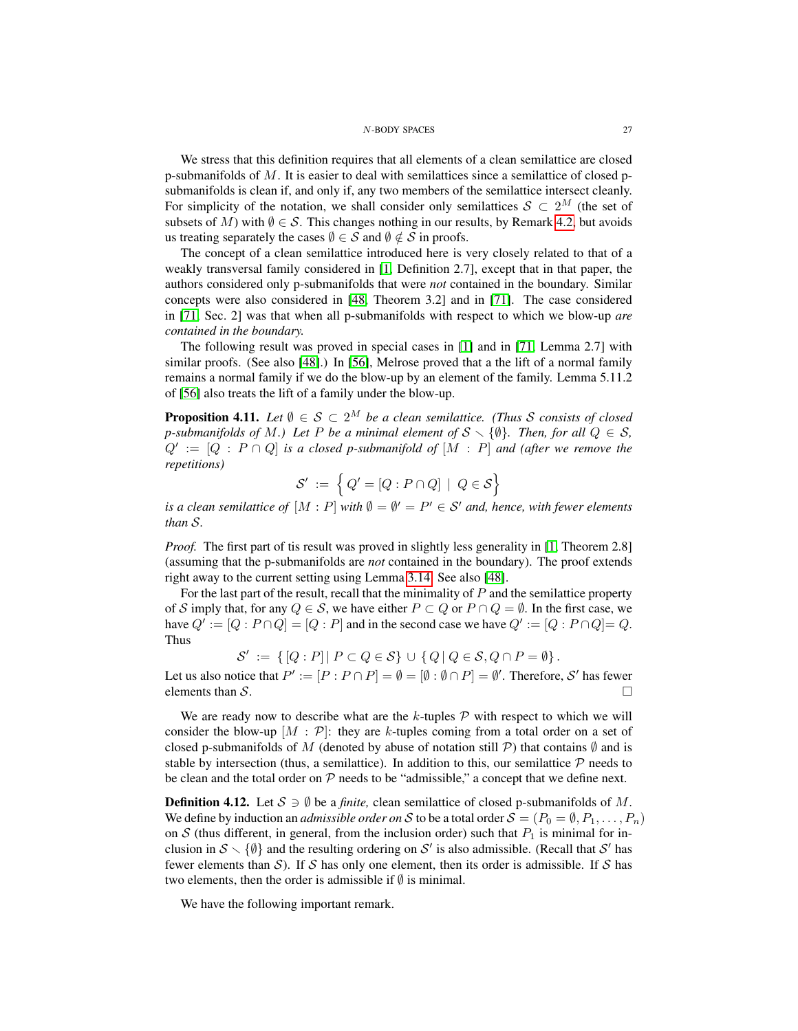We stress that this definition requires that all elements of a clean semilattice are closed p-submanifolds of  $M$ . It is easier to deal with semilattices since a semilattice of closed psubmanifolds is clean if, and only if, any two members of the semilattice intersect cleanly. For simplicity of the notation, we shall consider only semilattices  $S \subset 2^M$  (the set of subsets of M) with  $\emptyset \in \mathcal{S}$ . This changes nothing in our results, by Remark [4.2,](#page-22-3) but avoids us treating separately the cases  $\emptyset \in \mathcal{S}$  and  $\emptyset \notin \mathcal{S}$  in proofs.

The concept of a clean semilattice introduced here is very closely related to that of a weakly transversal family considered in [\[1,](#page-48-1) Definition 2.7], except that in that paper, the authors considered only p-submanifolds that were *not* contained in the boundary. Similar concepts were also considered in [\[48,](#page-50-7) Theorem 3.2] and in [\[71\]](#page-51-7). The case considered in [\[71,](#page-51-7) Sec. 2] was that when all p-submanifolds with respect to which we blow-up *are contained in the boundary.*

The following result was proved in special cases in [\[1\]](#page-48-1) and in [\[71,](#page-51-7) Lemma 2.7] with similar proofs. (See also [\[48\]](#page-50-7).) In [\[56\]](#page-50-9), Melrose proved that a the lift of a normal family remains a normal family if we do the blow-up by an element of the family. Lemma 5.11.2 of [\[56\]](#page-50-9) also treats the lift of a family under the blow-up.

<span id="page-26-1"></span>**Proposition 4.11.** *Let*  $\emptyset \in \mathcal{S} \subset 2^M$  *be a clean semilattice. (Thus S consists of closed p*-submanifolds of M, Let P be a minimal element of  $S \setminus \{\emptyset\}$ . Then, for all  $Q \in S$ ,  $Q' := [Q : P \cap Q]$  *is a closed p-submanifold of*  $[M : P]$  *and (after we remove the repetitions)*

$$
\mathcal{S}' := \left\{ Q' = [Q : P \cap Q] \mid Q \in \mathcal{S} \right\}
$$

*is a clean semilattice of*  $[M : P]$  *with*  $\emptyset = \emptyset' = P' \in S'$  *and, hence, with fewer elements than* S*.*

*Proof.* The first part of tis result was proved in slightly less generality in [\[1,](#page-48-1) Theorem 2.8] (assuming that the p-submanifolds are *not* contained in the boundary). The proof extends right away to the current setting using Lemma [3.14.](#page-21-0) See also [\[48\]](#page-50-7).

For the last part of the result, recall that the minimality of  $P$  and the semilattice property of S imply that, for any  $Q \in S$ , we have either  $P \subset Q$  or  $P \cap Q = \emptyset$ . In the first case, we have  $Q' := [Q : P \cap Q] = [Q : P]$  and in the second case we have  $Q' := [Q : P \cap Q] = Q$ . Thus

$$
\mathcal{S}' := \{ [Q : P] | P \subset Q \in \mathcal{S} \} \cup \{ Q | Q \in \mathcal{S}, Q \cap P = \emptyset \}.
$$

Let us also notice that  $P' := [P : P \cap P] = \emptyset = [\emptyset : \emptyset \cap P] = \emptyset'$ . Therefore, S' has fewer elements than  $S$ .

We are ready now to describe what are the  $k$ -tuples  $P$  with respect to which we will consider the blow-up  $[M : \mathcal{P}]$ : they are k-tuples coming from a total order on a set of closed p-submanifolds of M (denoted by abuse of notation still P) that contains  $\emptyset$  and is stable by intersection (thus, a semilattice). In addition to this, our semilattice  $P$  needs to be clean and the total order on  $P$  needs to be "admissible," a concept that we define next.

<span id="page-26-0"></span>**Definition 4.12.** Let  $S \ni \emptyset$  be a *finite*, clean semilattice of closed p-submanifolds of M. We define by induction an *admissible order on* S to be a total order  $S = (P_0 = \emptyset, P_1, \ldots, P_n)$ on S (thus different, in general, from the inclusion order) such that  $P_1$  is minimal for inclusion in  $S \setminus \{\emptyset\}$  and the resulting ordering on S' is also admissible. (Recall that S' has fewer elements than  $S$ ). If S has only one element, then its order is admissible. If S has two elements, then the order is admissible if  $\emptyset$  is minimal.

We have the following important remark.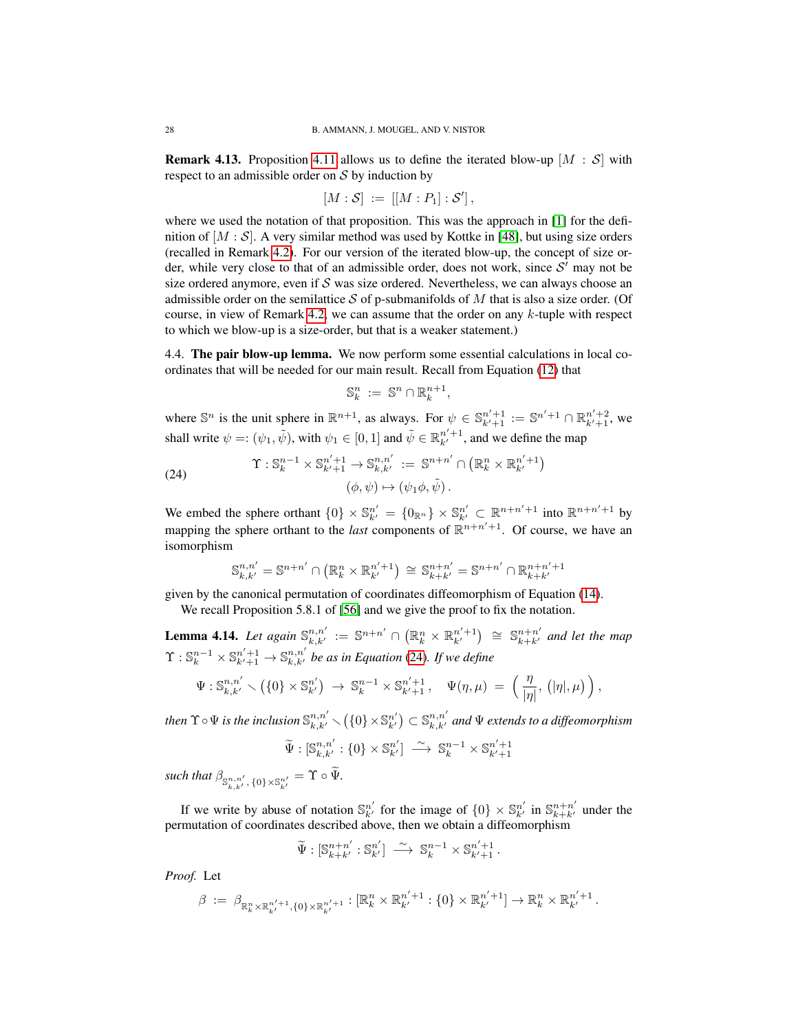<span id="page-27-3"></span>**Remark 4.13.** Proposition [4.11](#page-26-1) allows us to define the iterated blow-up  $[M : S]$  with respect to an admissible order on  $S$  by induction by

$$
[M:\mathcal{S}] := [[M:P_1]:\mathcal{S}'],
$$

where we used the notation of that proposition. This was the approach in [\[1\]](#page-48-1) for the definition of  $[M : S]$ . A very similar method was used by Kottke in [\[48\]](#page-50-7), but using size orders (recalled in Remark [4.2\)](#page-22-3). For our version of the iterated blow-up, the concept of size order, while very close to that of an admissible order, does not work, since  $S'$  may not be size ordered anymore, even if  $S$  was size ordered. Nevertheless, we can always choose an admissible order on the semilattice S of p-submanifolds of M that is also a size order. (Of course, in view of Remark [4.2,](#page-22-3) we can assume that the order on any k-tuple with respect to which we blow-up is a size-order, but that is a weaker statement.)

<span id="page-27-0"></span>4.4. The pair blow-up lemma. We now perform some essential calculations in local coordinates that will be needed for our main result. Recall from Equation [\(12\)](#page-7-3) that

$$
\mathbb{S}_k^n := \mathbb{S}^n \cap \mathbb{R}_k^{n+1},
$$

where  $\mathbb{S}^n$  is the unit sphere in  $\mathbb{R}^{n+1}$ , as always. For  $\psi \in \mathbb{S}_{k'+1}^{n'+1} := \mathbb{S}^{n'+1} \cap \mathbb{R}_{k'+1}^{n'+2}$ , we shall write  $\psi =: (\psi_1, \tilde{\psi})$ , with  $\psi_1 \in [0, 1]$  and  $\tilde{\psi} \in \mathbb{R}^{n'+1}_{k'}$ , and we define the map

<span id="page-27-1"></span>(24) 
$$
\Upsilon : \mathbb{S}_k^{n-1} \times \mathbb{S}_{k'+1}^{n'+1} \to \mathbb{S}_{k,k'}^{n,n'} := \mathbb{S}^{n+n'} \cap \left( \mathbb{R}_k^n \times \mathbb{R}_{k'}^{n'+1} \right) \newline (\phi, \psi) \mapsto (\psi_1 \phi, \tilde{\psi}).
$$

We embed the sphere orthant  $\{0\} \times \mathbb{S}_{k'}^{n'} = \{0_{\mathbb{R}^n}\}\times \mathbb{S}_{k'}^{n'} \subset \mathbb{R}^{n+n'+1}$  into  $\mathbb{R}^{n+n'+1}$  by mapping the sphere orthant to the *last* components of  $\mathbb{R}^{n+n'+1}$ . Of course, we have an isomorphism

$$
\mathbb{S}_{k,k'}^{n,n'} = \mathbb{S}^{n+n'} \cap \left( \mathbb{R}_{k}^{n} \times \mathbb{R}_{k'}^{n'+1} \right) \cong \mathbb{S}_{k+k'}^{n+n'} = \mathbb{S}^{n+n'} \cap \mathbb{R}_{k+k'}^{n+n'+1}
$$

given by the canonical permutation of coordinates diffeomorphism of Equation [\(14\)](#page-7-5).

We recall Proposition 5.8.1 of [\[56\]](#page-50-9) and we give the proof to fix the notation.

<span id="page-27-2"></span>**Lemma 4.14.** Let again  $\mathbb{S}_{k,k'}^{n,n'} := \mathbb{S}^{n+n'} \cap (\mathbb{R}_k^n \times \mathbb{R}_{k'}^{n'+1}) \cong \mathbb{S}_{k+k'}^{n+n'}$  and let the map  $\Upsilon$  :  $\mathbb{S}_k^{n-1} \times \mathbb{S}_{k'+1}^{n'+1} \to \mathbb{S}_{k,k'}^{n,n'}$  be as in Equation [\(24\)](#page-27-1)*. If we define* 

$$
\Psi: \mathbb{S}^{n,n'}_{k,k'} \setminus \left(\{0\} \times \mathbb{S}^{n'}_{k'}\right) \ \to \ \mathbb{S}^{n-1}_{k} \times \mathbb{S}^{n'+1}_{k'+1}, \quad \Psi(\eta,\mu) \ = \ \left(\frac{\eta}{|\eta|},\, \left(|\eta|,\mu\right)\right),
$$

then  $\Upsilon \circ \Psi$  is the inclusion  $\mathbb{S}^{n,n'}_{k,k'} \smallsetminus (\{0\}\times\mathbb{S}^{n'}_{k'})\subset \mathbb{S}^{n,n'}_{k,k'}$  and  $\Psi$  extends to a diffeomorphism

$$
\widetilde{\Psi}:[\mathbb{S}^{n,n'}_{k,k'}:\{0\}\times\mathbb{S}^{n'}_{k'}]\ \stackrel{\sim}{\longrightarrow}\ \mathbb{S}^{n-1}_{k}\times\mathbb{S}^{n'+1}_{k'+1}
$$

such that  $\beta_{\mathbb{S}^{n,n'}_{k,k'},\{0\}\times\mathbb{S}^{n'}_{k'}} = \Upsilon \circ \Psi$ .

If we write by abuse of notation  $\mathbb{S}_{k'}^{n'}$  for the image of  $\{0\} \times \mathbb{S}_{k'}^{n'}$  in  $\mathbb{S}_{k+k'}^{n+n'}$  under the permutation of coordinates described above, then we obtain a diffeomorphism

$$
\widetilde{\Psi}: [\mathbb{S}_{k+k'}^{n+n'} : \mathbb{S}_{k'}^{n'}] \longrightarrow \mathbb{S}_{k}^{n-1} \times \mathbb{S}_{k'+1}^{n'+1}.
$$

*Proof.* Let

$$
\beta \; := \; \beta_{\mathbb{R}_k^n \times \mathbb{R}_{k'}^{n'+1}, \{0\} \times \mathbb{R}_{k'}^{n'+1}} : [\mathbb{R}_k^n \times \mathbb{R}_{k'}^{n'+1} : \{0\} \times \mathbb{R}_{k'}^{n'+1}] \to \mathbb{R}_k^n \times \mathbb{R}_{k'}^{n'+1}.
$$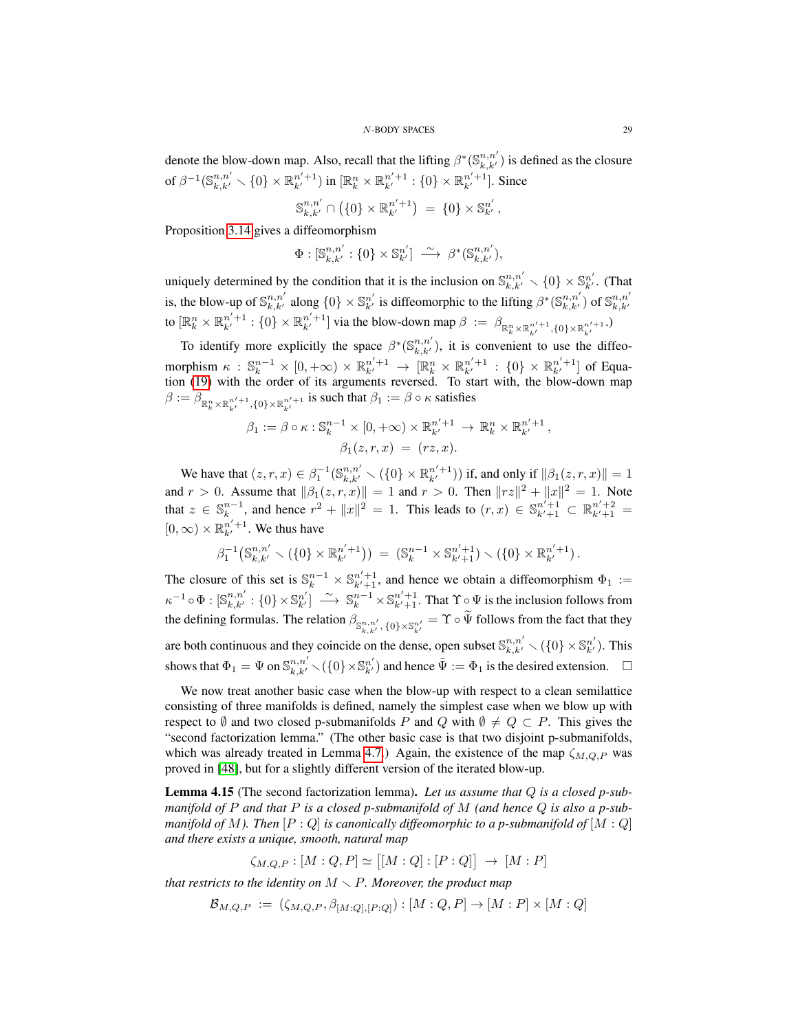denote the blow-down map. Also, recall that the lifting  $\beta^*(\mathbb{S}^{n,n'}_{k,k'})$  is defined as the closure of  $\beta^{-1}(\mathbb{S}^{n,n'}_{k,k'}\smallsetminus\{0\}\times\mathbb{R}^{n'+1}_{k'})$  in  $[\mathbb{R}^n_k\times\mathbb{R}^{n'+1}_{k'}:\{0\}\times\mathbb{R}^{n'+1}_{k'}].$  Since

$$
\mathbb{S}_{k,k'}^{n,n'} \cap \left( \{0\} \times \mathbb{R}_{k'}^{n'+1} \right) \ = \ \{0\} \times \mathbb{S}_{k'}^{n'},
$$

Proposition [3.14](#page-21-0) gives a diffeomorphism

$$
\Phi: [\mathbb{S}^{n,n'}_{k,k'}: \{0\} \times \mathbb{S}^{n'}_{k'}] \stackrel{\sim}{\longrightarrow} \beta^*(\mathbb{S}^{n,n'}_{k,k'}),
$$

uniquely determined by the condition that it is the inclusion on  $\mathbb{S}_{k,k'}^{n,n'} \setminus \{0\} \times \mathbb{S}_{k'}^{n'}$ . (That is, the blow-up of  $\mathbb{S}_{k,k'}^{n,n'}$  along  $\{0\} \times \mathbb{S}_{k'}^{n'}$  is diffeomorphic to the lifting  $\beta^*(\mathbb{S}_{k,k'}^{n,n'})$  of  $\mathbb{S}_{k,k'}^{n,n'}$ to  $[\mathbb{R}_k^n \times \mathbb{R}_{k'}^{n'+1} : \{0\} \times \mathbb{R}_{k'}^{n'+1}]$  via the blow-down map  $\beta := \beta_{\mathbb{R}_k^n \times \mathbb{R}_{k'}^{n'+1}, \{0\} \times \mathbb{R}_{k'}^{n'+1}}$ .

To identify more explicitly the space  $\beta^*(\mathbb{S}^{n,n'}_{k,k'})$ , it is convenient to use the diffeomorphism  $\kappa$  :  $\mathbb{S}_k^{n-1} \times [0, +\infty) \times \mathbb{R}_{k'}^{n'+1} \to [\mathbb{R}_k^n \times \mathbb{R}_{k'}^{n'+1} : \{0\} \times \mathbb{R}_{k'}^{n'+1}]$  of Equation [\(19\)](#page-16-2) with the order of its arguments reversed. To start with, the blow-down map  $\beta := \beta_{\mathbb{R}^n_k \times \mathbb{R}^{n'+1}_{k'}, \{0\} \times \mathbb{R}^{n'+1}_{k'}}$  is such that  $\beta_1 := \beta \circ \kappa$  satisfies

$$
\beta_1 := \beta \circ \kappa : \mathbb{S}_k^{n-1} \times [0, +\infty) \times \mathbb{R}_{k'}^{n'+1} \to \mathbb{R}_k^n \times \mathbb{R}_{k'}^{n'+1},
$$

$$
\beta_1(z, r, x) = (rz, x).
$$

We have that  $(z, r, x) \in \beta_1^{-1}(\mathbb{S}_{k,k'}^{n,n'} \setminus (\{0\} \times \mathbb{R}_{k'}^{n'+1}))$  if, and only if  $\|\beta_1(z, r, x)\| = 1$ and  $r > 0$ . Assume that  $\|\beta_1(z, r, x)\| = 1$  and  $r > 0$ . Then  $\|rz\|^2 + \|x\|^2 = 1$ . Note that  $z \in \mathbb{S}_k^{n-1}$ , and hence  $r^2 + ||x||^2 = 1$ . This leads to  $(r, x) \in \mathbb{S}_{k'+1}^{n'+1} \subset \mathbb{R}_{k'+1}^{n'+2} =$  $[0, \infty) \times \mathbb{R}_{k'}^{n'+1}$ . We thus have

$$
\beta_1^{-1}(\mathbb{S}_{k,k'}^{n,n'}\setminus(\{0\}\times\mathbb{R}_{k'}^{n'+1})) = (\mathbb{S}_k^{n-1}\times\mathbb{S}_{k'+1}^{n'+1})\setminus(\{0\}\times\mathbb{R}_{k'}^{n'+1}).
$$

The closure of this set is  $\mathbb{S}_k^{n-1} \times \mathbb{S}_{k'+1}^{n'+1}$ , and hence we obtain a diffeomorphism  $\Phi_1 :=$  $\kappa^{-1} \circ \Phi : [\mathbb{S}_{k,k'}^{n,n'} : \{0\} \times \mathbb{S}_{k'}^{n'}] \longrightarrow \mathbb{S}_{k}^{n-1} \times \mathbb{S}_{k'+1}^{n'+1}$ . That  $\Upsilon \circ \Psi$  is the inclusion follows from the defining formulas. The relation  $\beta_{\mathbb{S}^{n,n'}_{k,k'},\{0\}\times\mathbb{S}^{n'}_{k'}}=\Upsilon\circ\Psi$  follows from the fact that they are both continuous and they coincide on the dense, open subset  $\mathbb{S}_{k,k'}^{n,n'} \setminus (\{0\} \times \mathbb{S}_{k'}^{n'})$ . This shows that  $\Phi_1 = \Psi$  on  $\mathbb{S}_{k,k'}^{n,n'} \setminus (\{0\} \times \mathbb{S}_{k'}^{n'})$  and hence  $\tilde{\Psi} := \Phi_1$  is the desired extension.  $\Box$ 

We now treat another basic case when the blow-up with respect to a clean semilattice consisting of three manifolds is defined, namely the simplest case when we blow up with respect to  $\emptyset$  and two closed p-submanifolds P and Q with  $\emptyset \neq Q \subset P$ . This gives the "second factorization lemma." (The other basic case is that two disjoint p-submanifolds, which was already treated in Lemma [4.7.](#page-24-1)) Again, the existence of the map  $\zeta_{M,Q,P}$  was proved in [\[48\]](#page-50-7), but for a slightly different version of the iterated blow-up.

<span id="page-28-0"></span>Lemma 4.15 (The second factorization lemma). *Let us assume that* Q *is a closed p-submanifold of* P *and that* P *is a closed p-submanifold of* M *(and hence* Q *is also a p-submanifold of* M). Then  $[P:Q]$  *is canonically diffeomorphic to a p-submanifold of*  $[M:Q]$ *and there exists a unique, smooth, natural map*

$$
\zeta_{M,Q,P}: [M:Q,P] \simeq [[M:Q]: [P:Q]] \rightarrow [M:P]
$$

*that restricts to the identity on*  $M \setminus P$ *. Moreover, the product map* 

$$
\mathcal{B}_{M,Q,P} := (\zeta_{M,Q,P}, \beta_{[M:Q],[P:Q]}) : [M:Q,P] \to [M:P] \times [M:Q]
$$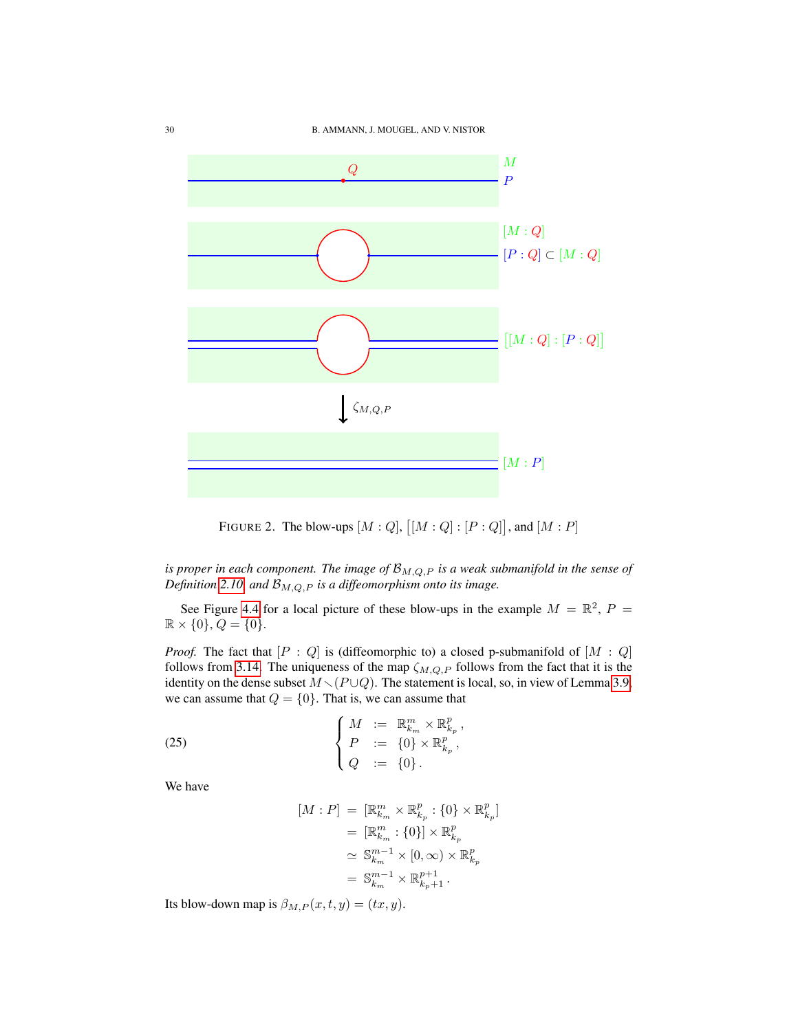

FIGURE 2. The blow-ups  $[M:Q], [[M:Q]: [P:Q]],$  and  $[M:P]$ 

*is proper in each component. The image of*  $\mathcal{B}_{M,Q,P}$  *is a weak submanifold in the sense of Definition* [2.10,](#page-10-2) and  $\mathcal{B}_{M,Q,P}$  *is a diffeomorphism onto its image.* 

See Figure [4.4](#page-28-0) for a local picture of these blow-ups in the example  $M = \mathbb{R}^2$ ,  $P =$  $\mathbb{R} \times \{0\}, Q = \{0\}.$ 

*Proof.* The fact that  $[P: Q]$  is (diffeomorphic to) a closed p-submanifold of  $[M: Q]$ follows from [3.14.](#page-21-0) The uniqueness of the map  $\zeta_{M,Q,P}$  follows from the fact that it is the identity on the dense subset  $M \setminus (P \cup Q)$ . The statement is local, so, in view of Lemma [3.9,](#page-18-1) we can assume that  $Q = \{0\}$ . That is, we can assume that

(25) 
$$
\begin{cases} M := \mathbb{R}_{k_m}^m \times \mathbb{R}_{k_p}^p, \\ P := \{0\} \times \mathbb{R}_{k_p}^p, \\ Q := \{0\}. \end{cases}
$$

We have

<span id="page-29-0"></span>
$$
[M:P] = [\mathbb{R}_{k_m}^m \times \mathbb{R}_{k_p}^p : \{0\} \times \mathbb{R}_{k_p}^p]
$$
  
\n
$$
= [\mathbb{R}_{k_m}^m : \{0\}] \times \mathbb{R}_{k_p}^p
$$
  
\n
$$
\simeq \mathbb{S}_{k_m}^{m-1} \times [0, \infty) \times \mathbb{R}_{k_p}^p
$$
  
\n
$$
= \mathbb{S}_{k_m}^{m-1} \times \mathbb{R}_{k_p+1}^{p+1}.
$$

Its blow-down map is  $\beta_{M,P}(x,t,y) = (tx, y)$ .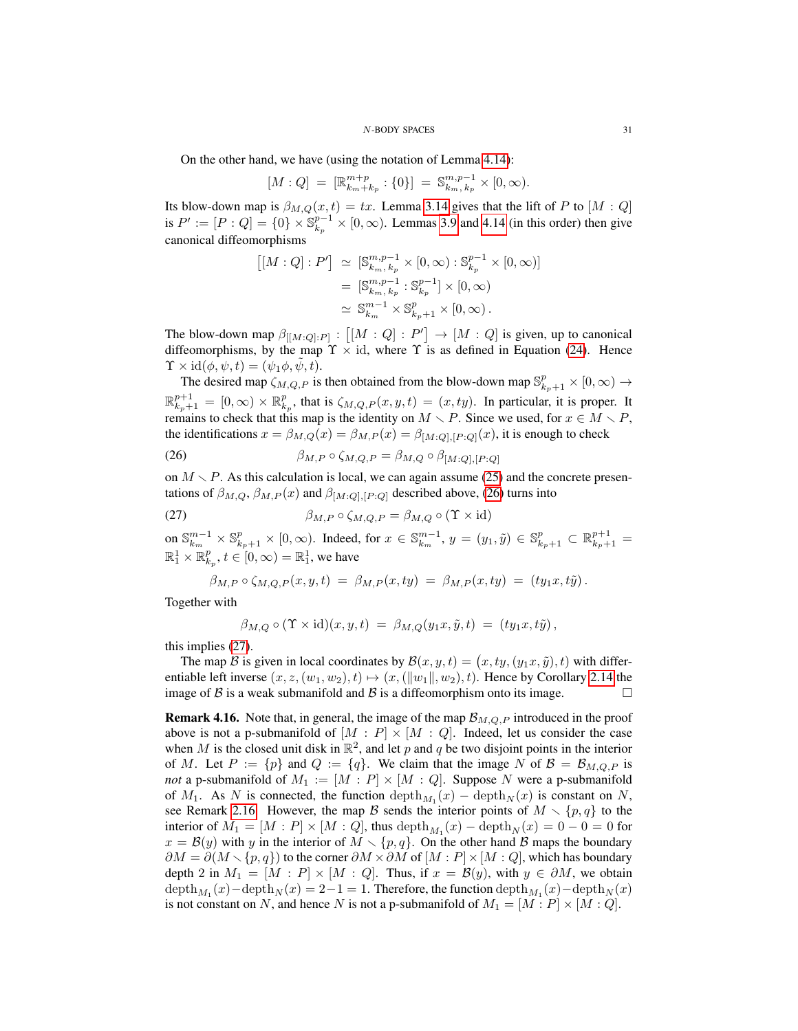On the other hand, we have (using the notation of Lemma [4.14\)](#page-27-2):

$$
[M:Q] = [\mathbb{R}_{k_m+k_p}^{m+p} : \{0\}] = \mathbb{S}_{k_m,k_p}^{m,p-1} \times [0,\infty).
$$

Its blow-down map is  $\beta_{M,Q}(x,t) = tx$ . Lemma [3.14](#page-21-0) gives that the lift of P to [M : Q] is  $P' := [P:Q] = \{0\} \times \mathbb{S}_{k_p}^{p-1} \times [0,\infty)$ . Lemmas [3.9](#page-18-1) and [4.14](#page-27-2) (in this order) then give canonical diffeomorphisms

$$
\begin{aligned} [[M:Q]:P'] &\simeq [\mathbb{S}^{m,p-1}_{k_m,k_p} \times [0,\infty) : \mathbb{S}^{p-1}_{k_p} \times [0,\infty)] \\ &= [\mathbb{S}^{m,p-1}_{k_m,k_p} : \mathbb{S}^{p-1}_{k_p}] \times [0,\infty) \\ &\simeq \mathbb{S}^{m-1}_{k_m} \times \mathbb{S}^{p}_{k_p+1} \times [0,\infty) \,. \end{aligned}
$$

The blow-down map  $\beta_{[[M:Q]:P]} : [[M:Q]:P'] \to [M:Q]$  is given, up to canonical diffeomorphisms, by the map  $\Upsilon \times id$ , where  $\Upsilon$  is as defined in Equation [\(24\)](#page-27-1). Hence  $\Upsilon \times id(\phi, \psi, t) = (\psi_1 \phi, \tilde{\psi}, t).$ 

The desired map  $\zeta_{M,Q,P}$  is then obtained from the blow-down map  $\mathbb{S}^p_{k_p+1} \times [0,\infty) \to$  $\mathbb{R}_{k_p+1}^{p+1} = [0,\infty) \times \mathbb{R}_{k_p}^p$ , that is  $\zeta_{M,Q,P}(x,y,t) = (x, ty)$ . In particular, it is proper. It remains to check that this map is the identity on  $M \setminus P$ . Since we used, for  $x \in M \setminus P$ , the identifications  $x = \beta_{M,Q}(x) = \beta_{M,P}(x) = \beta_{[M:Q],[P:Q]}(x)$ , it is enough to check

<span id="page-30-1"></span>(26) 
$$
\beta_{M,P} \circ \zeta_{M,Q,P} = \beta_{M,Q} \circ \beta_{[M:Q],[P:Q]}
$$

on  $M \setminus P$ . As this calculation is local, we can again assume [\(25\)](#page-29-0) and the concrete presentations of  $\beta_{M,Q}, \beta_{M,P}(x)$  and  $\beta_{[M:Q], [P:Q]}$  described above, [\(26\)](#page-30-1) turns into

(27) 
$$
\beta_{M,P} \circ \zeta_{M,Q,P} = \beta_{M,Q} \circ (\Upsilon \times id)
$$

on  $\mathbb{S}_{k_m}^{m-1} \times \mathbb{S}_{k_p+1}^p \times [0, \infty)$ . Indeed, for  $x \in \mathbb{S}_{k_m}^{m-1}$ ,  $y = (y_1, \tilde{y}) \in \mathbb{S}_{k_p+1}^p \subset \mathbb{R}_{k_p+1}^{p+1}$  $\mathbb{R}^1_1 \times \mathbb{R}^p_{k_p}, t \in [0, \infty) = \mathbb{R}^1_1$ , we have

<span id="page-30-2"></span>
$$
\beta_{M,P} \circ \zeta_{M,Q,P}(x,y,t) = \beta_{M,P}(x,ty) = \beta_{M,P}(x,ty) = (ty_1x,t\tilde{y}).
$$

Together with

$$
\beta_{M,Q} \circ (\Upsilon \times id)(x,y,t) = \beta_{M,Q}(y_1x,\tilde{y},t) = (ty_1x,t\tilde{y}),
$$

this implies [\(27\)](#page-30-2).

The map  $\mathcal B$  is given in local coordinates by  $\mathcal B(x, y, t) = (x, ty, (y_1x, \tilde{y}), t)$  with differentiable left inverse  $(x, z, (w_1, w_2), t) \mapsto (x, (||w_1||, w_2), t)$ . Hence by Corollary [2.14](#page-13-1) the image of B is a weak submanifold and B is a diffeomorphism onto its image.  $\square$ 

<span id="page-30-0"></span>**Remark 4.16.** Note that, in general, the image of the map  $\mathcal{B}_{M,Q,P}$  introduced in the proof above is not a p-submanifold of  $[M : P] \times [M : Q]$ . Indeed, let us consider the case when M is the closed unit disk in  $\mathbb{R}^2$ , and let p and q be two disjoint points in the interior of M. Let  $P := \{p\}$  and  $Q := \{q\}$ . We claim that the image N of  $\mathcal{B} = \mathcal{B}_{M,Q,P}$  is *not* a p-submanifold of  $M_1 := [M : P] \times [M : Q]$ . Suppose N were a p-submanifold of  $M_1$ . As N is connected, the function  $\text{depth}_{M_1}(x) - \text{depth}_N(x)$  is constant on N, see Remark [2.16.](#page-13-2) However, the map B sends the interior points of  $M \setminus \{p, q\}$  to the interior of  $M_1 = [M : P] \times [M : Q]$ , thus  $\text{depth}_{M_1}(x) - \text{depth}_N(x) = 0 - 0 = 0$  for  $x = B(y)$  with y in the interior of  $M \setminus \{p, q\}$ . On the other hand B maps the boundary  $\partial M = \partial (M \setminus \{p, q\})$  to the corner  $\partial M \times \partial M$  of  $[M : P] \times [M : Q]$ , which has boundary depth 2 in  $M_1 = [M : P] \times [M : Q]$ . Thus, if  $x = B(y)$ , with  $y \in \partial M$ , we obtain  $\mathrm{depth}_{M_1}(x)-\mathrm{depth}_N(x)=2-1=1.$  Therefore, the function  $\mathrm{depth}_M(x)-\mathrm{depth}_N(x)$ is not constant on N, and hence N is not a p-submanifold of  $M_1 = [M : P] \times [M : Q]$ .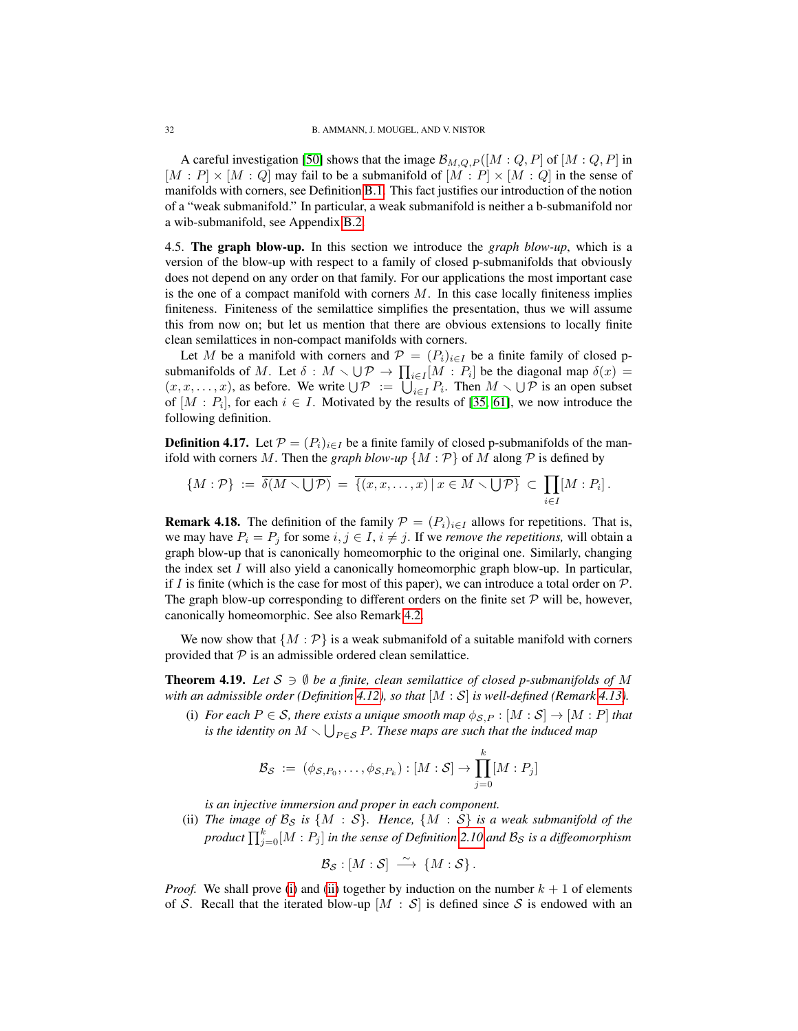A careful investigation [\[50\]](#page-50-14) shows that the image  $\mathcal{B}_{M,Q,P}([M:Q,P]$  of  $[M:Q,P]$  in  $[M : P] \times [M : Q]$  may fail to be a submanifold of  $[M : P] \times [M : Q]$  in the sense of manifolds with corners, see Definition [B.1.](#page-46-3) This fact justifies our introduction of the notion of a "weak submanifold." In particular, a weak submanifold is neither a b-submanifold nor a wib-submanifold, see Appendix [B.2.](#page-47-0)

<span id="page-31-0"></span>4.5. The graph blow-up. In this section we introduce the *graph blow-up*, which is a version of the blow-up with respect to a family of closed p-submanifolds that obviously does not depend on any order on that family. For our applications the most important case is the one of a compact manifold with corners  $M$ . In this case locally finiteness implies finiteness. Finiteness of the semilattice simplifies the presentation, thus we will assume this from now on; but let us mention that there are obvious extensions to locally finite clean semilattices in non-compact manifolds with corners.

Let M be a manifold with corners and  $P = (P_i)_{i \in I}$  be a finite family of closed psubmanifolds of M. Let  $\delta : M \setminus \bigcup \mathcal{P} \to \prod_{i \in I} [M : P_i]$  be the diagonal map  $\delta(x) =$  $(x, x, \dots, x)$ , as before. We write  $\bigcup \mathcal{P} := \bigcup_{i \in I} P_i$ . Then  $M \setminus \bigcup \mathcal{P}$  is an open subset of  $[M : P_i]$ , for each  $i \in I$ . Motivated by the results of [\[35,](#page-50-6) [61\]](#page-51-4), we now introduce the following definition.

<span id="page-31-1"></span>**Definition 4.17.** Let  $P = (P_i)_{i \in I}$  be a finite family of closed p-submanifolds of the manifold with corners M. Then the graph blow-up  $\{M : \mathcal{P}\}\$  of M along  $\mathcal P$  is defined by

$$
\{M:\mathcal{P}\} := \overline{\delta(M\smallsetminus\bigcup\mathcal{P})} = \overline{\{(x,x,\ldots,x)\,|\,x\in M\smallsetminus\bigcup\mathcal{P}\}} \subset \prod_{i\in I} [M:P_i].
$$

<span id="page-31-3"></span>**Remark 4.18.** The definition of the family  $\mathcal{P} = (P_i)_{i \in I}$  allows for repetitions. That is, we may have  $P_i = P_j$  for some  $i, j \in I$ ,  $i \neq j$ . If we *remove the repetitions*, will obtain a graph blow-up that is canonically homeomorphic to the original one. Similarly, changing the index set  $I$  will also yield a canonically homeomorphic graph blow-up. In particular, if I is finite (which is the case for most of this paper), we can introduce a total order on  $\mathcal{P}$ . The graph blow-up corresponding to different orders on the finite set  $P$  will be, however, canonically homeomorphic. See also Remark [4.2.](#page-22-3)

We now show that  $\{M : \mathcal{P}\}\$ is a weak submanifold of a suitable manifold with corners provided that  $P$  is an admissible ordered clean semilattice.

<span id="page-31-2"></span>**Theorem 4.19.** Let  $S \ni \emptyset$  be a finite, clean semilattice of closed p-submanifolds of M *with an admissible order (Definition [4.12\)](#page-26-0), so that* [M : S] *is well-defined (Remark [4.13\)](#page-27-3).*

<span id="page-31-4"></span>(i) *For each*  $P \in S$ *, there exists a unique smooth map*  $\phi_{S,P} : [M : S] \rightarrow [M : P]$  *that is the identity on*  $M \setminus \bigcup_{P \in \mathcal{S}} P$ . These maps are such that the induced map

$$
\mathcal{B}_{\mathcal{S}} := (\phi_{\mathcal{S},P_0}, \dots, \phi_{\mathcal{S},P_k}) : [M : \mathcal{S}] \to \prod_{j=0}^k [M : P_j]
$$

*is an injective immersion and proper in each component.*

<span id="page-31-5"></span>(ii) *The image of*  $\mathcal{B}_{\mathcal{S}}$  *is*  $\{M : \mathcal{S}\}\$ *. Hence,*  $\{M : \mathcal{S}\}\$  *is a weak submanifold of the* product  $\prod_{j=0}^k [M:P_j]$  in the sense of Definition [2.10](#page-10-2) and  $\mathcal{B}_{\mathcal{S}}$  is a diffeomorphism

$$
\mathcal{B}_{\mathcal{S}}:[M:\mathcal{S}]\ \stackrel{\sim}{\longrightarrow}\ \{M:\mathcal{S}\}.
$$

*Proof.* We shall prove [\(i\)](#page-31-4) and [\(ii\)](#page-31-5) together by induction on the number  $k + 1$  of elements of S. Recall that the iterated blow-up  $[M : S]$  is defined since S is endowed with an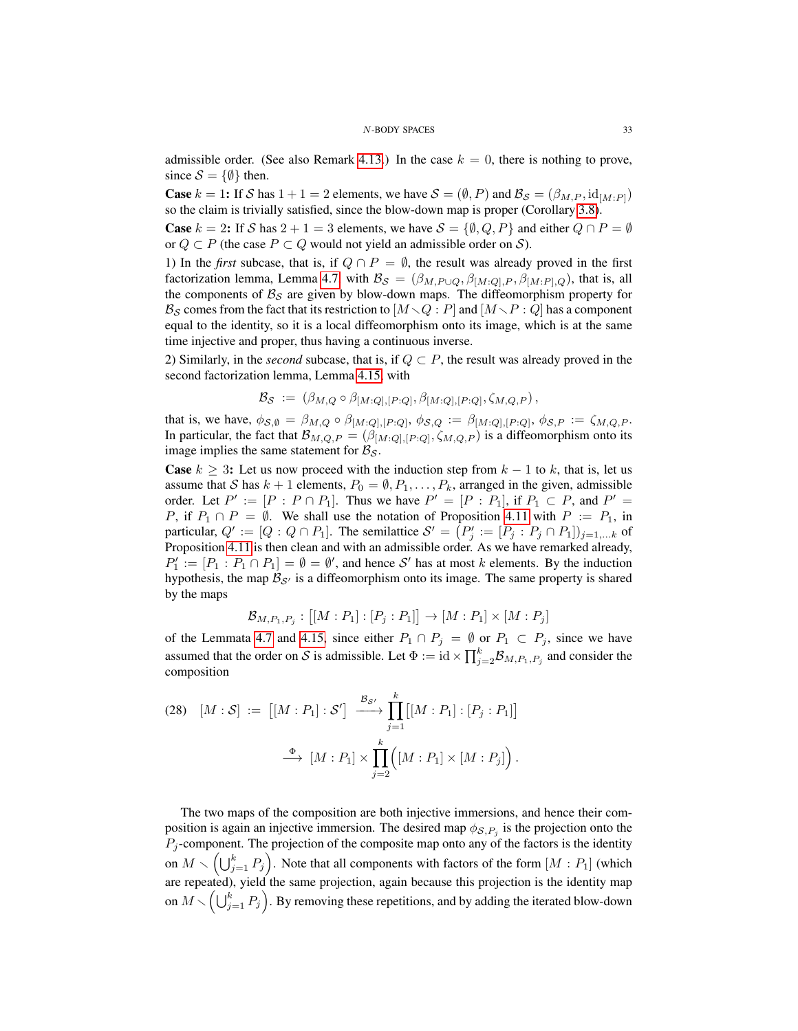admissible order. (See also Remark [4.13.](#page-27-3)) In the case  $k = 0$ , there is nothing to prove, since  $S = \{\emptyset\}$  then.

**Case**  $k = 1$ : If S has  $1 + 1 = 2$  elements, we have  $S = (\emptyset, P)$  and  $\mathcal{B}_{S} = (\beta_{M,P}, \text{id}_{[M:P]})$ so the claim is trivially satisfied, since the blow-down map is proper (Corollary [3.8\)](#page-18-2).

**Case**  $k = 2$ : If S has  $2 + 1 = 3$  elements, we have  $S = \{0, Q, P\}$  and either  $Q \cap P = \emptyset$ or  $Q \subset P$  (the case  $P \subset Q$  would not yield an admissible order on S).

1) In the *first* subcase, that is, if  $Q \cap P = \emptyset$ , the result was already proved in the first factorization lemma, Lemma [4.7,](#page-24-1) with  $\mathcal{B}_{\mathcal{S}} = (\beta_{M,P\cup Q}, \beta_{[M:Q],P}, \beta_{[M:P],Q})$ , that is, all the components of  $B_S$  are given by blow-down maps. The diffeomorphism property for  $\mathcal{B}_{\mathcal{S}}$  comes from the fact that its restriction to  $[M \setminus Q : P]$  and  $[M \setminus P : Q]$  has a component equal to the identity, so it is a local diffeomorphism onto its image, which is at the same time injective and proper, thus having a continuous inverse.

2) Similarly, in the *second* subcase, that is, if  $Q \subset P$ , the result was already proved in the second factorization lemma, Lemma [4.15,](#page-28-0) with

$$
\mathcal{B}_{\mathcal{S}} \; := \; \left( \beta_{M,Q} \circ \beta_{[M:Q],[P:Q]}, \beta_{[M:Q],[P:Q]}, \zeta_{M,Q,P} \right),
$$

that is, we have,  $\phi_{\mathcal{S},\emptyset} = \beta_{M,Q} \circ \beta_{[M:Q],[P:Q]}, \phi_{\mathcal{S},Q} := \beta_{[M:Q],[P:Q]}, \phi_{\mathcal{S},P} := \zeta_{M,Q,P}$ . In particular, the fact that  $\mathcal{B}_{M,Q,P} = (\beta_{[M:Q],[P:Q]}, \zeta_{M,Q,P})$  is a diffeomorphism onto its image implies the same statement for  $\mathcal{B}_{\mathcal{S}}$ .

**Case**  $k \geq 3$ : Let us now proceed with the induction step from  $k - 1$  to k, that is, let us assume that S has  $k + 1$  elements,  $P_0 = \emptyset, P_1, \ldots, P_k$ , arranged in the given, admissible order. Let  $P' := [P : P \cap P_1]$ . Thus we have  $P' = [P : P_1]$ , if  $P_1 \subset P$ , and  $P' =$ P, if  $P_1 \cap P = \emptyset$ . We shall use the notation of Proposition [4.11](#page-26-1) with  $P := P_1$ , in particular,  $Q' := [Q : Q \cap P_1]$ . The semilattice  $S' = (P'_j := [P_j : P_j \cap P_1])_{j=1,...k}$  of Proposition [4.11](#page-26-1) is then clean and with an admissible order. As we have remarked already,  $P'_1 := [P_1 : P_1 \cap P_1] = \emptyset = \emptyset'$ , and hence S' has at most k elements. By the induction hypothesis, the map  $B_{\mathcal{S}}$  is a diffeomorphism onto its image. The same property is shared by the maps

$$
\mathcal{B}_{M,P_1,P_j} : [[M : P_1] : [P_j : P_1]] \to [M : P_1] \times [M : P_j]
$$

of the Lemmata [4.7](#page-24-1) and [4.15,](#page-28-0) since either  $P_1 \cap P_j = \emptyset$  or  $P_1 \subset P_j$ , since we have assumed that the order on S is admissible. Let  $\Phi := id \times \prod_{j=2}^{k} B_{M,P_1,P_j}$  and consider the composition

(28) 
$$
[M:S] := [[M:P_1]:S'] \xrightarrow{\mathcal{B}_{S'}} \prod_{j=1}^k [[M:P_1]: [P_j:P_1]]
$$

$$
\xrightarrow{\Phi} [M:P_1] \times \prod_{j=2}^k ([M:P_1] \times [M:P_j]).
$$

The two maps of the composition are both injective immersions, and hence their composition is again an injective immersion. The desired map  $\phi_{\mathcal{S},P_j}$  is the projection onto the  $P_j$ -component. The projection of the composite map onto any of the factors is the identity on  $M \setminus \left(\bigcup_{j=1}^k P_j\right)$ . Note that all components with factors of the form  $[M : P_1]$  (which are repeated), yield the same projection, again because this projection is the identity map on  $M \smallsetminus \left(\bigcup_{j=1}^k P_j\right)$ . By removing these repetitions, and by adding the iterated blow-down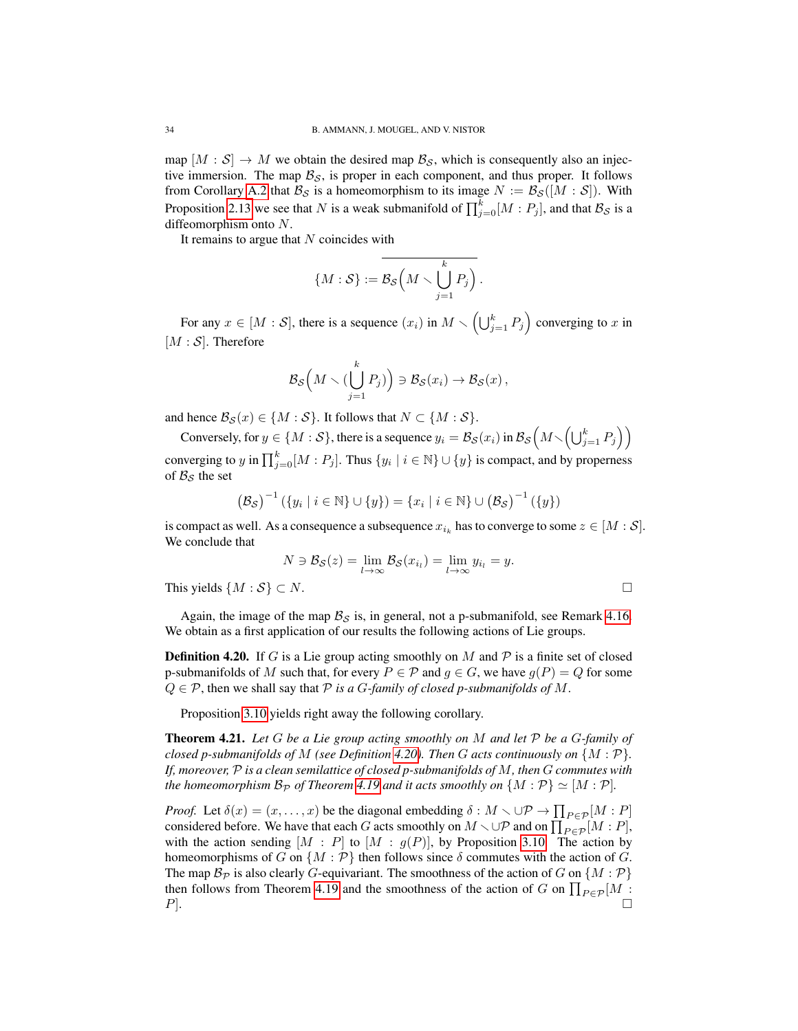map  $[M : S] \to M$  we obtain the desired map  $\mathcal{B}_{S}$ , which is consequently also an injective immersion. The map  $\mathcal{B}_{\mathcal{S}}$ , is proper in each component, and thus proper. It follows from Corollary [A.2](#page-46-5) that  $\mathcal{B}_{\mathcal{S}}$  is a homeomorphism to its image  $N := \mathcal{B}_{\mathcal{S}}([M : \mathcal{S}])$ . With Proposition [2.13](#page-12-0) we see that N is a weak submanifold of  $\prod_{j=0}^{k} [M : P_j]$ , and that  $\mathcal{B}_{\mathcal{S}}$  is a diffeomorphism onto N.

It remains to argue that  $N$  coincides with

$$
\{M:\mathcal{S}\}:=\overline{\mathcal{B}_{\mathcal{S}}\left(M\smallsetminus\bigcup_{j=1}^{k}P_j\right)}\,.
$$

For any  $x \in [M : \mathcal{S}]$ , there is a sequence  $(x_i)$  in  $M \setminus \left(\bigcup_{j=1}^k P_j\right)$  converging to x in  $[M : S]$ . Therefore

$$
\mathcal{B}_{\mathcal{S}}\left(M\smallsetminus\bigl(\bigcup_{j=1}^k P_j\bigr)\right)\ni\mathcal{B}_{\mathcal{S}}(x_i)\to\mathcal{B}_{\mathcal{S}}(x),
$$

and hence  $\mathcal{B}_{\mathcal{S}}(x) \in \{M : \mathcal{S}\}\$ . It follows that  $N \subset \{M : \mathcal{S}\}\$ .

Conversely, for  $y \in \{M : \mathcal{S}\}$ , there is a sequence  $y_i = \mathcal{B}_{\mathcal{S}}(x_i)$  in  $\mathcal{B}_{\mathcal{S}}\left(M \setminus \left(\bigcup_{j=1}^k P_j\right)\right)$ converging to  $y$  in  $\prod_{j=0}^{k}[M:P_j]$ . Thus  $\{y_i \mid i \in \mathbb{N}\} \cup \{y\}$  is compact, and by properness of  $B_s$  the set

$$
(\mathcal{B}_{\mathcal{S}})^{-1} (\{y_i \mid i \in \mathbb{N}\} \cup \{y\}) = \{x_i \mid i \in \mathbb{N}\} \cup (\mathcal{B}_{\mathcal{S}})^{-1} (\{y\})
$$

is compact as well. As a consequence a subsequence  $x_{i_k}$  has to converge to some  $z \in [M : \mathcal{S}]$ . We conclude that

$$
N \ni \mathcal{B}_{\mathcal{S}}(z) = \lim_{l \to \infty} \mathcal{B}_{\mathcal{S}}(x_{i_l}) = \lim_{l \to \infty} y_{i_l} = y.
$$
  
This yields  $\{M : \mathcal{S}\} \subset N$ .

Again, the image of the map  $\mathcal{B}_{\mathcal{S}}$  is, in general, not a p-submanifold, see Remark [4.16.](#page-30-0) We obtain as a first application of our results the following actions of Lie groups.

<span id="page-33-0"></span>**Definition 4.20.** If G is a Lie group acting smoothly on M and  $\mathcal{P}$  is a finite set of closed p-submanifolds of M such that, for every  $P \in \mathcal{P}$  and  $g \in G$ , we have  $g(P) = Q$  for some  $Q \in \mathcal{P}$ , then we shall say that  $\mathcal P$  *is a G-family of closed p-submanifolds of*  $M$ .

Proposition [3.10](#page-19-4) yields right away the following corollary.

<span id="page-33-1"></span>Theorem 4.21. *Let* G *be a Lie group acting smoothly on* M *and let* P *be a* G*-family of closed p-submanifolds of*  $M$  *(see Definition [4.20\)](#page-33-0). Then*  $G$  *acts continuously on*  $\{M : \mathcal{P}\}$ *. If, moreover,* P *is a clean semilattice of closed p-submanifolds of* M*, then* G *commutes with the homeomorphism*  $\mathcal{B}_{\mathcal{P}}$  *of Theorem* [4.19](#page-31-2) *and it acts smoothly on*  $\{M : \mathcal{P}\} \simeq [M : \mathcal{P}]$ *.* 

*Proof.* Let  $\delta(x) = (x, \dots, x)$  be the diagonal embedding  $\delta : M \setminus \cup \mathcal{P} \to \prod_{P \in \mathcal{P}}[M : P]$ considered before. We have that each G acts smoothly on  $M \setminus \cup \mathcal{P}$  and on  $\prod_{P \in \mathcal{P}}^{\bullet}[M : P]$ , with the action sending  $[M : P]$  to  $[M : g(P)]$ , by Proposition [3.10.](#page-19-4) The action by homeomorphisms of G on  $\{M : \mathcal{P}\}\$  then follows since  $\delta$  commutes with the action of G. The map  $\mathcal{B}_{\mathcal{P}}$  is also clearly G-equivariant. The smoothness of the action of G on  $\{M : \mathcal{P}\}\$ then follows from Theorem [4.19](#page-31-2) and the smoothness of the action of G on  $\prod_{P \in \mathcal{P}} [M]$ :  $P$ ].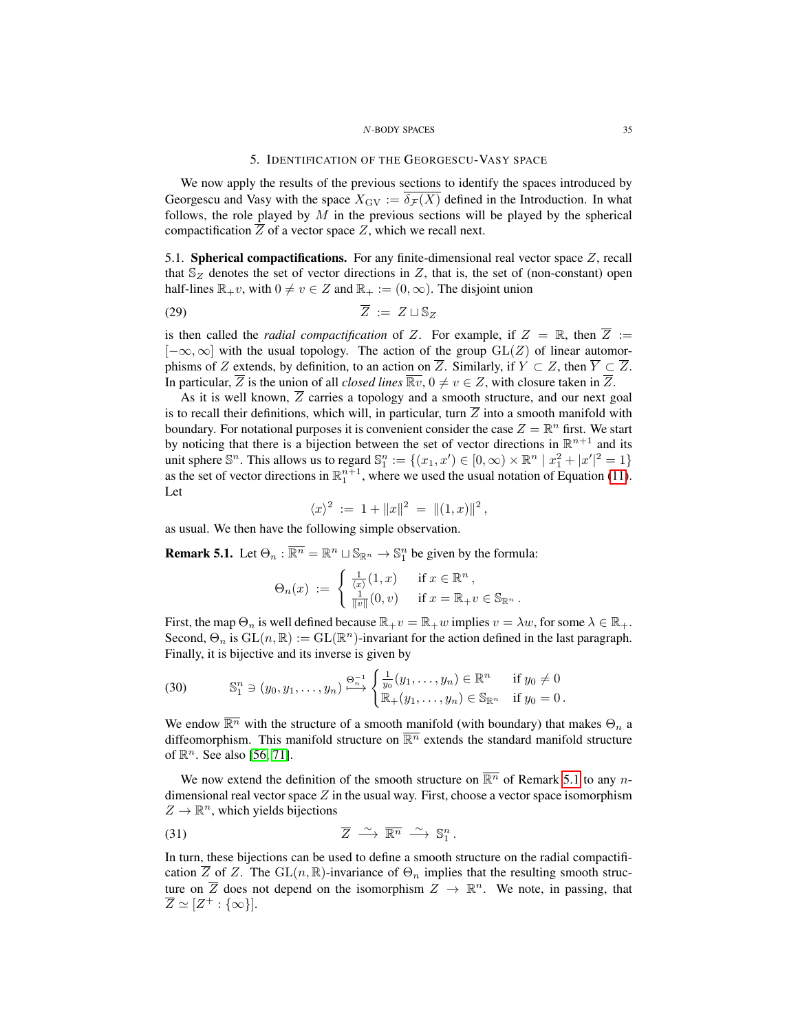### 5. IDENTIFICATION OF THE GEORGESCU-VASY SPACE

<span id="page-34-0"></span>We now apply the results of the previous sections to identify the spaces introduced by Georgescu and Vasy with the space  $X_{\text{GV}} := \overline{\delta_{\mathcal{F}}(X)}$  defined in the Introduction. In what follows, the role played by  $M$  in the previous sections will be played by the spherical compactification  $Z$  of a vector space  $Z$ , which we recall next.

<span id="page-34-1"></span>5.1. Spherical compactifications. For any finite-dimensional real vector space Z, recall that  $\mathbb{S}_Z$  denotes the set of vector directions in Z, that is, the set of (non-constant) open half-lines  $\mathbb{R}_+v$ , with  $0 \neq v \in Z$  and  $\mathbb{R}_+ := (0, \infty)$ . The disjoint union

$$
\overline{Z} := Z \sqcup \mathbb{S}_Z
$$

is then called the *radial compactification* of Z. For example, if  $Z = \mathbb{R}$ , then  $\overline{Z}$  :=  $[-\infty, \infty]$  with the usual topology. The action of the group  $GL(Z)$  of linear automorphisms of Z extends, by definition, to an action on  $\overline{Z}$ . Similarly, if  $Y \subset Z$ , then  $\overline{Y} \subset \overline{Z}$ . In particular,  $\overline{Z}$  is the union of all *closed lines*  $\overline{\mathbb{R}v}$ ,  $0 \neq v \in Z$ , with closure taken in  $\overline{Z}$ .

As it is well known,  $\overline{Z}$  carries a topology and a smooth structure, and our next goal is to recall their definitions, which will, in particular, turn  $\overline{Z}$  into a smooth manifold with boundary. For notational purposes it is convenient consider the case  $Z = \mathbb{R}^n$  first. We start by noticing that there is a bijection between the set of vector directions in  $\mathbb{R}^{n+1}$  and its unit sphere  $\mathbb{S}^n$ . This allows us to regard  $\mathbb{S}_1^n := \{(x_1, x') \in [0, \infty) \times \mathbb{R}^n \mid x_1^2 + |x'|^2 = 1\}$ as the set of vector directions in  $\mathbb{R}^{n+1}_1$ , where we used the usual notation of Equation [\(11\)](#page-7-0). Let

$$
\langle x \rangle^2 := 1 + ||x||^2 = ||(1, x)||^2,
$$

as usual. We then have the following simple observation.

<span id="page-34-2"></span>**Remark 5.1.** Let  $\Theta_n : \overline{\mathbb{R}^n} = \mathbb{R}^n \cup \mathbb{S}_{\mathbb{R}^n} \to \mathbb{S}_1^n$  be given by the formula:

$$
\Theta_n(x) := \begin{cases} \frac{1}{\langle x \rangle}(1,x) & \text{if } x \in \mathbb{R}^n, \\ \frac{1}{\|v\|}(0,v) & \text{if } x = \mathbb{R}_+ v \in \mathbb{S}_{\mathbb{R}^n}. \end{cases}
$$

First, the map  $\Theta_n$  is well defined because  $\mathbb{R}_+v = \mathbb{R}_+w$  implies  $v = \lambda w$ , for some  $\lambda \in \mathbb{R}_+$ . Second,  $\Theta_n$  is  $GL(n,\mathbb{R}) := GL(\mathbb{R}^n)$ -invariant for the action defined in the last paragraph. Finally, it is bijective and its inverse is given by

<span id="page-34-4"></span>(30) 
$$
\mathbb{S}_1^n \ni (y_0, y_1, \dots, y_n) \stackrel{\Theta_n^{-1}}{\longrightarrow} \begin{cases} \frac{1}{y_0}(y_1, \dots, y_n) \in \mathbb{R}^n & \text{if } y_0 \neq 0 \\ \mathbb{R}_+(y_1, \dots, y_n) \in \mathbb{S}_{\mathbb{R}^n} & \text{if } y_0 = 0. \end{cases}
$$

We endow  $\overline{\mathbb{R}^n}$  with the structure of a smooth manifold (with boundary) that makes  $\Theta_n$  a diffeomorphism. This manifold structure on  $\overline{\mathbb{R}^n}$  extends the standard manifold structure of  $\mathbb{R}^n$ . See also [\[56,](#page-50-9) [71\]](#page-51-7).

We now extend the definition of the smooth structure on  $\overline{\mathbb{R}^n}$  of Remark [5.1](#page-34-2) to any ndimensional real vector space  $Z$  in the usual way. First, choose a vector space isomorphism  $Z \to \mathbb{R}^n$ , which yields bijections

<span id="page-34-3"></span>(31) 
$$
\overline{Z} \stackrel{\sim}{\longrightarrow} \overline{\mathbb{R}^n} \stackrel{\sim}{\longrightarrow} \mathbb{S}^n_1.
$$

In turn, these bijections can be used to define a smooth structure on the radial compactification  $\overline{Z}$  of Z. The  $GL(n,\mathbb{R})$ -invariance of  $\Theta_n$  implies that the resulting smooth structure on  $\overline{Z}$  does not depend on the isomorphism  $Z \to \mathbb{R}^n$ . We note, in passing, that  $\overline{Z} \simeq [Z^+ : {\infty}].$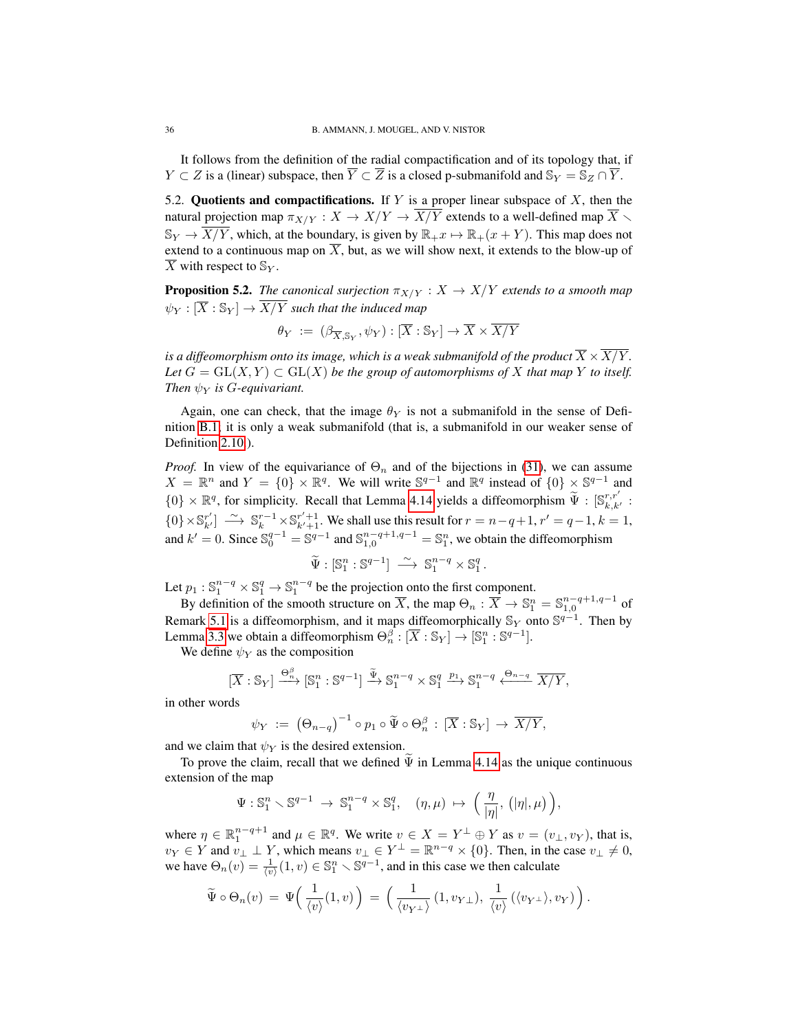It follows from the definition of the radial compactification and of its topology that, if  $Y \subset Z$  is a (linear) subspace, then  $\overline{Y} \subset \overline{Z}$  is a closed p-submanifold and  $\mathbb{S}_Y = \mathbb{S}_Z \cap \overline{Y}$ .

<span id="page-35-0"></span>5.2. Quotients and compactifications. If  $Y$  is a proper linear subspace of  $X$ , then the natural projection map  $\pi_{X/Y}: X \to X/Y \to \overline{X/Y}$  extends to a well-defined map  $\overline{X}$  $\mathbb{S}_Y \to \overline{X/Y}$ , which, at the boundary, is given by  $\mathbb{R}_+x \mapsto \mathbb{R}_+(x+Y)$ . This map does not extend to a continuous map on  $\overline{X}$ , but, as we will show next, it extends to the blow-up of  $\overline{X}$  with respect to  $\mathbb{S}_Y$ .

<span id="page-35-1"></span>**Proposition 5.2.** *The canonical surjection*  $\pi_{X/Y} : X \to X/Y$  *extends to a smooth map*  $\psi_Y : [\overline{X} : \mathbb{S}_Y] \to \overline{X/Y}$  such that the induced map

$$
\theta_Y \; := \; (\beta_{\overline{X}, \mathbb{S}_Y}, \psi_Y) : [\overline{X} : \mathbb{S}_Y] \to \overline{X} \times \overline{X/Y}
$$

*is a diffeomorphism onto its image, which is a weak submanifold of the product*  $\overline{X} \times X/Y$ *.* Let  $G = GL(X, Y) \subset GL(X)$  *be the group of automorphisms of* X *that map* Y *to itself. Then*  $\psi_Y$  *is G-equivariant.* 

Again, one can check, that the image  $\theta_Y$  is not a submanifold in the sense of Definition [B.1;](#page-46-3) it is only a weak submanifold (that is, a submanifold in our weaker sense of Definition [2.10.](#page-10-2)).

*Proof.* In view of the equivariance of  $\Theta_n$  and of the bijections in [\(31\)](#page-34-3), we can assume  $X = \mathbb{R}^n$  and  $Y = \{0\} \times \mathbb{R}^q$ . We will write  $\mathbb{S}^{q-1}$  and  $\mathbb{R}^q$  instead of  $\{0\} \times \mathbb{S}^{q-1}$  and  $\{0\} \times \mathbb{R}^q$ , for simplicity. Recall that Lemma [4.14](#page-27-2) yields a diffeomorphism  $\widetilde{\Psi}$  :  $[\mathbb{S}_{k,k'}^{r,r'}]$  ${0} \times \mathbb{S}_{k'}^{r'} \longrightarrow \mathbb{S}_{k}^{r-1} \times \mathbb{S}_{k'+1}^{r'+1}$ . We shall use this result for  $r = n - q + 1$ ,  $r' = q - 1$ ,  $k = 1$ , and  $k' = 0$ . Since  $\mathbb{S}_0^{q-1} = \mathbb{S}^{q-1}$  and  $\mathbb{S}_{1,0}^{n-q+1,q-1} = \mathbb{S}_1^n$ , we obtain the diffeomorphism

$$
\widetilde{\Psi}: \mathbb{S}_1^n : \mathbb{S}^{q-1} \right] \longrightarrow \mathbb{S}_1^{n-q} \times \mathbb{S}_1^q.
$$

Let  $p_1 : \mathbb{S}_1^{n-q} \times \mathbb{S}_1^q \to \mathbb{S}_1^{n-q}$  be the projection onto the first component.

By definition of the smooth structure on  $\overline{X}$ , the map  $\Theta_n : \overline{X} \to \mathbb{S}^n_1 = \mathbb{S}^{n-q+1,q-1}_{1,0}$  of Remark [5.1](#page-34-2) is a diffeomorphism, and it maps diffeomorphically  $\mathbb{S}_Y$  onto  $\mathbb{S}^{q-1}$ . Then by Lemma [3.3](#page-17-0) we obtain a diffeomorphism  $\Theta_n^{\beta}: [\overline{X} : \mathbb{S}_Y] \to [\mathbb{S}_1^n : \mathbb{S}^{q-1}].$ 

We define  $\psi_Y$  as the composition

$$
[\overline{X}:\mathbb{S}_Y] \xrightarrow{\Theta_n^{\beta}} [\mathbb{S}_1^n : \mathbb{S}^{q-1}] \xrightarrow{\widetilde{\Psi}} \mathbb{S}_1^{n-q} \times \mathbb{S}_1^q \xrightarrow{p_1} \mathbb{S}_1^{n-q} \xleftarrow{\Theta_{n-q}} \overline{X/Y},
$$

in other words

$$
\psi_Y \; := \; \big(\Theta_{n-q}\big)^{-1} \circ p_1 \circ \widetilde{\Psi} \circ \Theta_n^{\beta} \, : \, [\overline{X} : \mathbb{S}_Y] \to \overline{X/Y},
$$

and we claim that  $\psi_Y$  is the desired extension.

To prove the claim, recall that we defined  $\Psi$  in Lemma [4.14](#page-27-2) as the unique continuous extension of the map

$$
\Psi: \mathbb{S}^n_1 \smallsetminus \mathbb{S}^{q-1} \ \to \ \mathbb{S}^{n-q}_1 \times \mathbb{S}^q_1, \quad (\eta,\mu) \ \mapsto \ \Big(\, \frac{\eta}{|\eta|}, \, \big(|\eta|,\mu \big) \,\Big),
$$

where  $\eta \in \mathbb{R}_1^{n-q+1}$  and  $\mu \in \mathbb{R}^q$ . We write  $v \in X = Y^{\perp} \oplus Y$  as  $v = (v_{\perp}, v_Y)$ , that is,  $v_Y \in Y$  and  $v_\perp \perp Y$ , which means  $v_\perp \in Y^\perp = \mathbb{R}^{n-q} \times \{0\}$ . Then, in the case  $v_\perp \neq 0$ , we have  $\Theta_n(v) = \frac{1}{\langle v \rangle}(1, v) \in \mathbb{S}_1^n \setminus \mathbb{S}^{q-1}$ , and in this case we then calculate

$$
\widetilde{\Psi}\circ\Theta_n(v) = \Psi\left(\frac{1}{\langle v\rangle}(1,v)\right) = \left(\frac{1}{\langle v_{Y^\perp}\rangle}(1,v_{Y\perp}),\frac{1}{\langle v\rangle}(\langle v_{Y^\perp}\rangle,v_Y)\right).
$$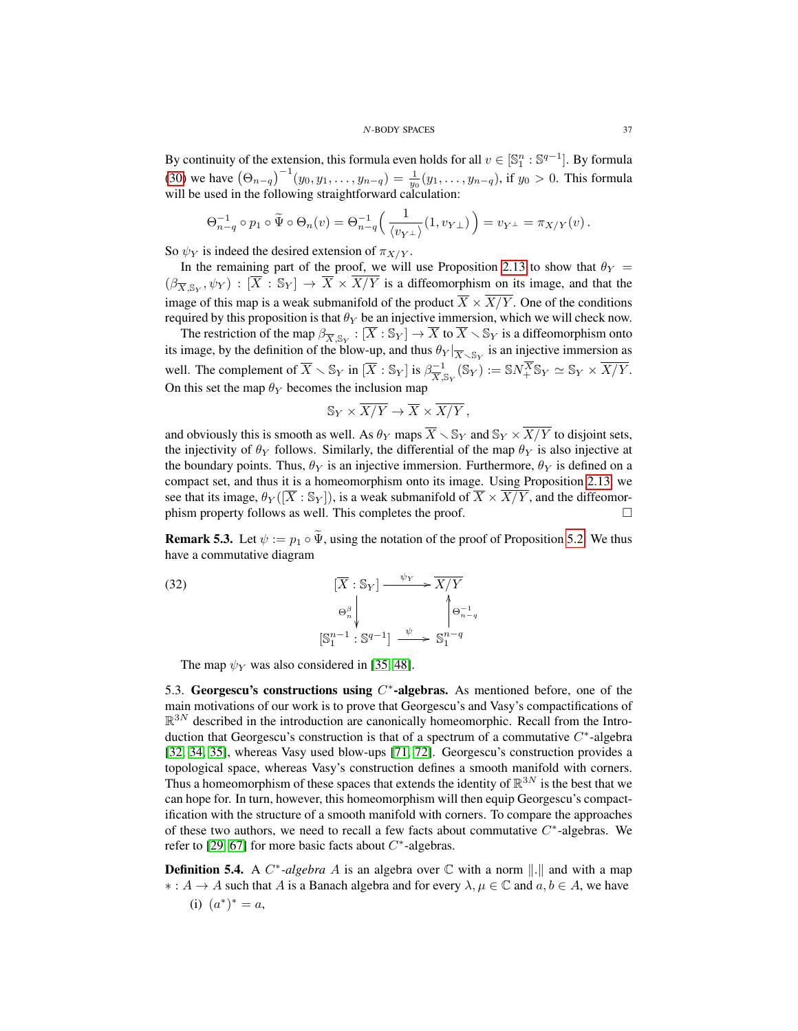By continuity of the extension, this formula even holds for all  $v \in [\mathbb{S}_1^n : \mathbb{S}^{q-1}]$ . By formula [\(30\)](#page-34-4) we have  $(\Theta_{n-q})^{-1}(y_0, y_1, \ldots, y_{n-q}) = \frac{1}{y_0}(y_1, \ldots, y_{n-q})$ , if  $y_0 > 0$ . This formula will be used in the following straightforward calculation:

$$
\Theta_{n-q}^{-1} \circ p_1 \circ \widetilde{\Psi} \circ \Theta_n(v) = \Theta_{n-q}^{-1} \left( \frac{1}{\langle v_{Y^{\perp}} \rangle} (1, v_{Y^{\perp}}) \right) = v_{Y^{\perp}} = \pi_{X/Y}(v).
$$

So  $\psi_Y$  is indeed the desired extension of  $\pi_{X/Y}$ .

In the remaining part of the proof, we will use Proposition [2.13](#page-12-0) to show that  $\theta_Y$  =  $(\beta_{\overline{X},\mathbb{S}_Y},\psi_Y) : [\overline{X} : \mathbb{S}_Y] \to \overline{X} \times \overline{X/Y}$  is a diffeomorphism on its image, and that the image of this map is a weak submanifold of the product  $\overline{X} \times \overline{X/Y}$ . One of the conditions required by this proposition is that  $\theta_Y$  be an injective immersion, which we will check now.

The restriction of the map  $\beta_{\overline{X}, \mathbb{S}_Y} : [\overline{X} : \mathbb{S}_Y] \to \overline{X}$  to  $\overline{X} \setminus \mathbb{S}_Y$  is a diffeomorphism onto its image, by the definition of the blow-up, and thus  $\theta_Y|_{\overline{X} \setminus \mathbb{S}_Y}$  is an injective immersion as well. The complement of  $\overline{X} \setminus \mathbb{S}_Y$  in  $[\overline{X} : \mathbb{S}_Y]$  is  $\beta_{\overline{X}, \mathbb{S}_Y}^{-1}(\mathbb{S}_Y) := \mathbb{S}N_+^{\overline{X}}\mathbb{S}_Y \simeq \mathbb{S}_Y \times \overline{X/Y}$ . On this set the map  $\theta_Y$  becomes the inclusion map

$$
\mathbb{S}_Y \times \overline{X/Y} \to \overline{X} \times \overline{X/Y},
$$

and obviously this is smooth as well. As  $\theta_Y$  maps  $\overline{X} \setminus \mathbb{S}_Y$  and  $\mathbb{S}_Y \times \overline{X/Y}$  to disjoint sets, the injectivity of  $\theta_Y$  follows. Similarly, the differential of the map  $\theta_Y$  is also injective at the boundary points. Thus,  $\theta_Y$  is an injective immersion. Furthermore,  $\theta_Y$  is defined on a compact set, and thus it is a homeomorphism onto its image. Using Proposition [2.13,](#page-12-0) we see that its image,  $\theta_Y([\overline{X} : \mathbb{S}_Y])$ , is a weak submanifold of  $\overline{X} \times \overline{X/Y}$ , and the diffeomorphism property follows as well. This completes the proof.  $\Box$ 

**Remark 5.3.** Let  $\psi := p_1 \circ \tilde{\Psi}$ , using the notation of the proof of Proposition [5.2.](#page-35-1) We thus have a commutative diagram

n−q

(32) 
$$
[\overline{X} : \mathbb{S}_Y] \xrightarrow{\psi_Y} \overline{X/Y}
$$

$$
\Theta_n^{\beta} \downarrow \qquad \qquad \Big\uparrow \Theta_{n-1}^{-1}
$$

$$
[\mathbb{S}_1^{n-1} : \mathbb{S}^{q-1}] \xrightarrow{\psi} \mathbb{S}_1^{n-q}
$$

The map  $\psi_Y$  was also considered in [\[35,](#page-50-6) [48\]](#page-50-7).

<span id="page-36-0"></span>5.3. Georgescu's constructions using  $C^*$ -algebras. As mentioned before, one of the main motivations of our work is to prove that Georgescu's and Vasy's compactifications of  $\mathbb{R}^{3N}$  described in the introduction are canonically homeomorphic. Recall from the Introduction that Georgescu's construction is that of a spectrum of a commutative  $C^*$ -algebra [\[32,](#page-50-3) [34,](#page-50-4) [35\]](#page-50-6), whereas Vasy used blow-ups [\[71,](#page-51-7) [72\]](#page-51-8). Georgescu's construction provides a topological space, whereas Vasy's construction defines a smooth manifold with corners. Thus a homeomorphism of these spaces that extends the identity of  $\mathbb{R}^{3N}$  is the best that we can hope for. In turn, however, this homeomorphism will then equip Georgescu's compactification with the structure of a smooth manifold with corners. To compare the approaches of these two authors, we need to recall a few facts about commutative  $C^*$ -algebras. We refer to [\[29,](#page-49-11) [67\]](#page-51-9) for more basic facts about  $C^*$ -algebras.

**Definition 5.4.** A  $C^*$ -algebra A is an algebra over  $\mathbb C$  with a norm  $\Vert . \Vert$  and with a map  $\ast: A \to A$  such that A is a Banach algebra and for every  $\lambda, \mu \in \mathbb{C}$  and  $a, b \in A$ , we have (i)  $(a^*)^* = a$ ,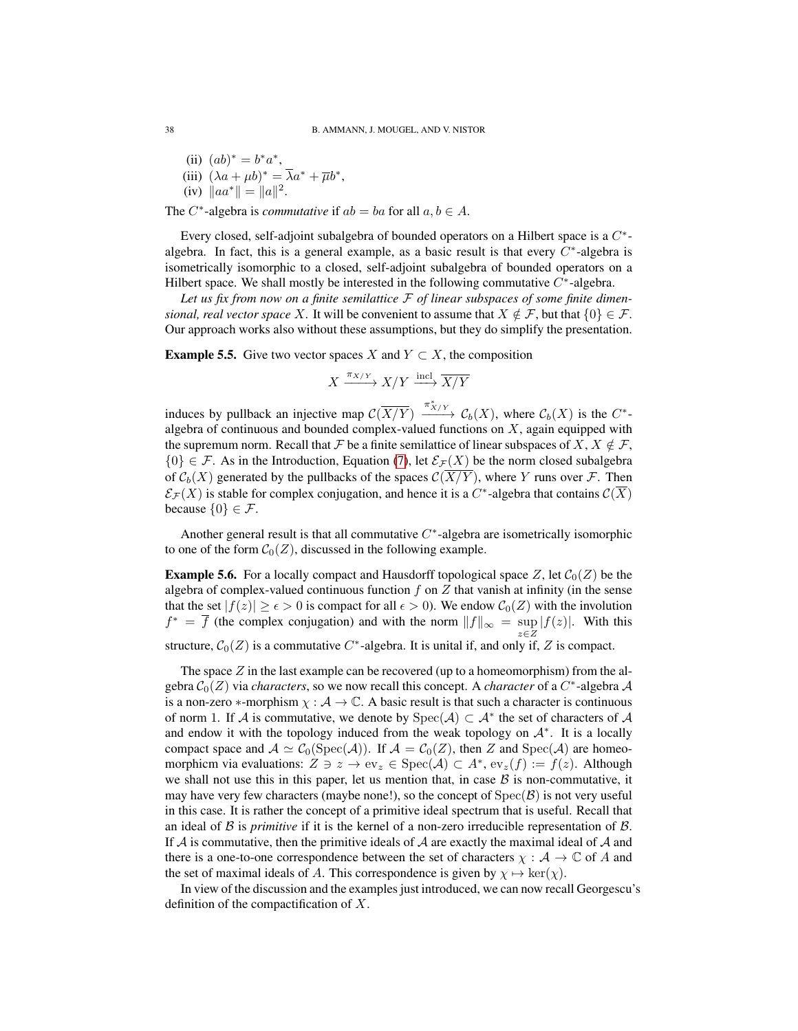- (ii)  $(ab)^* = b^*a^*$ , (iii)  $(\lambda a + \mu b)^* = \overline{\lambda}a^* + \overline{\mu}b^*$ ,
- (iv)  $\|aa^*\| = \|a\|^2$ .

The  $C^*$ -algebra is *commutative* if  $ab = ba$  for all  $a, b \in A$ .

Every closed, self-adjoint subalgebra of bounded operators on a Hilbert space is a  $C^*$ algebra. In fact, this is a general example, as a basic result is that every  $C^*$ -algebra is isometrically isomorphic to a closed, self-adjoint subalgebra of bounded operators on a Hilbert space. We shall mostly be interested in the following commutative  $C^*$ -algebra.

*Let us fix from now on a finite semilattice* F *of linear subspaces of some finite dimensional, real vector space* X. It will be convenient to assume that  $X \notin \mathcal{F}$ , but that  $\{0\} \in \mathcal{F}$ . Our approach works also without these assumptions, but they do simplify the presentation.

<span id="page-37-0"></span>**Example 5.5.** Give two vector spaces X and  $Y \subset X$ , the composition

$$
X \xrightarrow{\pi_{X/Y}} X/Y \xrightarrow{\operatorname{incl}} \overline{X/Y}
$$

induces by pullback an injective map  $\mathcal{C}(\overline{X/Y}) \xrightarrow{\pi^*_{X/Y}} \mathcal{C}_b(X)$ , where  $\mathcal{C}_b(X)$  is the  $C^*$ algebra of continuous and bounded complex-valued functions on  $X$ , again equipped with the supremum norm. Recall that F be a finite semilattice of linear subspaces of X,  $X \notin \mathcal{F}$ ,  $\{0\} \in \mathcal{F}$ . As in the Introduction, Equation [\(7\)](#page-4-1), let  $\mathcal{E}_{\mathcal{F}}(X)$  be the norm closed subalgebra of  $C_b(X)$  generated by the pullbacks of the spaces  $\mathcal{C}(\overline{X/Y})$ , where Y runs over F. Then  $\mathcal{E}_{\mathcal{F}}(X)$  is stable for complex conjugation, and hence it is a  $C^*$ -algebra that contains  $\mathcal{C}(\overline{X})$ because  $\{0\} \in \mathcal{F}$ .

Another general result is that all commutative  $C^*$ -algebra are isometrically isomorphic to one of the form  $C_0(Z)$ , discussed in the following example.

**Example 5.6.** For a locally compact and Hausdorff topological space Z, let  $C_0(Z)$  be the algebra of complex-valued continuous function  $f$  on  $Z$  that vanish at infinity (in the sense that the set  $|f(z)| \ge \epsilon > 0$  is compact for all  $\epsilon > 0$ ). We endow  $C_0(Z)$  with the involution  $f^* = \overline{f}$  (the complex conjugation) and with the norm  $||f||_{\infty} = \sup_{z \in Z} |f(z)|$ . With this

structure,  $C_0(Z)$  is a commutative C<sup>\*</sup>-algebra. It is unital if, and only if, Z is compact.

The space  $Z$  in the last example can be recovered (up to a homeomorphism) from the algebra  $C_0(Z)$  via *characters*, so we now recall this concept. A *character* of a  $C^*$ -algebra  $\mathcal A$ is a non-zero  $*$ -morphism  $\chi : \mathcal{A} \to \mathbb{C}$ . A basic result is that such a character is continuous of norm 1. If A is commutative, we denote by  $Spec(A) \subset A^*$  the set of characters of A and endow it with the topology induced from the weak topology on  $A^*$ . It is a locally compact space and  $A \simeq C_0(\text{Spec}(\mathcal{A}))$ . If  $\mathcal{A} = C_0(Z)$ , then Z and  $\text{Spec}(\mathcal{A})$  are homeomorphicm via evaluations:  $Z \ni z \to \text{ev}_z \in \text{Spec}(\mathcal{A}) \subset A^*$ ,  $\text{ev}_z(f) := f(z)$ . Although we shall not use this in this paper, let us mention that, in case  $\beta$  is non-commutative, it may have very few characters (maybe none!), so the concept of  $Spec(\mathcal{B})$  is not very useful in this case. It is rather the concept of a primitive ideal spectrum that is useful. Recall that an ideal of  $\beta$  is *primitive* if it is the kernel of a non-zero irreducible representation of  $\beta$ . If  $A$  is commutative, then the primitive ideals of  $A$  are exactly the maximal ideal of  $A$  and there is a one-to-one correspondence between the set of characters  $\chi : \mathcal{A} \to \mathbb{C}$  of A and the set of maximal ideals of A. This correspondence is given by  $\chi \mapsto \ker(\chi)$ .

In view of the discussion and the examples just introduced, we can now recall Georgescu's definition of the compactification of  $X$ .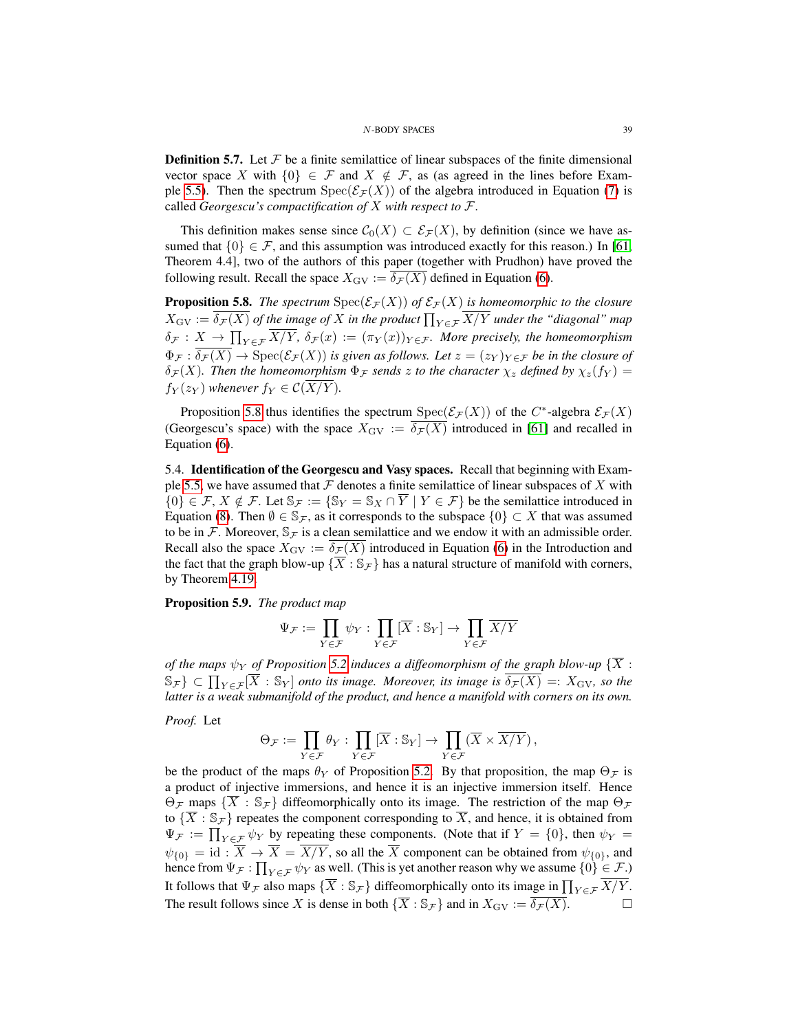**Definition 5.7.** Let  $\mathcal F$  be a finite semilattice of linear subspaces of the finite dimensional vector space X with  $\{0\} \in \mathcal{F}$  and  $X \notin \mathcal{F}$ , as (as agreed in the lines before Exam-ple [5.5\)](#page-37-0). Then the spectrum  $Spec(\mathcal{E}_\mathcal{F}(X))$  of the algebra introduced in Equation [\(7\)](#page-4-1) is called *Georgescu's compactification of* X *with respect to* F.

This definition makes sense since  $C_0(X) \subset \mathcal{E}_\mathcal{F}(X)$ , by definition (since we have assumed that  $\{0\} \in \mathcal{F}$ , and this assumption was introduced exactly for this reason.) In [\[61,](#page-51-4) Theorem 4.4], two of the authors of this paper (together with Prudhon) have proved the following result. Recall the space  $X_{\text{GV}} := \delta_{\mathcal{F}}(X)$  defined in Equation [\(6\)](#page-4-2).

<span id="page-38-1"></span>**Proposition 5.8.** *The spectrum*  $Spec(\mathcal{E}_{\mathcal{F}}(X))$  *of*  $\mathcal{E}_{\mathcal{F}}(X)$  *is homeomorphic to the closure*  $X_{\text{GV}} := \delta_{\mathcal{F}}(X)$  of the image of X in the product  $\prod_{Y \in \mathcal{F}} X/Y$  under the "diagonal" map  $\delta_{\mathcal{F}}: X \to \prod_{Y \in \mathcal{F}} X/Y$ ,  $\delta_{\mathcal{F}}(x) := (\pi_Y(x))_{Y \in \mathcal{F}}$ *. More precisely, the homeomorphism*  $\Phi_{\mathcal{F}} : \overline{\delta_{\mathcal{F}}(X)} \to \text{Spec}(\mathcal{E}_{\mathcal{F}}(X))$  *is given as follows. Let*  $z = (z_Y)_{Y \in \mathcal{F}}$  *be in the closure of*  $\delta_{\mathcal{F}}(X)$ . Then the homeomorphism  $\Phi_{\mathcal{F}}$  sends z to the character  $\chi_z$  defined by  $\chi_z(f_Y)$  =  $f_Y(z_Y)$  *whenever*  $f_Y \in \mathcal{C}(\overline{X/Y})$ *.* 

Proposition [5.8](#page-38-1) thus identifies the spectrum  $Spec(\mathcal{E}_{\mathcal{F}}(X))$  of the C<sup>\*</sup>-algebra  $\mathcal{E}_{\mathcal{F}}(X)$ (Georgescu's space) with the space  $X_{\text{GV}} := \overline{\delta_{\mathcal{F}}(X)}$  introduced in [\[61\]](#page-51-4) and recalled in Equation [\(6\)](#page-4-2).

<span id="page-38-0"></span>5.4. Identification of the Georgescu and Vasy spaces. Recall that beginning with Exam-ple [5.5,](#page-37-0) we have assumed that  $F$  denotes a finite semilattice of linear subspaces of  $X$  with  ${0} \in \mathcal{F}, X \notin \mathcal{F}$ . Let  $\mathbb{S}_{\mathcal{F}} := {\mathbb{S}_X \cap \overline{Y} \mid Y \in \mathcal{F}}$  be the semilattice introduced in Equation [\(8\)](#page-4-3). Then  $\emptyset \in \mathbb{S}_{\mathcal{F}}$ , as it corresponds to the subspace  $\{0\} \subset X$  that was assumed to be in F. Moreover,  $\mathbb{S}_{\mathcal{F}}$  is a clean semilattice and we endow it with an admissible order. Recall also the space  $X_{\text{GV}} := \overline{\delta_{\mathcal{F}}(X)}$  introduced in Equation [\(6\)](#page-4-2) in the Introduction and the fact that the graph blow-up  $\{\overline{X} : \mathbb{S}_{\mathcal{F}}\}$  has a natural structure of manifold with corners, by Theorem [4.19.](#page-31-2)

<span id="page-38-2"></span>Proposition 5.9. *The product map*

$$
\Psi_{\mathcal{F}}:=\prod_{Y\in \mathcal{F}}\psi_Y:\prod_{Y\in \mathcal{F}}[\overline{X}:\mathbb{S}_Y]\rightarrow \prod_{Y\in \mathcal{F}}\overline{X/Y}
$$

*of the maps*  $\psi_Y$  *of Proposition* [5.2](#page-35-1) *induces a diffeomorphism of the graph blow-up*  $\{\overline{X}$  :  $\{S_{\mathcal{F}}\}\subset \prod_{Y\in \mathcal{F}}[\overline{X}:\mathbb{S}_Y]$  *onto its image. Moreover, its image is*  $\overline{\delta_{\mathcal{F}}(X)}=:X_{\mathrm{GV}}$ *, so the latter is a weak submanifold of the product, and hence a manifold with corners on its own.*

*Proof.* Let

$$
\Theta_{\mathcal{F}}:=\prod_{Y\in \mathcal{F}}\theta_Y: \prod_{Y\in \mathcal{F}}[\overline{X}:\mathbb{S}_Y]\rightarrow \prod_{Y\in \mathcal{F}}(\overline{X}\times \overline{X/Y})\,,
$$

be the product of the maps  $\theta_Y$  of Proposition [5.2.](#page-35-1) By that proposition, the map  $\Theta_{\mathcal{F}}$  is a product of injective immersions, and hence it is an injective immersion itself. Hence  $\Theta_{\mathcal{F}}$  maps  $\{\overline{X} : \mathbb{S}_{\mathcal{F}}\}$  diffeomorphically onto its image. The restriction of the map  $\Theta_{\mathcal{F}}$ to  $\{\overline{X} : \mathbb{S}_{\mathcal{F}}\}$  repeates the component corresponding to  $\overline{X}$ , and hence, it is obtained from  $\Psi_{\mathcal{F}} := \prod_{Y \in \mathcal{F}} \psi_Y$  by repeating these components. (Note that if  $Y = \{0\}$ , then  $\psi_Y = \psi_Y$  $\psi_{\{0\}} = id : \overline{X} \to \overline{X} = \overline{X/Y}$ , so all the  $\overline{X}$  component can be obtained from  $\psi_{\{0\}}$ , and hence from  $\Psi_{\mathcal{F}}: \prod_{Y \in \mathcal{F}} \psi_Y$  as well. (This is yet another reason why we assume  $\{0\} \in \mathcal{F}$ .) It follows that  $\Psi_{\mathcal{F}}$  also maps  $\{\overline{X} : \mathbb{S}_{\mathcal{F}}\}$  diffeomorphically onto its image in  $\prod_{Y \in \mathcal{F}} \overline{X/Y}$ . The result follows since X is dense in both  $\{\overline{X} : \mathbb{S}_{\mathcal{F}}\}$  and in  $X_{\text{GV}} := \overline{\delta_{\mathcal{F}}(X)}$ .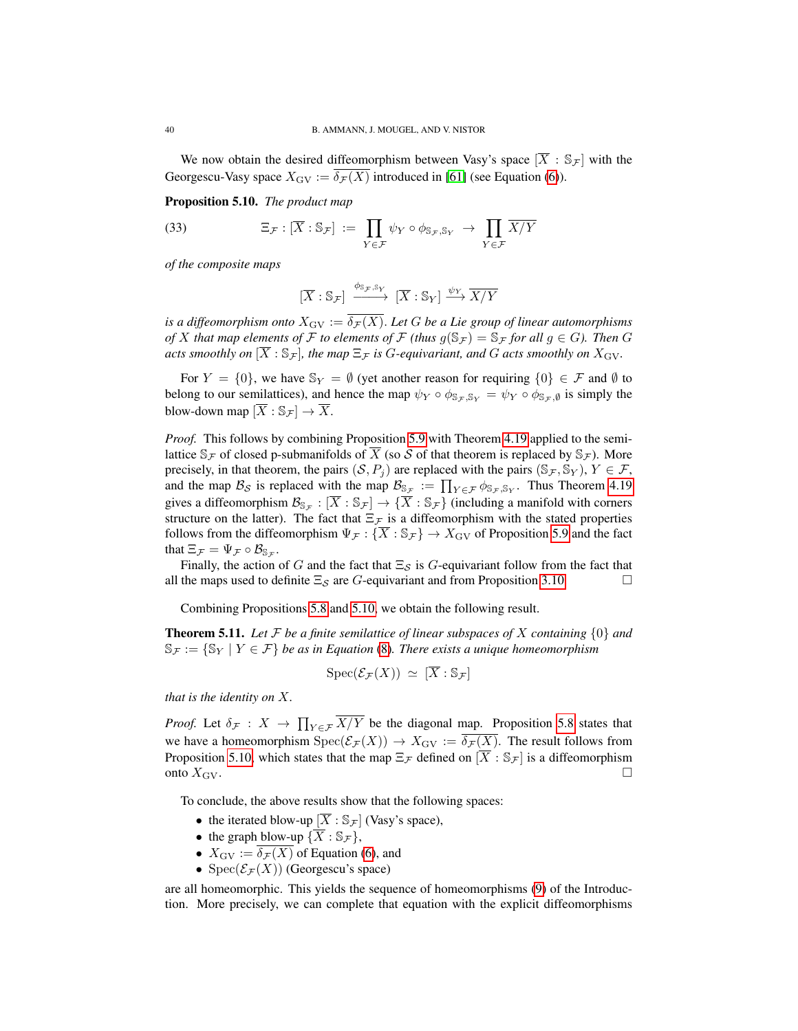We now obtain the desired diffeomorphism between Vasy's space  $[\overline{X} : \mathbb{S}_{\mathcal{F}}]$  with the Georgescu-Vasy space  $X_{\text{GV}} := \overline{\delta_{\mathcal{F}}(X)}$  introduced in [\[61\]](#page-51-4) (see Equation [\(6\)](#page-4-2)).

<span id="page-39-0"></span>Proposition 5.10. *The product map*

(33) 
$$
\Xi_{\mathcal{F}} : [\overline{X} : \mathbb{S}_{\mathcal{F}}] := \prod_{Y \in \mathcal{F}} \psi_Y \circ \phi_{\mathbb{S}_{\mathcal{F}}, \mathbb{S}_Y} \to \prod_{Y \in \mathcal{F}} \overline{X/Y}
$$

*of the composite maps*

$$
[\overline{X}:\mathbb{S}_{\mathcal{F}}] \xrightarrow{\phi_{\mathbb{S}_{\mathcal{F}},\mathbb{S}_{Y}}} [\overline{X}:\mathbb{S}_{Y}] \xrightarrow{\psi_{Y}} \overline{X/Y}
$$

*is a diffeomorphism onto*  $X_{\text{GV}} := \overline{\delta_{\mathcal{F}}(X)}$ . Let G be a Lie group of linear automorphisms *of* X *that map elements of* F *to elements of* F *(thus*  $g(\mathbb{S}_{\mathcal{F}}) = \mathbb{S}_{\mathcal{F}}$  *for all*  $g \in G$ *). Then* G *acts smoothly on*  $[\overline{X} : \mathbb{S}_{\mathcal{F}}]$ *, the map*  $\Xi_{\mathcal{F}}$  *is G-equivariant, and G acts smoothly on*  $X_{\rm GV}$ *.* 

For  $Y = \{0\}$ , we have  $\mathbb{S}_Y = \emptyset$  (yet another reason for requiring  $\{0\} \in \mathcal{F}$  and  $\emptyset$  to belong to our semilattices), and hence the map  $\psi_Y \circ \phi_{S_F, S_Y} = \psi_Y \circ \phi_{S_F, \emptyset}$  is simply the blow-down map  $[\overline{X} : \mathbb{S}_{\mathcal{F}}] \to \overline{X}$ .

*Proof.* This follows by combining Proposition [5.9](#page-38-2) with Theorem [4.19](#page-31-2) applied to the semilattice  $\mathbb{S}_{\mathcal{F}}$  of closed p-submanifolds of X (so S of that theorem is replaced by  $\mathbb{S}_{\mathcal{F}}$ ). More precisely, in that theorem, the pairs  $(S, P_i)$  are replaced with the pairs  $(S_{\mathcal{F}}, S_{\mathcal{Y}}), Y \in \mathcal{F}$ , and the map  $\mathcal{B}_{\mathcal{S}}$  is replaced with the map  $\mathcal{B}_{\mathbb{S}_{\mathcal{F}}} := \prod_{Y \in \mathcal{F}} \phi_{\mathbb{S}_{\mathcal{F}}, \mathbb{S}_{Y}}$ . Thus Theorem [4.19](#page-31-2) gives a diffeomorphism  $\mathcal{B}_{\mathbb{S}_{\mathcal{F}}} : [\overline{X} : \mathbb{S}_{\mathcal{F}}] \to {\overline{X} : \mathbb{S}_{\mathcal{F}}}$  (including a manifold with corners structure on the latter). The fact that  $\Xi_{\mathcal{F}}$  is a diffeomorphism with the stated properties follows from the diffeomorphism  $\Psi_{\mathcal{F}}: {\overline{X}} : \mathbb{S}_{\mathcal{F}} \to X_{\text{GV}}$  of Proposition [5.9](#page-38-2) and the fact that  $\Xi_{\mathcal{F}} = \Psi_{\mathcal{F}} \circ \mathcal{B}_{\mathbb{S}_{\mathcal{F}}}.$ 

Finally, the action of G and the fact that  $\Xi_{\mathcal{S}}$  is G-equivariant follow from the fact that all the maps used to definite  $\Xi_{\mathcal{S}}$  are G-equivariant and from Proposition [3.10.](#page-19-4)

Combining Propositions [5.8](#page-38-1) and [5.10,](#page-39-0) we obtain the following result.

<span id="page-39-1"></span>Theorem 5.11. *Let* F *be a finite semilattice of linear subspaces of* X *containing* {0} *and*  $\mathbb{S}_{\mathcal{F}} := \{ \mathbb{S}_Y \mid Y \in \mathcal{F} \}$  *be as in Equation* [\(8\)](#page-4-3). There exists a unique homeomorphism

$$
\text{Spec}(\mathcal{E}_{\mathcal{F}}(X)) \simeq [\overline{X} : \mathbb{S}_{\mathcal{F}}]
$$

*that is the identity on* X*.*

*Proof.* Let  $\delta_{\mathcal{F}} : X \to \prod_{Y \in \mathcal{F}} X/Y$  be the diagonal map. Proposition [5.8](#page-38-1) states that we have a homeomorphism  $Spec(\mathcal{E}_{\mathcal{F}}(X)) \to X_{\text{GV}} := \overline{\delta_{\mathcal{F}}(X)}$ . The result follows from Proposition [5.10,](#page-39-0) which states that the map  $\Xi_{\mathcal{F}}$  defined on  $[\overline{X} : \mathbb{S}_{\mathcal{F}}]$  is a diffeomorphism onto  $X_{\text{GV}}$ .

To conclude, the above results show that the following spaces:

- the iterated blow-up  $[\overline{X} : \mathbb{S}_{\mathcal{F}}]$  (Vasy's space),
- the graph blow-up  $\{\overline{X} : \mathbb{S}_{\mathcal{F}}\},\$
- $X_{\text{GV}} := \overline{\delta_{\mathcal{F}}(X)}$  of Equation [\(6\)](#page-4-2), and
- Spec $(\mathcal{E}_{\mathcal{F}}(X))$  (Georgescu's space)

are all homeomorphic. This yields the sequence of homeomorphisms [\(9\)](#page-5-1) of the Introduction. More precisely, we can complete that equation with the explicit diffeomorphisms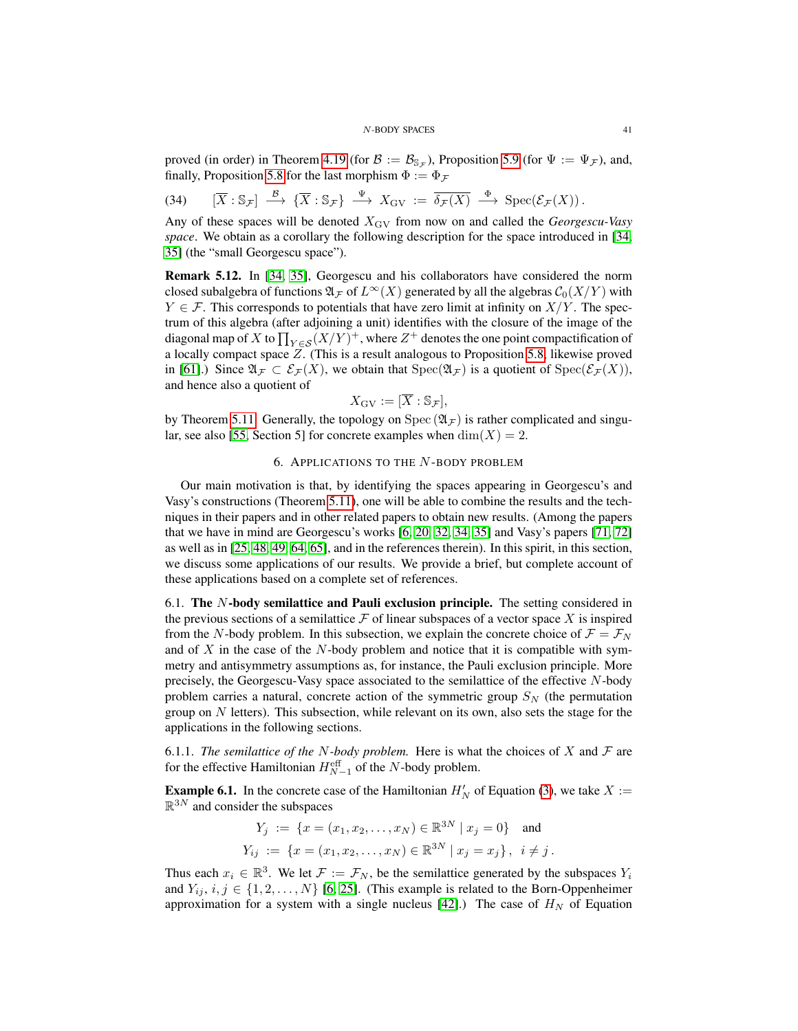proved (in order) in Theorem [4.19](#page-31-2) (for  $B := \mathcal{B}_{\mathbb{S}_{\mathcal{F}}})$ , Proposition [5.9](#page-38-2) (for  $\Psi := \Psi_{\mathcal{F}}$ ), and, finally, Proposition [5.8](#page-38-1) for the last morphism  $\Phi := \Phi_{\mathcal{F}}$ 

$$
(34) \qquad [\overline{X} : \mathbb{S}_{\mathcal{F}}] \stackrel{\mathcal{B}}{\longrightarrow} {\{\overline{X} : \mathbb{S}_{\mathcal{F}}\}} \stackrel{\Psi}{\longrightarrow} X_{\text{GV}} := \overline{\delta_{\mathcal{F}}(X)} \stackrel{\Phi}{\longrightarrow} \text{Spec}(\mathcal{E}_{\mathcal{F}}(X)).
$$

Any of these spaces will be denoted XGV from now on and called the *Georgescu-Vasy space*. We obtain as a corollary the following description for the space introduced in [\[34,](#page-50-4) [35\]](#page-50-6) (the "small Georgescu space").

<span id="page-40-2"></span>Remark 5.12. In [\[34,](#page-50-4) [35\]](#page-50-6), Georgescu and his collaborators have considered the norm closed subalgebra of functions  $\mathfrak{A}_{\mathcal{F}}$  of  $L^{\infty}(X)$  generated by all the algebras  $\mathcal{C}_0(X/Y)$  with  $Y \in \mathcal{F}$ . This corresponds to potentials that have zero limit at infinity on  $X/Y$ . The spectrum of this algebra (after adjoining a unit) identifies with the closure of the image of the diagonal map of  $X$  to  $\prod_{Y\in \mathcal{S}}(X/Y)^+$ , where  $Z^+$  denotes the one point compactification of a locally compact space Z. (This is a result analogous to Proposition [5.8,](#page-38-1) likewise proved in [\[61\]](#page-51-4).) Since  $\mathfrak{A}_{\mathcal{F}} \subset \mathcal{E}_{\mathcal{F}}(X)$ , we obtain that  $Spec(\mathfrak{A}_{\mathcal{F}})$  is a quotient of  $Spec(\mathcal{E}_{\mathcal{F}}(X))$ , and hence also a quotient of

$$
X_{\mathrm{GV}} := [\overline{X} : \mathbb{S}_{\mathcal{F}}],
$$

by Theorem [5.11.](#page-39-1) Generally, the topology on Spec  $(\mathfrak{A}_{\mathcal{F}})$  is rather complicated and singu-lar, see also [\[55,](#page-50-15) Section 5] for concrete examples when  $\dim(X) = 2$ .

### 6. APPLICATIONS TO THE  $N$ -BODY PROBLEM

<span id="page-40-0"></span>Our main motivation is that, by identifying the spaces appearing in Georgescu's and Vasy's constructions (Theorem [5.11\)](#page-39-1), one will be able to combine the results and the techniques in their papers and in other related papers to obtain new results. (Among the papers that we have in mind are Georgescu's works [\[6,](#page-49-0) [20,](#page-49-5) [32,](#page-50-3) [34,](#page-50-4) [35\]](#page-50-6) and Vasy's papers [\[71,](#page-51-7) [72\]](#page-51-8) as well as in [\[25,](#page-49-3) [48,](#page-50-7) [49,](#page-50-12) [64,](#page-51-10) [65\]](#page-51-11), and in the references therein). In this spirit, in this section, we discuss some applications of our results. We provide a brief, but complete account of these applications based on a complete set of references.

<span id="page-40-1"></span>6.1. The N-body semilattice and Pauli exclusion principle. The setting considered in the previous sections of a semilattice  $\mathcal F$  of linear subspaces of a vector space  $X$  is inspired from the N-body problem. In this subsection, we explain the concrete choice of  $\mathcal{F} = \mathcal{F}_N$ and of  $X$  in the case of the  $N$ -body problem and notice that it is compatible with symmetry and antisymmetry assumptions as, for instance, the Pauli exclusion principle. More precisely, the Georgescu-Vasy space associated to the semilattice of the effective N-body problem carries a natural, concrete action of the symmetric group  $S_N$  (the permutation group on  $N$  letters). This subsection, while relevant on its own, also sets the stage for the applications in the following sections.

6.1.1. *The semilattice of the N-body problem.* Here is what the choices of X and  $\mathcal F$  are for the effective Hamiltonian  $H_{N-1}^{\text{eff}}$  of the N-body problem.

<span id="page-40-3"></span>**Example 6.1.** In the concrete case of the Hamiltonian  $H'_N$  of Equation [\(3\)](#page-3-0), we take  $X :=$  $\mathbb{R}^{3N}$  and consider the subspaces

$$
Y_j := \{ x = (x_1, x_2, \dots, x_N) \in \mathbb{R}^{3N} \mid x_j = 0 \}
$$
 and  

$$
Y_{ij} := \{ x = (x_1, x_2, \dots, x_N) \in \mathbb{R}^{3N} \mid x_j = x_j \}, i \neq j.
$$

Thus each  $x_i \in \mathbb{R}^3$ . We let  $\mathcal{F} := \mathcal{F}_N$ , be the semilattice generated by the subspaces  $Y_i$ and  $Y_{ij}$ ,  $i, j \in \{1, 2, ..., N\}$  [\[6,](#page-49-0) [25\]](#page-49-3). (This example is related to the Born-Oppenheimer approximation for a system with a single nucleus [\[42\]](#page-50-16).) The case of  $H_N$  of Equation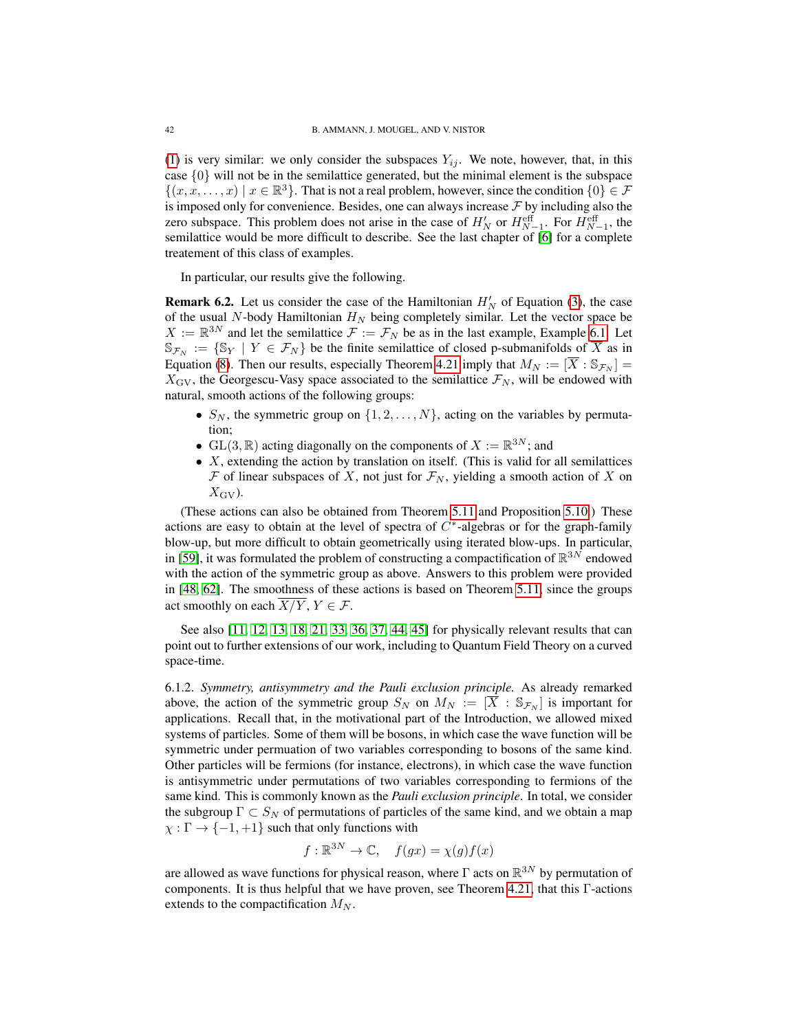[\(1\)](#page-1-2) is very similar: we only consider the subspaces  $Y_{ij}$ . We note, however, that, in this case  $\{0\}$  will not be in the semilattice generated, but the minimal element is the subspace  $\{(x, x, \ldots, x) \mid x \in \mathbb{R}^3\}$ . That is not a real problem, however, since the condition  $\{0\} \in \mathcal{F}$ is imposed only for convenience. Besides, one can always increase  $\mathcal F$  by including also the zero subspace. This problem does not arise in the case of  $H_N'$  or  $H_{N-1}^{\text{eff}}$ . For  $H_{N-1}^{\text{eff}}$ , the semilattice would be more difficult to describe. See the last chapter of [\[6\]](#page-49-0) for a complete treatement of this class of examples.

In particular, our results give the following.

<span id="page-41-0"></span>**Remark 6.2.** Let us consider the case of the Hamiltonian  $H_N'$  of Equation [\(3\)](#page-3-0), the case of the usual N-body Hamiltonian  $H_N$  being completely similar. Let the vector space be  $X := \mathbb{R}^{3N}$  and let the semilattice  $\mathcal{F} := \mathcal{F}_N$  be as in the last example, Example [6.1.](#page-40-3) Let  $\mathbb{S}_{\mathcal{F}_N} := \{ \mathbb{S}_Y \mid Y \in \mathcal{F}_N \}$  be the finite semilattice of closed p-submanifolds of  $\overline{X}$  as in Equation [\(8\)](#page-4-3). Then our results, especially Theorem [4.21](#page-33-1) imply that  $M_N := [\overline{X} : \mathbb{S}_{\mathcal{F}_N}] =$  $X_{\text{GV}}$ , the Georgescu-Vasy space associated to the semilattice  $\mathcal{F}_N$ , will be endowed with natural, smooth actions of the following groups:

- $S_N$ , the symmetric group on  $\{1, 2, \ldots, N\}$ , acting on the variables by permutation;
- GL(3,  $\mathbb{R}$ ) acting diagonally on the components of  $X := \mathbb{R}^{3N}$ ; and
- $X$ , extending the action by translation on itself. (This is valid for all semilattices F of linear subspaces of X, not just for  $\mathcal{F}_N$ , yielding a smooth action of X on  $X_{\rm GV}$ ).

(These actions can also be obtained from Theorem [5.11](#page-39-1) and Proposition [5.10.](#page-39-0)) These actions are easy to obtain at the level of spectra of  $C^*$ -algebras or for the graph-family blow-up, but more difficult to obtain geometrically using iterated blow-ups. In particular, in [\[59\]](#page-50-10), it was formulated the problem of constructing a compactification of  $\mathbb{R}^{3N}$  endowed with the action of the symmetric group as above. Answers to this problem were provided in [\[48,](#page-50-7) [62\]](#page-51-5). The smoothness of these actions is based on Theorem [5.11,](#page-39-1) since the groups act smoothly on each  $\overline{X/Y}$ ,  $Y \in \mathcal{F}$ .

See also [\[11,](#page-49-12) [12,](#page-49-13) [13,](#page-49-14) [18,](#page-49-15) [21,](#page-49-16) [33,](#page-50-17) [36,](#page-50-18) [37,](#page-50-19) [44,](#page-50-20) [45\]](#page-50-21) for physically relevant results that can point out to further extensions of our work, including to Quantum Field Theory on a curved space-time.

6.1.2. *Symmetry, antisymmetry and the Pauli exclusion principle.* As already remarked above, the action of the symmetric group  $S_N$  on  $M_N := [\overline{X} : S_{\mathcal{F}_N}]$  is important for applications. Recall that, in the motivational part of the Introduction, we allowed mixed systems of particles. Some of them will be bosons, in which case the wave function will be symmetric under permuation of two variables corresponding to bosons of the same kind. Other particles will be fermions (for instance, electrons), in which case the wave function is antisymmetric under permutations of two variables corresponding to fermions of the same kind. This is commonly known as the *Pauli exclusion principle*. In total, we consider the subgroup  $\Gamma \subset S_N$  of permutations of particles of the same kind, and we obtain a map  $\chi : \Gamma \to \{-1, +1\}$  such that only functions with

$$
f: \mathbb{R}^{3N} \to \mathbb{C}, \quad f(gx) = \chi(g)f(x)
$$

are allowed as wave functions for physical reason, where  $\Gamma$  acts on  $\mathbb{R}^{3N}$  by permutation of components. It is thus helpful that we have proven, see Theorem [4.21,](#page-33-1) that this Γ-actions extends to the compactification  $M_N$ .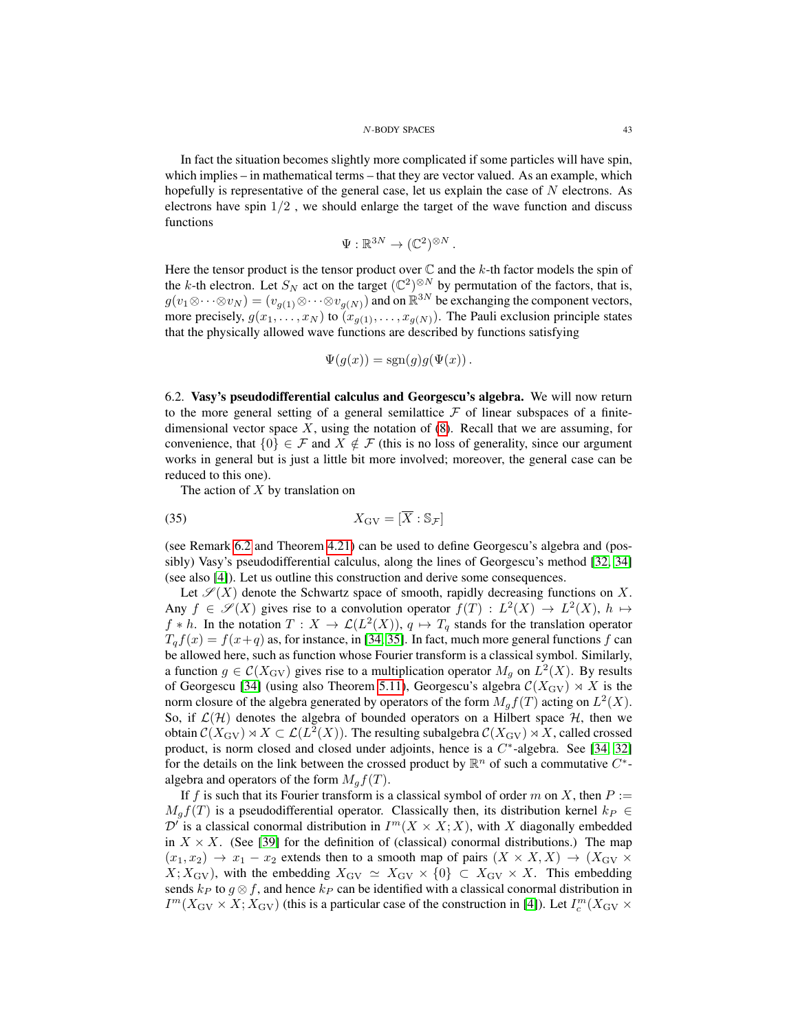In fact the situation becomes slightly more complicated if some particles will have spin, which implies – in mathematical terms – that they are vector valued. As an example, which hopefully is representative of the general case, let us explain the case of  $N$  electrons. As electrons have spin  $1/2$ , we should enlarge the target of the wave function and discuss functions

$$
\Psi: \mathbb{R}^{3N} \to (\mathbb{C}^2)^{\otimes N}.
$$

Here the tensor product is the tensor product over  $\mathbb C$  and the k-th factor models the spin of the k-th electron. Let  $S_N$  act on the target  $(\mathbb{C}^2)^{\otimes N}$  by permutation of the factors, that is,  $g(v_1 \otimes \cdots \otimes v_N) = (v_{g(1)} \otimes \cdots \otimes v_{g(N)})$  and on  $\mathbb{R}^{3N}$  be exchanging the component vectors, more precisely,  $g(x_1, \ldots, x_N)$  to  $(x_{g(1)}, \ldots, x_{g(N)})$ . The Pauli exclusion principle states that the physically allowed wave functions are described by functions satisfying

$$
\Psi(g(x)) = \text{sgn}(g)g(\Psi(x)).
$$

<span id="page-42-0"></span>6.2. Vasy's pseudodifferential calculus and Georgescu's algebra. We will now return to the more general setting of a general semilattice  $\mathcal F$  of linear subspaces of a finitedimensional vector space  $X$ , using the notation of  $(8)$ . Recall that we are assuming, for convenience, that  $\{0\} \in \mathcal{F}$  and  $X \notin \mathcal{F}$  (this is no loss of generality, since our argument works in general but is just a little bit more involved; moreover, the general case can be reduced to this one).

The action of  $X$  by translation on

$$
(35) \t\t X_{\text{GV}} = [\overline{X} : \mathbb{S}_{\mathcal{F}}]
$$

(see Remark [6.2](#page-41-0) and Theorem [4.21\)](#page-33-1) can be used to define Georgescu's algebra and (possibly) Vasy's pseudodifferential calculus, along the lines of Georgescu's method [\[32,](#page-50-3) [34\]](#page-50-4) (see also [\[4\]](#page-48-2)). Let us outline this construction and derive some consequences.

Let  $\mathscr{S}(X)$  denote the Schwartz space of smooth, rapidly decreasing functions on X. Any  $f \in \mathscr{S}(X)$  gives rise to a convolution operator  $f(T) : L^2(X) \to L^2(X)$ ,  $h \mapsto$  $f * h$ . In the notation  $T : X \to \mathcal{L}(L^2(X)), q \mapsto T_q$  stands for the translation operator  $T_qf(x) = f(x+q)$  as, for instance, in [\[34,](#page-50-4) [35\]](#page-50-6). In fact, much more general functions f can be allowed here, such as function whose Fourier transform is a classical symbol. Similarly, a function  $g \in \mathcal{C}(X_{\text{GV}})$  gives rise to a multiplication operator  $M_g$  on  $L^2(X)$ . By results of Georgescu [\[34\]](#page-50-4) (using also Theorem [5.11\)](#page-39-1), Georgescu's algebra  $C(X_{\text{GV}}) \rtimes X$  is the norm closure of the algebra generated by operators of the form  $M_g f(T)$  acting on  $L^2(X)$ . So, if  $\mathcal{L}(\mathcal{H})$  denotes the algebra of bounded operators on a Hilbert space  $\mathcal{H}$ , then we obtain  $\mathcal{C}(X_{\textup{GV}}) \rtimes X \subset \mathcal{L}(L^2(X))$ . The resulting subalgebra  $\mathcal{C}(X_{\textup{GV}}) \rtimes X$ , called crossed product, is norm closed and closed under adjoints, hence is a  $C^*$ -algebra. See [\[34,](#page-50-4) [32\]](#page-50-3) for the details on the link between the crossed product by  $\mathbb{R}^n$  of such a commutative  $C^*$ algebra and operators of the form  $M_g f(T)$ .

If f is such that its Fourier transform is a classical symbol of order m on X, then  $P :=$  $M_q f(T)$  is a pseudodifferential operator. Classically then, its distribution kernel  $k_P \in$  $\mathcal{D}^f$  is a classical conormal distribution in  $I^m(X \times X; X)$ , with X diagonally embedded in  $X \times X$ . (See [\[39\]](#page-50-22) for the definition of (classical) conormal distributions.) The map  $(x_1, x_2) \rightarrow x_1 - x_2$  extends then to a smooth map of pairs  $(X \times X, X) \rightarrow (X_{\text{GV}} \times$  $X; X_{\text{GV}}$ , with the embedding  $X_{\text{GV}} \simeq X_{\text{GV}} \times \{0\} \subset X_{\text{GV}} \times X$ . This embedding sends  $k_P$  to  $g \otimes f$ , and hence  $k_P$  can be identified with a classical conormal distribution in  $I^m(X_{\text{GV}}\times X; X_{\text{GV}})$  (this is a particular case of the construction in [\[4\]](#page-48-2)). Let  $I_c^m(X_{\text{GV}}\times Y)$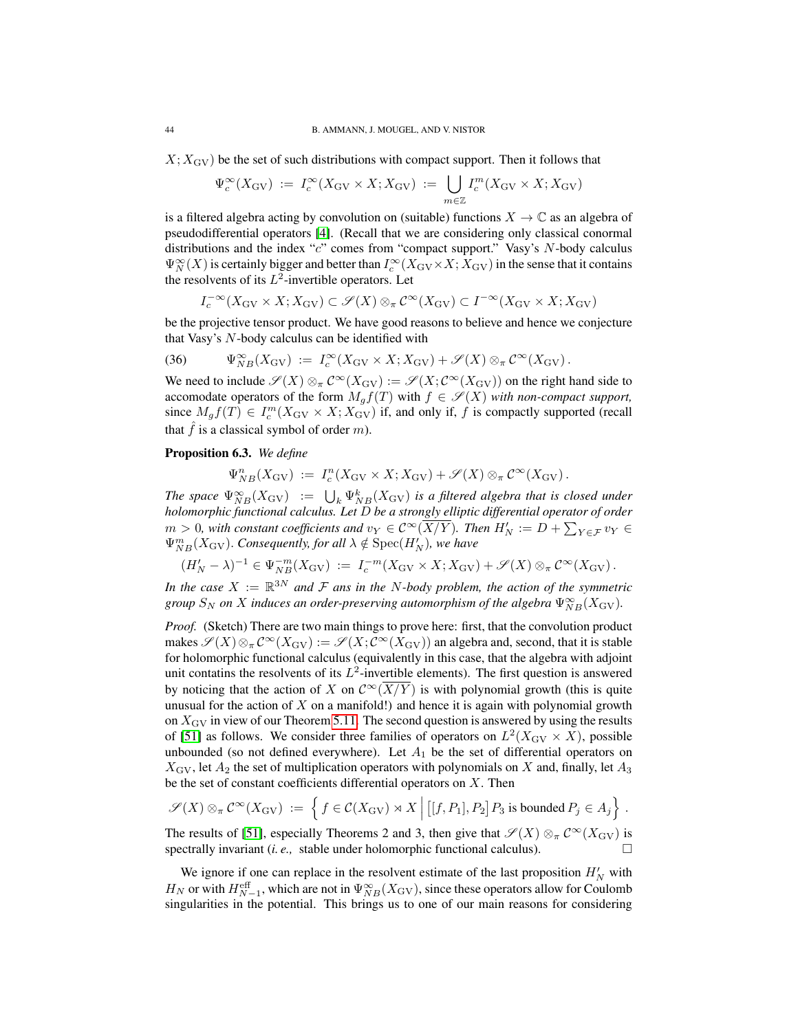$X; X_{\text{GV}}$  be the set of such distributions with compact support. Then it follows that

$$
\Psi_c^{\infty}(X_{\text{GV}}) := I_c^{\infty}(X_{\text{GV}} \times X; X_{\text{GV}}) := \bigcup_{m \in \mathbb{Z}} I_c^m(X_{\text{GV}} \times X; X_{\text{GV}})
$$

is a filtered algebra acting by convolution on (suitable) functions  $X \to \mathbb{C}$  as an algebra of pseudodifferential operators [\[4\]](#page-48-2). (Recall that we are considering only classical conormal distributions and the index "c" comes from "compact support." Vasy's N-body calculus  $\Psi_N^{\infty}(X)$  is certainly bigger and better than  $I_c^{\infty}(X_{\text{GV}} \times X; X_{\text{GV}})$  in the sense that it contains the resolvents of its  $L^2$ -invertible operators. Let

$$
I_c^{-\infty}(X_{\text{GV}} \times X; X_{\text{GV}}) \subset \mathscr{S}(X) \otimes_{\pi} C^{\infty}(X_{\text{GV}}) \subset I^{-\infty}(X_{\text{GV}} \times X; X_{\text{GV}})
$$

be the projective tensor product. We have good reasons to believe and hence we conjecture that Vasy's N-body calculus can be identified with

(36) 
$$
\Psi_{NB}^{\infty}(X_{\text{GV}}) := I_c^{\infty}(X_{\text{GV}} \times X; X_{\text{GV}}) + \mathscr{S}(X) \otimes_{\pi} \mathcal{C}^{\infty}(X_{\text{GV}}).
$$

We need to include  $\mathscr{S}(X) \otimes_{\pi} C^{\infty}(X_{\text{GV}}) := \mathscr{S}(X; C^{\infty}(X_{\text{GV}}))$  on the right hand side to accomodate operators of the form  $M_q f(T)$  with  $f \in \mathscr{S}(X)$  *with non-compact support,* since  $M_g f(T) \in I_c^m(X_{\text{GV}} \times X; X_{\text{GV}})$  if, and only if, f is compactly supported (recall that  $\hat{f}$  is a classical symbol of order m).

## <span id="page-43-0"></span>Proposition 6.3. *We define*

$$
\Psi_{NB}^n(X_{\text{GV}}) := I_c^n(X_{\text{GV}} \times X; X_{\text{GV}}) + \mathscr{S}(X) \otimes_{\pi} C^{\infty}(X_{\text{GV}}).
$$

*The space*  $\Psi_{NB}^{\infty}(X_{\text{GV}}) := \bigcup_{k} \Psi_{NB}^{k}(X_{\text{GV}})$  *is a filtered algebra that is closed under holomorphic functional calculus. Let* D *be a strongly elliptic differential operator of order*  $m > 0$ , with constant coefficients and  $v_Y \in C^\infty(\overline{X/Y})$ . Then  $H'_N := D + \sum_{Y \in \mathcal{F}} v_Y \in$  $\Psi_{NB}^{m}(X_{\text{GV}})$ . *Consequently, for all*  $\lambda \notin \text{Spec}(H_N')$ *, we have* 

$$
(H'_N - \lambda)^{-1} \in \Psi_{NB}^{-m}(X_{\text{GV}}) := I_c^{-m}(X_{\text{GV}} \times X; X_{\text{GV}}) + \mathscr{S}(X) \otimes_{\pi} C^{\infty}(X_{\text{GV}}).
$$

In the case  $X := \mathbb{R}^{3N}$  and  $\mathcal F$  ans in the N-body problem, the action of the symmetric group  $S_N$  on  $X$  induces an order-preserving automorphism of the algebra  $\Psi_{NB}^{\infty}(X_{\mathrm{GV}})$ .

*Proof.* (Sketch) There are two main things to prove here: first, that the convolution product makes  $\mathscr{S}(X)\otimes_{\pi} \mathcal{C}^{\infty}(X_{\text{GV}}):=\mathscr{S}(X;\mathcal{C}^{\infty}(X_{\text{GV}}))$  an algebra and, second, that it is stable for holomorphic functional calculus (equivalently in this case, that the algebra with adjoint unit contatins the resolvents of its  $L^2$ -invertible elements). The first question is answered by noticing that the action of X on  $\mathcal{C}^{\infty}(\overline{X/Y})$  is with polynomial growth (this is quite unusual for the action of  $X$  on a manifold!) and hence it is again with polynomial growth on  $X_{\text{GV}}$  in view of our Theorem [5.11.](#page-39-1) The second question is answered by using the results of [\[51\]](#page-50-23) as follows. We consider three families of operators on  $L^2(X_{\text{GV}} \times X)$ , possible unbounded (so not defined everywhere). Let  $A_1$  be the set of differential operators on  $X_{\text{GV}}$ , let  $A_2$  the set of multiplication operators with polynomials on X and, finally, let  $A_3$ be the set of constant coefficients differential operators on  $X$ . Then

$$
\mathscr{S}(X) \otimes_{\pi} C^{\infty}(X_{\text{GV}}) := \left\{ f \in C(X_{\text{GV}}) \rtimes X \middle| [[f, P_1], P_2] P_3 \text{ is bounded } P_j \in A_j \right\}.
$$

The results of [\[51\]](#page-50-23), especially Theorems 2 and 3, then give that  $\mathscr{S}(X) \otimes_{\pi} C^{\infty}(X_{\text{GV}})$  is spectrally invariant (*i. e.,* stable under holomorphic functional calculus).

We ignore if one can replace in the resolvent estimate of the last proposition  $H'_N$  with  $H_N$  or with  $H_{N-1}^{\text{eff}}$ , which are not in  $\Psi_{NB}^{\infty}(X_{\text{GV}})$ , since these operators allow for Coulomb singularities in the potential. This brings us to one of our main reasons for considering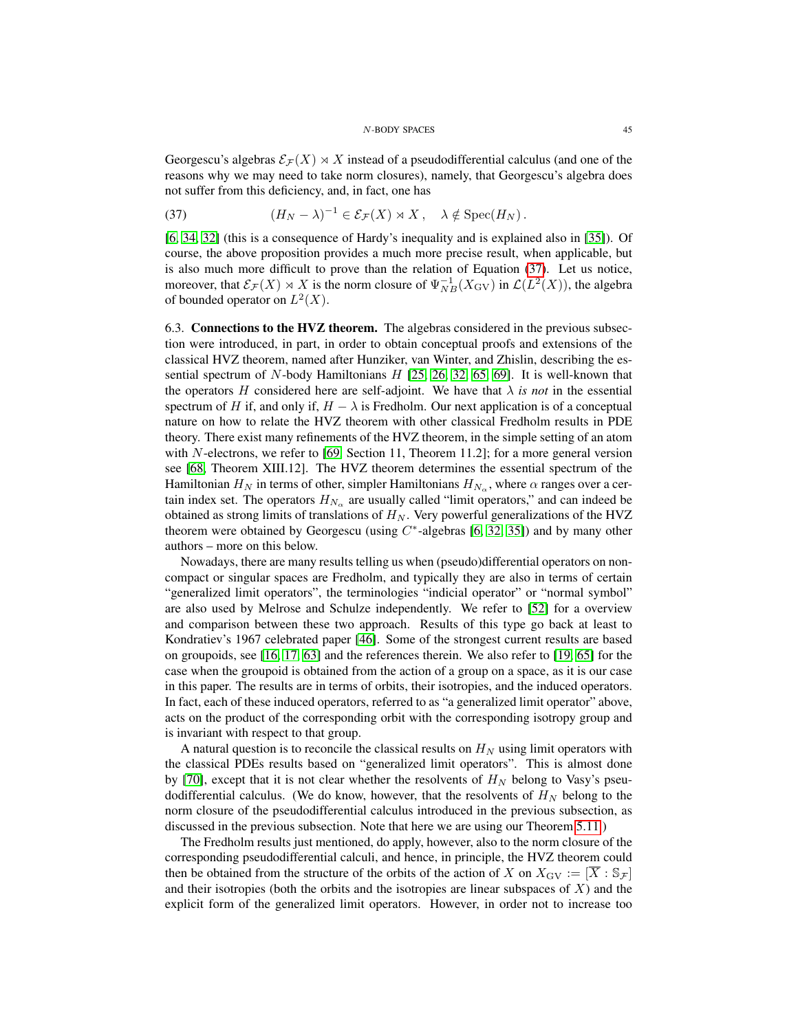Georgescu's algebras  $\mathcal{E}_\mathcal{F}(X) \rtimes X$  instead of a pseudodifferential calculus (and one of the reasons why we may need to take norm closures), namely, that Georgescu's algebra does not suffer from this deficiency, and, in fact, one has

<span id="page-44-1"></span>(37) 
$$
(H_N - \lambda)^{-1} \in \mathcal{E}_{\mathcal{F}}(X) \rtimes X, \quad \lambda \notin \operatorname{Spec}(H_N).
$$

[\[6,](#page-49-0) [34,](#page-50-4) [32\]](#page-50-3) (this is a consequence of Hardy's inequality and is explained also in [\[35\]](#page-50-6)). Of course, the above proposition provides a much more precise result, when applicable, but is also much more difficult to prove than the relation of Equation [\(37\)](#page-44-1). Let us notice, moreover, that  $\mathcal{E}_{\mathcal{F}}(X) \rtimes X$  is the norm closure of  $\Psi_{NB}^{-1}(X_{\text{GV}})$  in  $\mathcal{L}(L^2(X))$ , the algebra of bounded operator on  $L^2(X)$ .

<span id="page-44-0"></span>6.3. Connections to the HVZ theorem. The algebras considered in the previous subsection were introduced, in part, in order to obtain conceptual proofs and extensions of the classical HVZ theorem, named after Hunziker, van Winter, and Zhislin, describing the essential spectrum of N-body Hamiltonians  $H$  [\[25,](#page-49-3) [26,](#page-49-2) [32,](#page-50-3) [65,](#page-51-11) [69\]](#page-51-1). It is well-known that the operators H considered here are self-adjoint. We have that  $\lambda$  *is not* in the essential spectrum of H if, and only if,  $H - \lambda$  is Fredholm. Our next application is of a conceptual nature on how to relate the HVZ theorem with other classical Fredholm results in PDE theory. There exist many refinements of the HVZ theorem, in the simple setting of an atom with N-electrons, we refer to [\[69,](#page-51-1) Section 11, Theorem 11.2]; for a more general version see [\[68,](#page-51-0) Theorem XIII.12]. The HVZ theorem determines the essential spectrum of the Hamiltonian  $H_N$  in terms of other, simpler Hamiltonians  $H_{N_\alpha}$ , where  $\alpha$  ranges over a certain index set. The operators  $H_{N_{\alpha}}$  are usually called "limit operators," and can indeed be obtained as strong limits of translations of  $H_N$ . Very powerful generalizations of the HVZ theorem were obtained by Georgescu (using  $C^*$ -algebras [\[6,](#page-49-0) [32,](#page-50-3) [35\]](#page-50-6)) and by many other authors – more on this below.

Nowadays, there are many results telling us when (pseudo)differential operators on noncompact or singular spaces are Fredholm, and typically they are also in terms of certain "generalized limit operators", the terminologies "indicial operator" or "normal symbol" are also used by Melrose and Schulze independently. We refer to [\[52\]](#page-50-24) for a overview and comparison between these two approach. Results of this type go back at least to Kondratiev's 1967 celebrated paper [\[46\]](#page-50-25). Some of the strongest current results are based on groupoids, see [\[16,](#page-49-17) [17,](#page-49-18) [63\]](#page-51-12) and the references therein. We also refer to [\[19,](#page-49-19) [65\]](#page-51-11) for the case when the groupoid is obtained from the action of a group on a space, as it is our case in this paper. The results are in terms of orbits, their isotropies, and the induced operators. In fact, each of these induced operators, referred to as "a generalized limit operator" above, acts on the product of the corresponding orbit with the corresponding isotropy group and is invariant with respect to that group.

A natural question is to reconcile the classical results on  $H<sub>N</sub>$  using limit operators with the classical PDEs results based on "generalized limit operators". This is almost done by [\[70\]](#page-51-3), except that it is not clear whether the resolvents of  $H_N$  belong to Vasy's pseudodifferential calculus. (We do know, however, that the resolvents of  $H_N$  belong to the norm closure of the pseudodifferential calculus introduced in the previous subsection, as discussed in the previous subsection. Note that here we are using our Theorem [5.11.](#page-39-1))

The Fredholm results just mentioned, do apply, however, also to the norm closure of the corresponding pseudodifferential calculi, and hence, in principle, the HVZ theorem could then be obtained from the structure of the orbits of the action of X on  $X_{\text{GV}} := [X : \mathbb{S}_{\mathcal{F}}]$ and their isotropies (both the orbits and the isotropies are linear subspaces of  $X$ ) and the explicit form of the generalized limit operators. However, in order not to increase too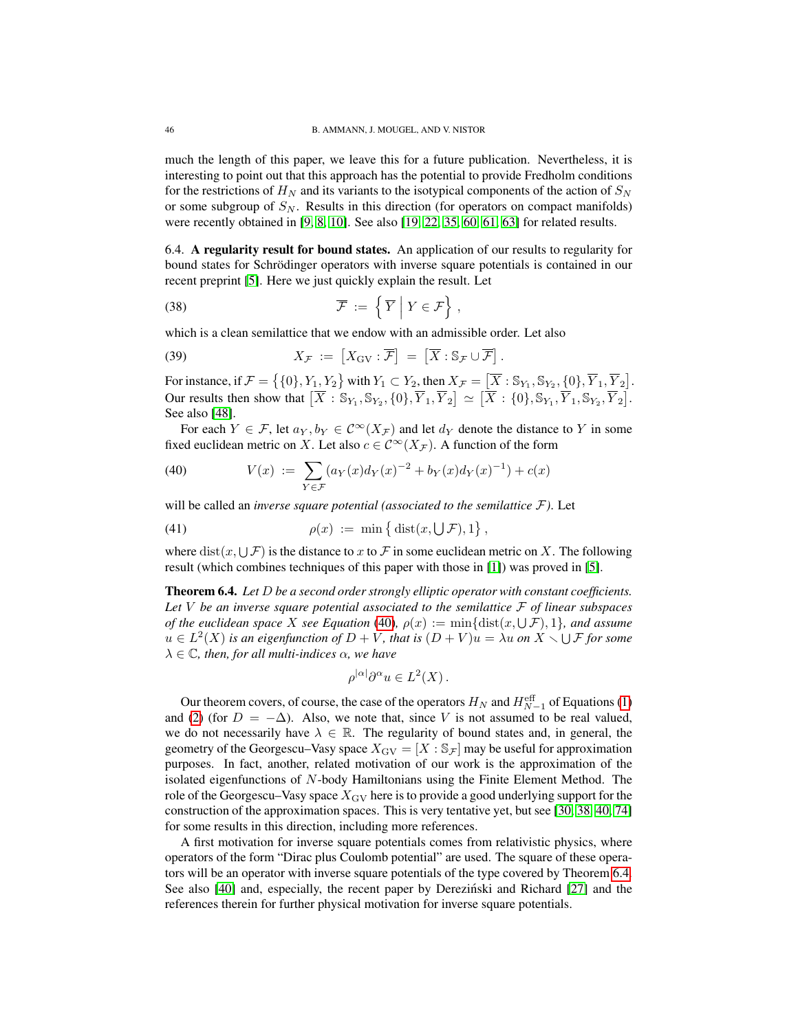much the length of this paper, we leave this for a future publication. Nevertheless, it is interesting to point out that this approach has the potential to provide Fredholm conditions for the restrictions of  $H_N$  and its variants to the isotypical components of the action of  $S_N$ or some subgroup of  $S_N$ . Results in this direction (for operators on compact manifolds) were recently obtained in [\[9,](#page-49-20) [8,](#page-49-21) [10\]](#page-49-22). See also [\[19,](#page-49-19) [22,](#page-49-23) [35,](#page-50-6) [60,](#page-50-26) [61,](#page-51-4) [63\]](#page-51-12) for related results.

<span id="page-45-0"></span>6.4. A regularity result for bound states. An application of our results to regularity for bound states for Schrödinger operators with inverse square potentials is contained in our recent preprint [\[5\]](#page-49-10). Here we just quickly explain the result. Let

(38) 
$$
\overline{\mathcal{F}} := \left\{ \overline{Y} \middle| Y \in \mathcal{F} \right\},
$$

which is a clean semilattice that we endow with an admissible order. Let also

(39) 
$$
X_{\mathcal{F}} := \left[ X_{\mathrm{GV}} : \overline{\mathcal{F}} \right] = \left[ \overline{X} : \mathbb{S}_{\mathcal{F}} \cup \overline{\mathcal{F}} \right].
$$

For instance, if  $\mathcal{F} = \left\{ \{0\}, Y_1, Y_2 \right\}$  with  $Y_1 \subset Y_2$ , then  $X_{\mathcal{F}} = \left[ \overline{X} : \mathbb{S}_{Y_1}, \mathbb{S}_{Y_2}, \{0\}, \overline{Y}_1, \overline{Y}_2 \right]$ . Our results then show that  $[\overline{X} : \mathbb{S}_{Y_1}, \mathbb{S}_{Y_2}, \{0\}, \overline{Y}_1, \overline{Y}_2] \simeq [\overline{X} : \{0\}, \mathbb{S}_{Y_1}, \overline{Y}_1, \mathbb{S}_{Y_2}, \overline{Y}_2].$ See also [\[48\]](#page-50-7).

For each  $Y \in \mathcal{F}$ , let  $a_Y, b_Y \in C^\infty(X_\mathcal{F})$  and let  $d_Y$  denote the distance to Y in some fixed euclidean metric on X. Let also  $c \in C^{\infty}(X_{\mathcal{F}})$ . A function of the form

<span id="page-45-2"></span>(40) 
$$
V(x) := \sum_{Y \in \mathcal{F}} (a_Y(x) d_Y(x)^{-2} + b_Y(x) d_Y(x)^{-1}) + c(x)
$$

will be called an *inverse square potential (associated to the semilattice* F*)*. Let

(41) 
$$
\rho(x) := \min \left\{ \text{dist}(x, \bigcup \mathcal{F}), 1 \right\}
$$

where  $dist(x, \cup \mathcal{F})$  is the distance to x to  $\mathcal F$  in some euclidean metric on X. The following result (which combines techniques of this paper with those in [\[1\]](#page-48-1)) was proved in [\[5\]](#page-49-10).

,

<span id="page-45-1"></span>Theorem 6.4. *Let* D *be a second order strongly elliptic operator with constant coefficients. Let* V *be an inverse square potential associated to the semilattice* F *of linear subspaces of the euclidean space* X see Equation [\(40\)](#page-45-2),  $\rho(x) := \min{\text{dist}(x, \bigcup \mathcal{F}), 1\}$ , and assume  $u \in L^2(X)$  is an eigenfunction of  $D + V$ , that is  $(D + V)u = \lambda u$  on  $X \setminus \bigcup \mathcal{F}$  for some  $\lambda \in \mathbb{C}$ *, then, for all multi-indices*  $\alpha$ *, we have* 

$$
\rho^{|\alpha|}\partial^{\alpha}u \in L^2(X)\,.
$$

Our theorem covers, of course, the case of the operators  $H_N$  and  $H_{N-1}^{\text{eff}}$  of Equations [\(1\)](#page-1-2) and [\(2\)](#page-1-3) (for  $D = -\Delta$ ). Also, we note that, since V is not assumed to be real valued, we do not necessarily have  $\lambda \in \mathbb{R}$ . The regularity of bound states and, in general, the geometry of the Georgescu–Vasy space  $X_{\text{GV}} = [X : S_{\mathcal{F}}]$  may be useful for approximation purposes. In fact, another, related motivation of our work is the approximation of the isolated eigenfunctions of N-body Hamiltonians using the Finite Element Method. The role of the Georgescu–Vasy space  $X_{\text{GV}}$  here is to provide a good underlying support for the construction of the approximation spaces. This is very tentative yet, but see [\[30,](#page-49-24) [38,](#page-50-27) [40,](#page-50-28) [74\]](#page-51-13) for some results in this direction, including more references.

A first motivation for inverse square potentials comes from relativistic physics, where operators of the form "Dirac plus Coulomb potential" are used. The square of these operators will be an operator with inverse square potentials of the type covered by Theorem [6.4.](#page-45-1) See also [\[40\]](#page-50-28) and, especially, the recent paper by Derezinski and Richard [\[27\]](#page-49-25) and the references therein for further physical motivation for inverse square potentials.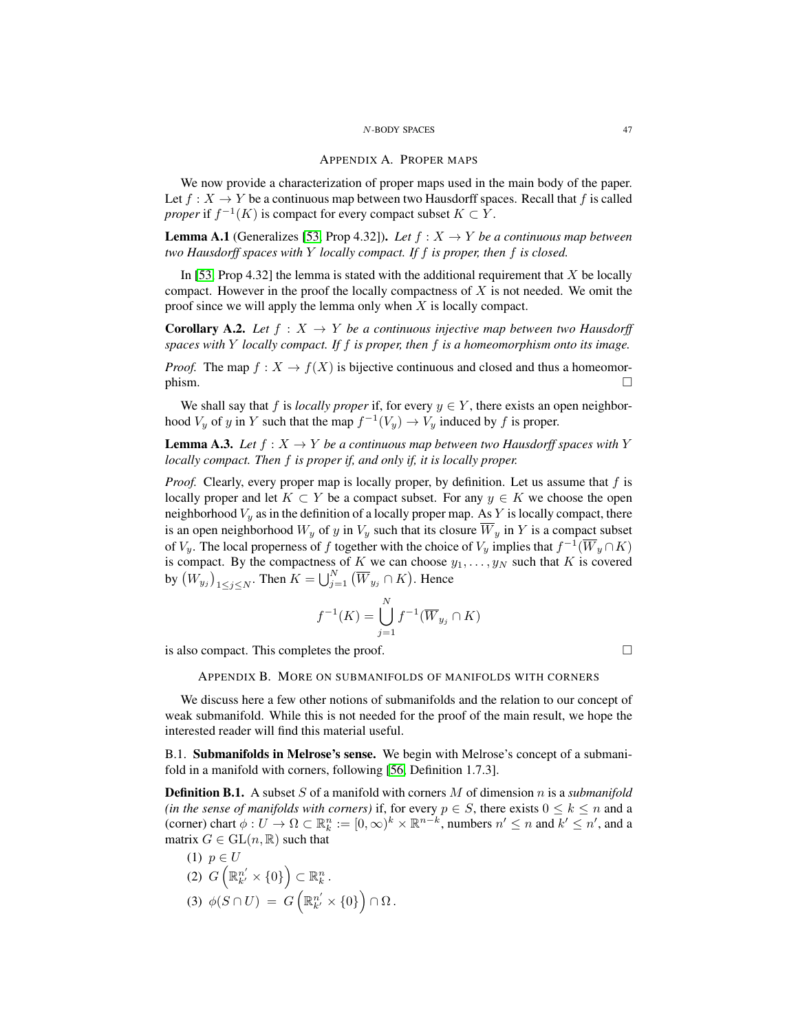#### APPENDIX A. PROPER MAPS

<span id="page-46-0"></span>We now provide a characterization of proper maps used in the main body of the paper. Let  $f: X \to Y$  be a continuous map between two Hausdorff spaces. Recall that f is called *proper* if  $f^{-1}(K)$  is compact for every compact subset  $K \subset Y$ .

**Lemma A.1** (Generalizes [\[53,](#page-50-29) Prop 4.32]). *Let*  $f : X \rightarrow Y$  *be a continuous map between two Hausdorff spaces with* Y *locally compact. If* f *is proper, then* f *is closed.*

In [\[53,](#page-50-29) Prop 4.32] the lemma is stated with the additional requirement that  $X$  be locally compact. However in the proof the locally compactness of  $X$  is not needed. We omit the proof since we will apply the lemma only when  $X$  is locally compact.

<span id="page-46-5"></span>**Corollary A.2.** *Let*  $f : X \to Y$  *be a continuous injective map between two Hausdorff spaces with* Y *locally compact. If* f *is proper, then* f *is a homeomorphism onto its image.*

*Proof.* The map  $f: X \to f(X)$  is bijective continuous and closed and thus a homeomor- $\Box$ 

We shall say that f is *locally proper* if, for every  $y \in Y$ , there exists an open neighborhood  $V_y$  of y in Y such that the map  $f^{-1}(V_y) \to V_y$  induced by f is proper.

<span id="page-46-4"></span>**Lemma A.3.** *Let*  $f: X \to Y$  *be a continuous map between two Hausdorff spaces with* Y *locally compact. Then* f *is proper if, and only if, it is locally proper.*

*Proof.* Clearly, every proper map is locally proper, by definition. Let us assume that f is locally proper and let  $K \subset Y$  be a compact subset. For any  $y \in K$  we choose the open neighborhood  $V_y$  as in the definition of a locally proper map. As Y is locally compact, there is an open neighborhood  $W_y$  of y in  $V_y$  such that its closure  $\overline{W}_y$  in Y is a compact subset of  $V_y$ . The local properness of f together with the choice of  $V_y$  implies that  $f^{-1}(\overline{W}_y \cap K)$ is compact. By the compactness of K we can choose  $y_1, \ldots, y_N$  such that K is covered by  $(W_{y_j})_{1 \leq j \leq N}$ . Then  $K = \bigcup_{j=1}^N (\overline{W}_{y_j} \cap K)$ . Hence

$$
f^{-1}(K) = \bigcup_{j=1}^{N} f^{-1}(\overline{W}_{y_j} \cap K)
$$

<span id="page-46-1"></span>is also compact. This completes the proof.

APPENDIX B. MORE ON SUBMANIFOLDS OF MANIFOLDS WITH CORNERS

We discuss here a few other notions of submanifolds and the relation to our concept of weak submanifold. While this is not needed for the proof of the main result, we hope the interested reader will find this material useful.

<span id="page-46-2"></span>B.1. Submanifolds in Melrose's sense. We begin with Melrose's concept of a submanifold in a manifold with corners, following [\[56,](#page-50-9) Definition 1.7.3].

<span id="page-46-3"></span>Definition B.1. A subset S of a manifold with corners M of dimension n is a *submanifold (in the sense of manifolds with corners)* if, for every  $p \in S$ , there exists  $0 \leq k \leq n$  and a (corner) chart  $\phi: U \to \Omega \subset \mathbb{R}^n_k := [0, \infty)^k \times \mathbb{R}^{n-k}$ , numbers  $n' \leq n$  and  $k' \leq n'$ , and a matrix  $G \in GL(n, \mathbb{R})$  such that

(1) 
$$
p \in U
$$
  
\n(2)  $G\left(\mathbb{R}_{k'}^{n'} \times \{0\}\right) \subset \mathbb{R}_{k}^{n}$ .  
\n(3)  $\phi(S \cap U) = G\left(\mathbb{R}_{k'}^{n'} \times \{0\}\right) \cap \Omega$ .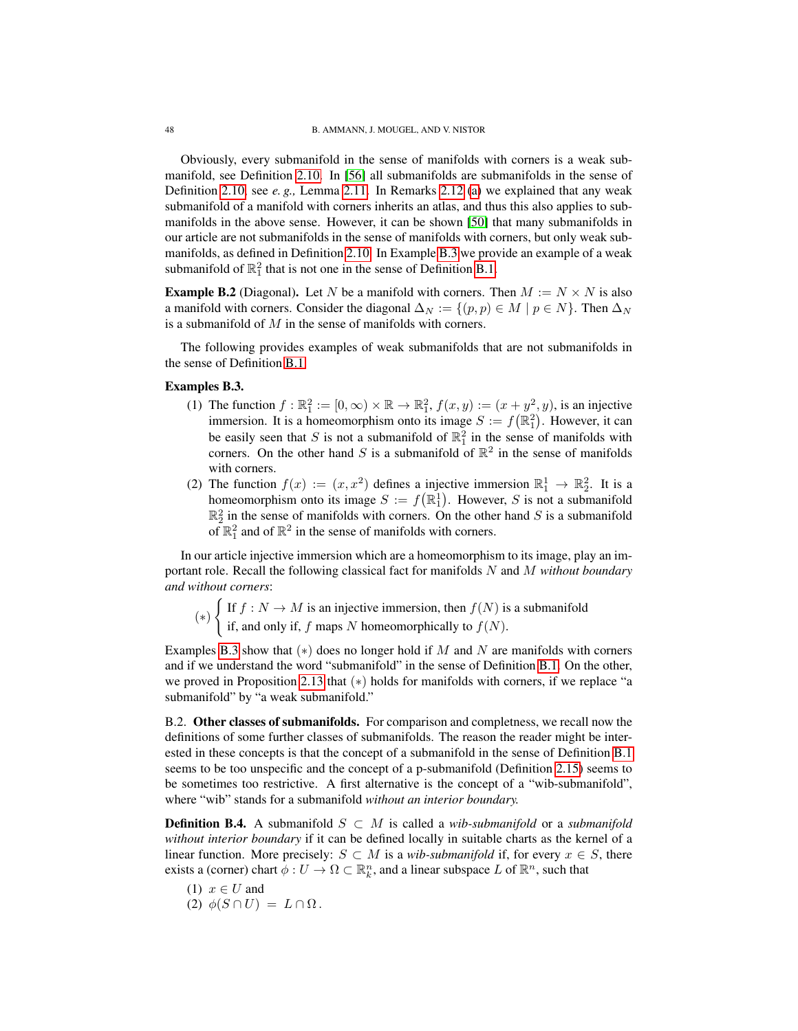Obviously, every submanifold in the sense of manifolds with corners is a weak submanifold, see Definition [2.10.](#page-10-2) In [\[56\]](#page-50-9) all submanifolds are submanifolds in the sense of Definition [2.10,](#page-10-2) see *e. g.,* Lemma [2.11.](#page-11-2) In Remarks [2.12](#page-11-0) [\(a\)](#page-11-1) we explained that any weak submanifold of a manifold with corners inherits an atlas, and thus this also applies to submanifolds in the above sense. However, it can be shown [\[50\]](#page-50-14) that many submanifolds in our article are not submanifolds in the sense of manifolds with corners, but only weak submanifolds, as defined in Definition [2.10.](#page-10-2) In Example [B.3](#page-47-1) we provide an example of a weak submanifold of  $\mathbb{R}_1^2$  that is not one in the sense of Definition [B.1.](#page-46-3)

<span id="page-47-3"></span>**Example B.2** (Diagonal). Let N be a manifold with corners. Then  $M := N \times N$  is also a manifold with corners. Consider the diagonal  $\Delta_N := \{(p, p) \in M \mid p \in N\}$ . Then  $\Delta_N$ is a submanifold of  $M$  in the sense of manifolds with corners.

The following provides examples of weak submanifolds that are not submanifolds in the sense of Definition [B.1.](#page-46-3)

## <span id="page-47-2"></span><span id="page-47-1"></span>Examples B.3.

- (1) The function  $f : \mathbb{R}_1^2 := [0, \infty) \times \mathbb{R} \to \mathbb{R}_1^2$ ,  $f(x, y) := (x + y^2, y)$ , is an injective immersion. It is a homeomorphism onto its image  $S := f(\mathbb{R}^2_1)$ . However, it can be easily seen that S is not a submanifold of  $\mathbb{R}_1^2$  in the sense of manifolds with corners. On the other hand S is a submanifold of  $\mathbb{R}^2$  in the sense of manifolds with corners.
- (2) The function  $f(x) := (x, x^2)$  defines a injective immersion  $\mathbb{R}^1_1 \to \mathbb{R}^2_2$ . It is a homeomorphism onto its image  $S := f(\mathbb{R}^1_1)$ . However, S is not a submanifold  $\mathbb{R}_2^2$  in the sense of manifolds with corners. On the other hand S is a submanifold of  $\mathbb{R}_1^2$  and of  $\mathbb{R}^2$  in the sense of manifolds with corners.

In our article injective immersion which are a homeomorphism to its image, play an important role. Recall the following classical fact for manifolds N and M *without boundary and without corners*:

(∗)  $\int$  If  $f : N \to M$  is an injective immersion, then  $f(N)$  is a submanifold if, and only if, f maps N homeomorphically to  $f(N)$ .

Examples [B.3](#page-47-1) show that  $(*)$  does no longer hold if M and N are manifolds with corners and if we understand the word "submanifold" in the sense of Definition [B.1.](#page-46-3) On the other, we proved in Proposition [2.13](#page-12-0) that (∗) holds for manifolds with corners, if we replace "a submanifold" by "a weak submanifold."

<span id="page-47-0"></span>B.2. Other classes of submanifolds. For comparison and completness, we recall now the definitions of some further classes of submanifolds. The reason the reader might be interested in these concepts is that the concept of a submanifold in the sense of Definition [B.1](#page-46-3) seems to be too unspecific and the concept of a p-submanifold (Definition [2.15\)](#page-13-0) seems to be sometimes too restrictive. A first alternative is the concept of a "wib-submanifold", where "wib" stands for a submanifold *without an interior boundary.*

**Definition B.4.** A submanifold  $S ⊂ M$  is called a *wib-submanifold* or a *submanifold without interior boundary* if it can be defined locally in suitable charts as the kernel of a linear function. More precisely:  $S \subset M$  is a *wib-submanifold* if, for every  $x \in S$ , there exists a (corner) chart  $\phi: U \to \Omega \subset \mathbb{R}^n_k$ , and a linear subspace L of  $\mathbb{R}^n$ , such that

- (1)  $x \in U$  and
- (2)  $\phi(S \cap U) = L \cap \Omega$ .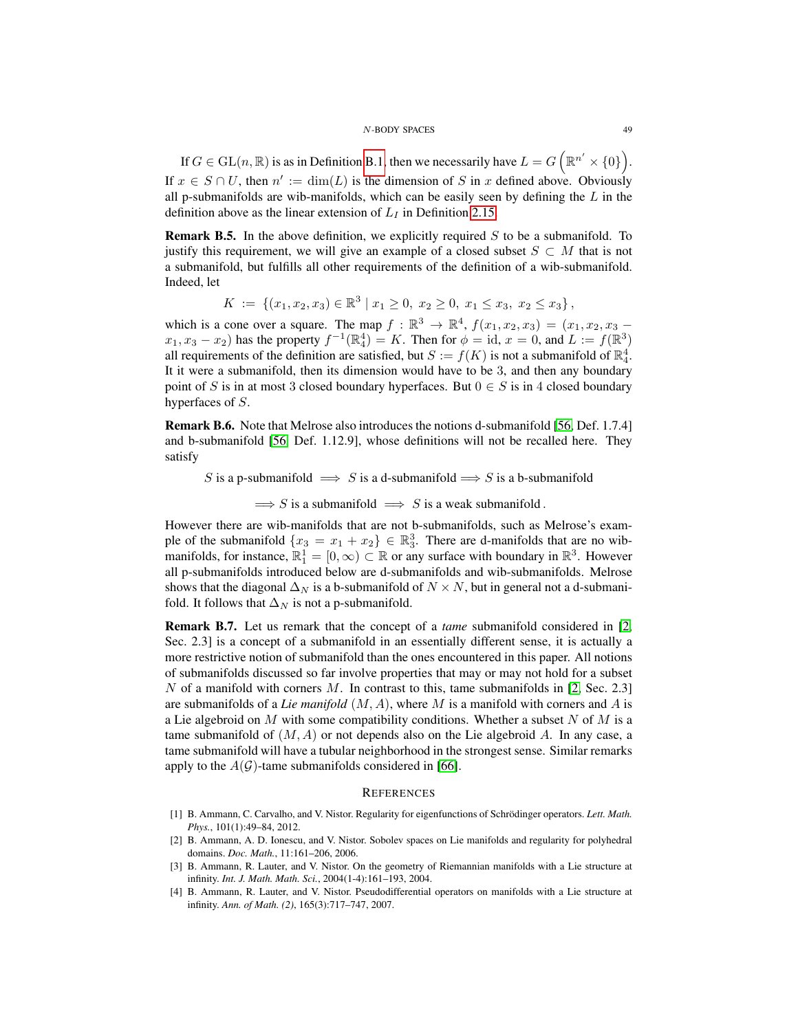If  $G \in \mathrm{GL}(n,\mathbb{R})$  is as in Definition [B.1,](#page-46-3) then we necessarily have  $L = G \left( \mathbb{R}^{n'} \times \{0\} \right)$ . If  $x \in S \cap U$ , then  $n' := \dim(L)$  is the dimension of S in x defined above. Obviously all p-submanifolds are wib-manifolds, which can be easily seen by defining the  $L$  in the definition above as the linear extension of  $L_I$  in Definition [2.15.](#page-13-0)

**Remark B.5.** In the above definition, we explicitly required  $S$  to be a submanifold. To justify this requirement, we will give an example of a closed subset  $S \subset M$  that is not a submanifold, but fulfills all other requirements of the definition of a wib-submanifold. Indeed, let

$$
K := \{ (x_1, x_2, x_3) \in \mathbb{R}^3 \mid x_1 \ge 0, x_2 \ge 0, x_1 \le x_3, x_2 \le x_3 \},
$$

which is a cone over a square. The map  $f : \mathbb{R}^3 \to \mathbb{R}^4$ ,  $f(x_1, x_2, x_3) = (x_1, x_2, x_3$  $x_1, x_3 - x_2$ ) has the property  $f^{-1}(\mathbb{R}^4_4) = K$ . Then for  $\phi = id$ ,  $x = 0$ , and  $L := f(\mathbb{R}^3)$ all requirements of the definition are satisfied, but  $S := f(K)$  is not a submanifold of  $\mathbb{R}_4^4$ . It it were a submanifold, then its dimension would have to be 3, and then any boundary point of S is in at most 3 closed boundary hyperfaces. But  $0 \in S$  is in 4 closed boundary hyperfaces of S.

<span id="page-48-5"></span>Remark B.6. Note that Melrose also introduces the notions d-submanifold [\[56,](#page-50-9) Def. 1.7.4] and b-submanifold [\[56,](#page-50-9) Def. 1.12.9], whose definitions will not be recalled here. They satisfy

S is a p-submanifold  $\implies$  S is a d-submanifold  $\implies$  S is a b-submanifold

 $\implies$  S is a submanifold  $\implies$  S is a weak submanifold.

However there are wib-manifolds that are not b-submanifolds, such as Melrose's example of the submanifold  $\{x_3 = x_1 + x_2\} \in \mathbb{R}_3^3$ . There are d-manifolds that are no wibmanifolds, for instance,  $\mathbb{R}_1^1 = [0, \infty) \subset \mathbb{R}$  or any surface with boundary in  $\mathbb{R}^3$ . However all p-submanifolds introduced below are d-submanifolds and wib-submanifolds. Melrose shows that the diagonal  $\Delta_N$  is a b-submanifold of  $N \times N$ , but in general not a d-submanifold. It follows that  $\Delta_N$  is not a p-submanifold.

Remark B.7. Let us remark that the concept of a *tame* submanifold considered in [\[2,](#page-48-3) Sec. 2.3] is a concept of a submanifold in an essentially different sense, it is actually a more restrictive notion of submanifold than the ones encountered in this paper. All notions of submanifolds discussed so far involve properties that may or may not hold for a subset N of a manifold with corners M. In contrast to this, tame submanifolds in  $[2, \text{Sec. } 2.3]$  $[2, \text{Sec. } 2.3]$ are submanifolds of a *Lie manifold*  $(M, A)$ , where M is a manifold with corners and A is a Lie algebroid on M with some compatibility conditions. Whether a subset N of M is a tame submanifold of  $(M, A)$  or not depends also on the Lie algebroid A. In any case, a tame submanifold will have a tubular neighborhood in the strongest sense. Similar remarks apply to the  $A(G)$ -tame submanifolds considered in [\[66\]](#page-51-6).

#### <span id="page-48-0"></span>**REFERENCES**

- <span id="page-48-1"></span>[1] B. Ammann, C. Carvalho, and V. Nistor. Regularity for eigenfunctions of Schrödinger operators. Lett. Math. *Phys.*, 101(1):49–84, 2012.
- <span id="page-48-3"></span>[2] B. Ammann, A. D. Ionescu, and V. Nistor. Sobolev spaces on Lie manifolds and regularity for polyhedral domains. *Doc. Math.*, 11:161–206, 2006.
- <span id="page-48-4"></span>[3] B. Ammann, R. Lauter, and V. Nistor. On the geometry of Riemannian manifolds with a Lie structure at infinity. *Int. J. Math. Math. Sci.*, 2004(1-4):161–193, 2004.
- <span id="page-48-2"></span>[4] B. Ammann, R. Lauter, and V. Nistor. Pseudodifferential operators on manifolds with a Lie structure at infinity. *Ann. of Math. (2)*, 165(3):717–747, 2007.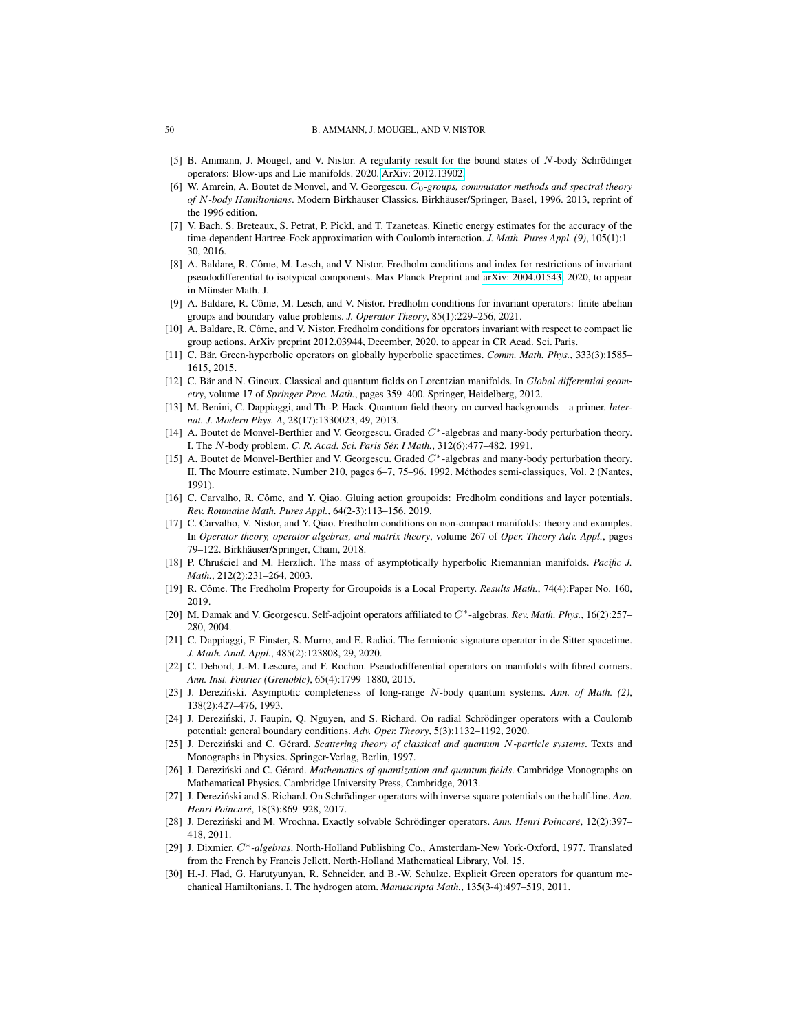- <span id="page-49-10"></span>[5] B. Ammann, J. Mougel, and V. Nistor. A regularity result for the bound states of N-body Schrödinger operators: Blow-ups and Lie manifolds. 2020. [ArXiv: 2012.13902.](https://www.arxiv.org/abs/2012.13902)
- <span id="page-49-0"></span>[6] W. Amrein, A. Boutet de Monvel, and V. Georgescu. C<sub>0</sub>-groups, commutator methods and spectral theory *of* N-body Hamiltonians. Modern Birkhäuser Classics. Birkhäuser/Springer, Basel, 1996. 2013, reprint of the 1996 edition.
- <span id="page-49-4"></span>[7] V. Bach, S. Breteaux, S. Petrat, P. Pickl, and T. Tzaneteas. Kinetic energy estimates for the accuracy of the time-dependent Hartree-Fock approximation with Coulomb interaction. *J. Math. Pures Appl. (9)*, 105(1):1– 30, 2016.
- <span id="page-49-21"></span>[8] A. Baldare, R. Côme, M. Lesch, and V. Nistor. Fredholm conditions and index for restrictions of invariant pseudodifferential to isotypical components. Max Planck Preprint and [arXiv: 2004.01543,](https://www.arxiv.org/abs/2004.01543) 2020, to appear in Münster Math. J.
- <span id="page-49-20"></span>[9] A. Baldare, R. Côme, M. Lesch, and V. Nistor. Fredholm conditions for invariant operators: finite abelian groups and boundary value problems. *J. Operator Theory*, 85(1):229–256, 2021.
- <span id="page-49-22"></span>[10] A. Baldare, R. Côme, and V. Nistor. Fredholm conditions for operators invariant with respect to compact lie group actions. ArXiv preprint 2012.03944, December, 2020, to appear in CR Acad. Sci. Paris.
- <span id="page-49-12"></span>[11] C. Bär. Green-hyperbolic operators on globally hyperbolic spacetimes. *Comm. Math. Phys.*, 333(3):1585– 1615, 2015.
- <span id="page-49-13"></span>[12] C. Bär and N. Ginoux. Classical and quantum fields on Lorentzian manifolds. In Global differential geom*etry*, volume 17 of *Springer Proc. Math.*, pages 359–400. Springer, Heidelberg, 2012.
- <span id="page-49-14"></span>[13] M. Benini, C. Dappiaggi, and Th.-P. Hack. Quantum field theory on curved backgrounds—a primer. *Internat. J. Modern Phys. A*, 28(17):1330023, 49, 2013.
- <span id="page-49-8"></span>[14] A. Boutet de Monvel-Berthier and V. Georgescu. Graded C∗-algebras and many-body perturbation theory. I. The N-body problem. *C. R. Acad. Sci. Paris Ser. I Math. ´* , 312(6):477–482, 1991.
- <span id="page-49-9"></span>[15] A. Boutet de Monvel-Berthier and V. Georgescu. Graded  $C^*$ -algebras and many-body perturbation theory. II. The Mourre estimate. Number 210, pages 6–7, 75–96. 1992. Methodes semi-classiques, Vol. 2 (Nantes, ´ 1991).
- <span id="page-49-17"></span>[16] C. Carvalho, R. Côme, and Y. Qiao. Gluing action groupoids: Fredholm conditions and layer potentials. *Rev. Roumaine Math. Pures Appl.*, 64(2-3):113–156, 2019.
- <span id="page-49-18"></span>[17] C. Carvalho, V. Nistor, and Y. Qiao. Fredholm conditions on non-compact manifolds: theory and examples. In *Operator theory, operator algebras, and matrix theory*, volume 267 of *Oper. Theory Adv. Appl.*, pages 79–122. Birkhäuser/Springer, Cham, 2018.
- <span id="page-49-15"></span>[18] P. Chrusciel and M. Herzlich. The mass of asymptotically hyperbolic Riemannian manifolds. Pacific J. *Math.*, 212(2):231–264, 2003.
- <span id="page-49-19"></span>[19] R. Côme. The Fredholm Property for Groupoids is a Local Property. Results Math., 74(4):Paper No. 160, 2019.
- <span id="page-49-5"></span>[20] M. Damak and V. Georgescu. Self-adjoint operators affiliated to C∗-algebras. *Rev. Math. Phys.*, 16(2):257– 280, 2004.
- <span id="page-49-16"></span>[21] C. Dappiaggi, F. Finster, S. Murro, and E. Radici. The fermionic signature operator in de Sitter spacetime. *J. Math. Anal. Appl.*, 485(2):123808, 29, 2020.
- <span id="page-49-23"></span>[22] C. Debord, J.-M. Lescure, and F. Rochon. Pseudodifferential operators on manifolds with fibred corners. *Ann. Inst. Fourier (Grenoble)*, 65(4):1799–1880, 2015.
- <span id="page-49-1"></span>[23] J. Dereziński. Asymptotic completeness of long-range N-body quantum systems. Ann. of Math. (2), 138(2):427–476, 1993.
- <span id="page-49-6"></span>[24] J. Dereziński, J. Faupin, Q. Nguyen, and S. Richard. On radial Schrödinger operators with a Coulomb potential: general boundary conditions. *Adv. Oper. Theory*, 5(3):1132–1192, 2020.
- <span id="page-49-3"></span>[25] J. Dereziński and C. Gérard. *Scattering theory of classical and quantum N-particle systems*. Texts and Monographs in Physics. Springer-Verlag, Berlin, 1997.
- <span id="page-49-2"></span>[26] J. Dereziński and C. Gérard. *Mathematics of quantization and quantum fields*. Cambridge Monographs on Mathematical Physics. Cambridge University Press, Cambridge, 2013.
- <span id="page-49-25"></span>[27] J. Dereziński and S. Richard. On Schrödinger operators with inverse square potentials on the half-line. Ann. *Henri Poincare´*, 18(3):869–928, 2017.
- <span id="page-49-7"></span>[28] J. Dereziński and M. Wrochna. Exactly solvable Schrödinger operators. Ann. Henri Poincaré, 12(2):397– 418, 2011.
- <span id="page-49-11"></span>[29] J. Dixmier. C∗*-algebras*. North-Holland Publishing Co., Amsterdam-New York-Oxford, 1977. Translated from the French by Francis Jellett, North-Holland Mathematical Library, Vol. 15.
- <span id="page-49-24"></span>[30] H.-J. Flad, G. Harutyunyan, R. Schneider, and B.-W. Schulze. Explicit Green operators for quantum mechanical Hamiltonians. I. The hydrogen atom. *Manuscripta Math.*, 135(3-4):497–519, 2011.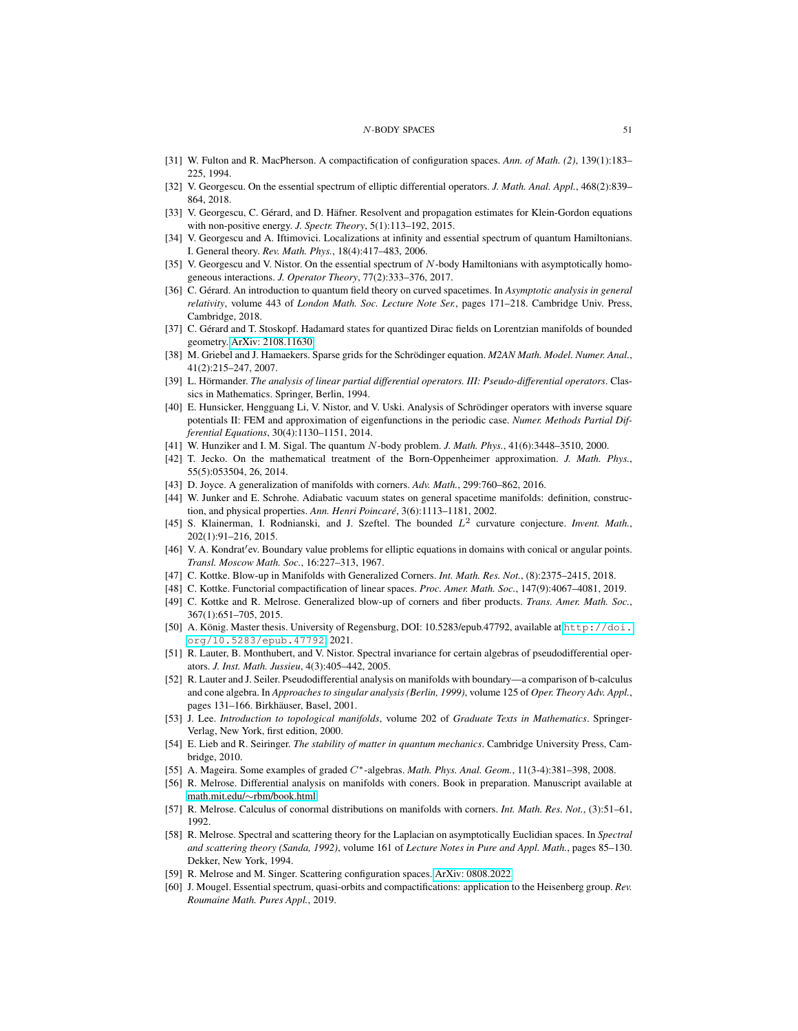- <span id="page-50-2"></span>[31] W. Fulton and R. MacPherson. A compactification of configuration spaces. *Ann. of Math. (2)*, 139(1):183– 225, 1994.
- <span id="page-50-3"></span>[32] V. Georgescu. On the essential spectrum of elliptic differential operators. *J. Math. Anal. Appl.*, 468(2):839– 864, 2018.
- <span id="page-50-17"></span>[33] V. Georgescu, C. Gérard, and D. Häfner. Resolvent and propagation estimates for Klein-Gordon equations with non-positive energy. *J. Spectr. Theory*, 5(1):113–192, 2015.
- <span id="page-50-4"></span>[34] V. Georgescu and A. Iftimovici. Localizations at infinity and essential spectrum of quantum Hamiltonians. I. General theory. *Rev. Math. Phys.*, 18(4):417–483, 2006.
- <span id="page-50-6"></span>[35] V. Georgescu and V. Nistor. On the essential spectrum of N-body Hamiltonians with asymptotically homogeneous interactions. *J. Operator Theory*, 77(2):333–376, 2017.
- <span id="page-50-18"></span>[36] C. Gerard. An introduction to quantum field theory on curved spacetimes. In ´ *Asymptotic analysis in general relativity*, volume 443 of *London Math. Soc. Lecture Note Ser.*, pages 171–218. Cambridge Univ. Press, Cambridge, 2018.
- <span id="page-50-19"></span>[37] C. Gérard and T. Stoskopf. Hadamard states for quantized Dirac fields on Lorentzian manifolds of bounded geometry. [ArXiv: 2108.11630.](https://www.arxiv.org/abs/2108.11630)
- <span id="page-50-27"></span>[38] M. Griebel and J. Hamaekers. Sparse grids for the Schrödinger equation. *M2AN Math. Model. Numer. Anal.*, 41(2):215–247, 2007.
- <span id="page-50-22"></span>[39] L. Hörmander. The analysis of linear partial differential operators. III: Pseudo-differential operators. Classics in Mathematics. Springer, Berlin, 1994.
- <span id="page-50-28"></span>[40] E. Hunsicker, Hengguang Li, V. Nistor, and V. Uski. Analysis of Schrödinger operators with inverse square potentials II: FEM and approximation of eigenfunctions in the periodic case. *Numer. Methods Partial Differential Equations*, 30(4):1130–1151, 2014.
- <span id="page-50-0"></span>[41] W. Hunziker and I. M. Sigal. The quantum N-body problem. *J. Math. Phys.*, 41(6):3448–3510, 2000.
- <span id="page-50-16"></span>[42] T. Jecko. On the mathematical treatment of the Born-Oppenheimer approximation. *J. Math. Phys.*, 55(5):053504, 26, 2014.
- <span id="page-50-8"></span>[43] D. Joyce. A generalization of manifolds with corners. *Adv. Math.*, 299:760–862, 2016.
- <span id="page-50-20"></span>[44] W. Junker and E. Schrohe. Adiabatic vacuum states on general spacetime manifolds: definition, construction, and physical properties. *Ann. Henri Poincaré*, 3(6):1113-1181, 2002.
- <span id="page-50-21"></span>[45] S. Klainerman, I. Rodnianski, and J. Szeftel. The bounded  $L^2$  curvature conjecture. *Invent. Math.*, 202(1):91–216, 2015.
- <span id="page-50-25"></span>[46] V. A. Kondrat' ev. Boundary value problems for elliptic equations in domains with conical or angular points. *Transl. Moscow Math. Soc.*, 16:227–313, 1967.
- <span id="page-50-11"></span>[47] C. Kottke. Blow-up in Manifolds with Generalized Corners. *Int. Math. Res. Not.*, (8):2375–2415, 2018.
- <span id="page-50-7"></span>[48] C. Kottke. Functorial compactification of linear spaces. *Proc. Amer. Math. Soc.*, 147(9):4067–4081, 2019.
- <span id="page-50-12"></span>[49] C. Kottke and R. Melrose. Generalized blow-up of corners and fiber products. *Trans. Amer. Math. Soc.*, 367(1):651–705, 2015.
- <span id="page-50-14"></span>[50] A. König. Master thesis. University of Regensburg, DOI: 10.5283/epub.47792, available at [http://doi.](http://doi.org/10.5283/epub.47792) [org/10.5283/epub.47792](http://doi.org/10.5283/epub.47792), 2021.
- <span id="page-50-23"></span>[51] R. Lauter, B. Monthubert, and V. Nistor. Spectral invariance for certain algebras of pseudodifferential operators. *J. Inst. Math. Jussieu*, 4(3):405–442, 2005.
- <span id="page-50-24"></span>[52] R. Lauter and J. Seiler. Pseudodifferential analysis on manifolds with boundary—a comparison of b-calculus and cone algebra. In *Approaches to singular analysis (Berlin, 1999)*, volume 125 of *Oper. Theory Adv. Appl.*, pages 131–166. Birkhäuser, Basel, 2001.
- <span id="page-50-29"></span>[53] J. Lee. *Introduction to topological manifolds*, volume 202 of *Graduate Texts in Mathematics*. Springer-Verlag, New York, first edition, 2000.
- <span id="page-50-1"></span>[54] E. Lieb and R. Seiringer. *The stability of matter in quantum mechanics*. Cambridge University Press, Cambridge, 2010.
- <span id="page-50-15"></span>[55] A. Mageira. Some examples of graded C∗-algebras. *Math. Phys. Anal. Geom.*, 11(3-4):381–398, 2008.
- <span id="page-50-9"></span>[56] R. Melrose. Differential analysis on manifolds with coners. Book in preparation. Manuscript available at math.mit.edu/∼[rbm/book.html.](http://math.mit.edu/~rbm/book.html)
- <span id="page-50-13"></span>[57] R. Melrose. Calculus of conormal distributions on manifolds with corners. *Int. Math. Res. Not.*, (3):51–61, 1992.
- <span id="page-50-5"></span>[58] R. Melrose. Spectral and scattering theory for the Laplacian on asymptotically Euclidian spaces. In *Spectral and scattering theory (Sanda, 1992)*, volume 161 of *Lecture Notes in Pure and Appl. Math.*, pages 85–130. Dekker, New York, 1994.
- <span id="page-50-10"></span>[59] R. Melrose and M. Singer. Scattering configuration spaces. [ArXiv: 0808.2022.](https://www.arxiv.org/abs/0808.2022)
- <span id="page-50-26"></span>[60] J. Mougel. Essential spectrum, quasi-orbits and compactifications: application to the Heisenberg group. *Rev. Roumaine Math. Pures Appl.*, 2019.